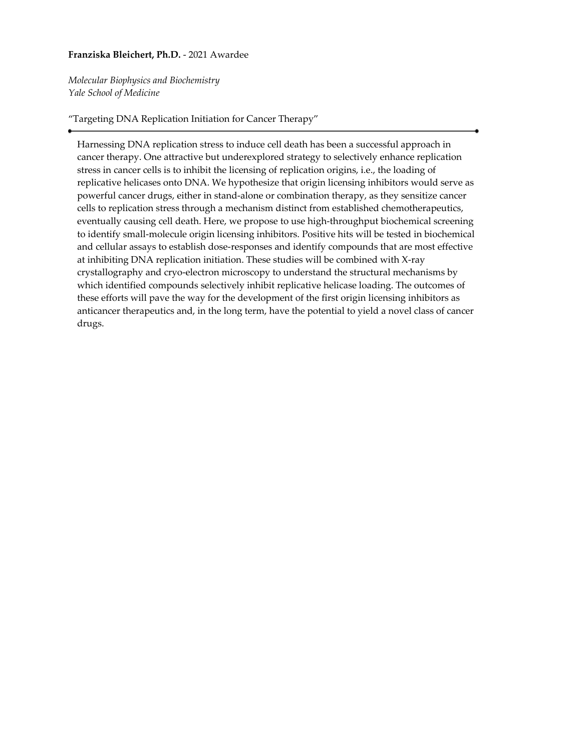# **Franziska Bleichert, Ph.D.** - 2021 Awardee

*Molecular Biophysics and Biochemistry Yale School of Medicine*

# "Targeting DNA Replication Initiation for Cancer Therapy"

Harnessing DNA replication stress to induce cell death has been a successful approach in cancer therapy. One attractive but underexplored strategy to selectively enhance replication stress in cancer cells is to inhibit the licensing of replication origins, i.e., the loading of replicative helicases onto DNA. We hypothesize that origin licensing inhibitors would serve as powerful cancer drugs, either in stand-alone or combination therapy, as they sensitize cancer cells to replication stress through a mechanism distinct from established chemotherapeutics, eventually causing cell death. Here, we propose to use high-throughput biochemical screening to identify small-molecule origin licensing inhibitors. Positive hits will be tested in biochemical and cellular assays to establish dose-responses and identify compounds that are most effective at inhibiting DNA replication initiation. These studies will be combined with X-ray crystallography and cryo-electron microscopy to understand the structural mechanisms by which identified compounds selectively inhibit replicative helicase loading. The outcomes of these efforts will pave the way for the development of the first origin licensing inhibitors as anticancer therapeutics and, in the long term, have the potential to yield a novel class of cancer drugs.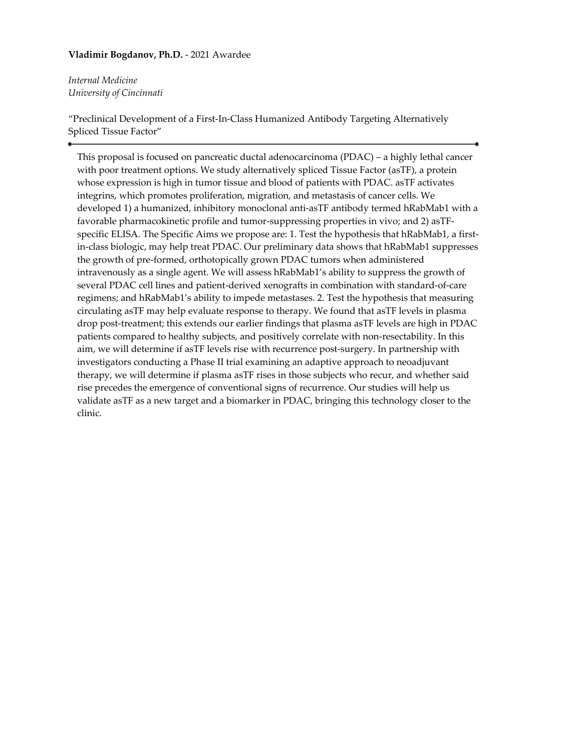# **Vladimir Bogdanov, Ph.D.** - 2021 Awardee

*Internal Medicine University of Cincinnati*

"Preclinical Development of a First-In-Class Humanized Antibody Targeting Alternatively Spliced Tissue Factor"

This proposal is focused on pancreatic ductal adenocarcinoma (PDAC) – a highly lethal cancer with poor treatment options. We study alternatively spliced Tissue Factor (asTF), a protein whose expression is high in tumor tissue and blood of patients with PDAC. asTF activates integrins, which promotes proliferation, migration, and metastasis of cancer cells. We developed 1) a humanized, inhibitory monoclonal anti-asTF antibody termed hRabMab1 with a favorable pharmacokinetic profile and tumor-suppressing properties in vivo; and 2) asTFspecific ELISA. The Specific Aims we propose are: 1. Test the hypothesis that hRabMab1, a firstin-class biologic, may help treat PDAC. Our preliminary data shows that hRabMab1 suppresses the growth of pre-formed, orthotopically grown PDAC tumors when administered intravenously as a single agent. We will assess hRabMab1's ability to suppress the growth of several PDAC cell lines and patient-derived xenografts in combination with standard-of-care regimens; and hRabMab1's ability to impede metastases. 2. Test the hypothesis that measuring circulating asTF may help evaluate response to therapy. We found that asTF levels in plasma drop post-treatment; this extends our earlier findings that plasma asTF levels are high in PDAC patients compared to healthy subjects, and positively correlate with non-resectability. In this aim, we will determine if asTF levels rise with recurrence post-surgery. In partnership with investigators conducting a Phase II trial examining an adaptive approach to neoadjuvant therapy, we will determine if plasma asTF rises in those subjects who recur, and whether said rise precedes the emergence of conventional signs of recurrence. Our studies will help us validate asTF as a new target and a biomarker in PDAC, bringing this technology closer to the clinic.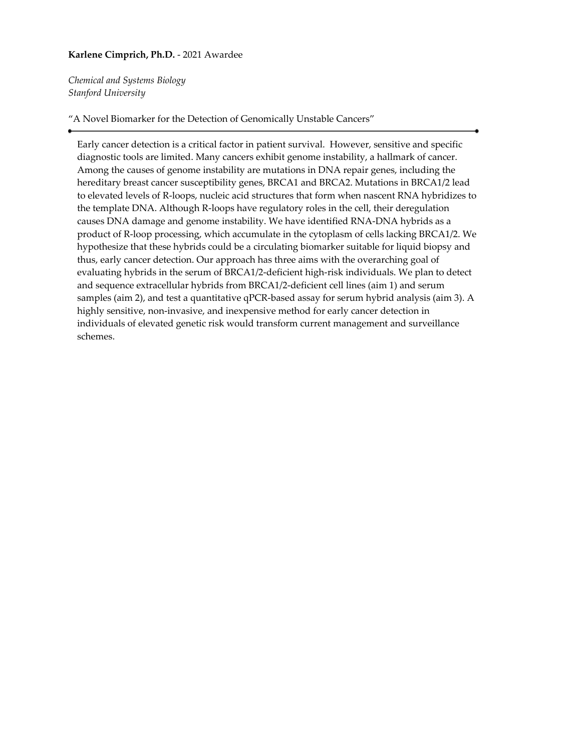# **Karlene Cimprich, Ph.D.** - 2021 Awardee

*Chemical and Systems Biology Stanford University*

### "A Novel Biomarker for the Detection of Genomically Unstable Cancers"

Early cancer detection is a critical factor in patient survival. However, sensitive and specific diagnostic tools are limited. Many cancers exhibit genome instability, a hallmark of cancer. Among the causes of genome instability are mutations in DNA repair genes, including the hereditary breast cancer susceptibility genes, BRCA1 and BRCA2. Mutations in BRCA1/2 lead to elevated levels of R-loops, nucleic acid structures that form when nascent RNA hybridizes to the template DNA. Although R-loops have regulatory roles in the cell, their deregulation causes DNA damage and genome instability. We have identified RNA-DNA hybrids as a product of R-loop processing, which accumulate in the cytoplasm of cells lacking BRCA1/2. We hypothesize that these hybrids could be a circulating biomarker suitable for liquid biopsy and thus, early cancer detection. Our approach has three aims with the overarching goal of evaluating hybrids in the serum of BRCA1/2-deficient high-risk individuals. We plan to detect and sequence extracellular hybrids from BRCA1/2-deficient cell lines (aim 1) and serum samples (aim 2), and test a quantitative qPCR-based assay for serum hybrid analysis (aim 3). A highly sensitive, non-invasive, and inexpensive method for early cancer detection in individuals of elevated genetic risk would transform current management and surveillance schemes.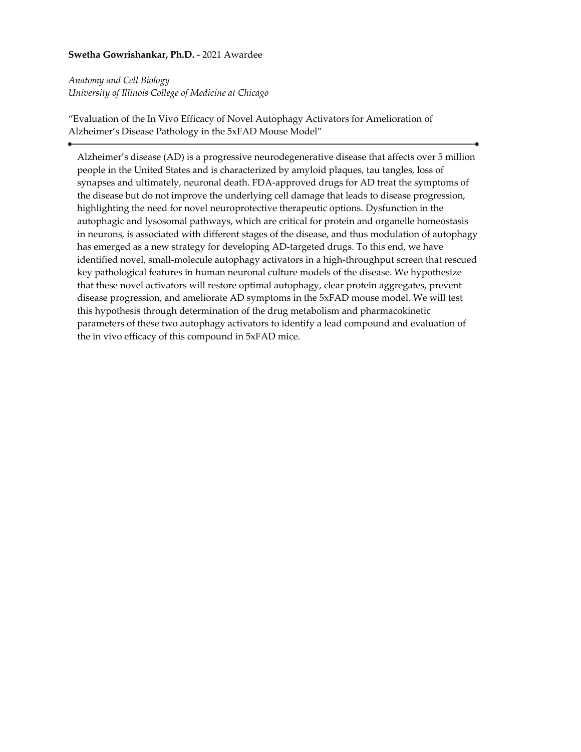# **Swetha Gowrishankar, Ph.D.** - 2021 Awardee

*Anatomy and Cell Biology University of Illinois College of Medicine at Chicago*

"Evaluation of the In Vivo Efficacy of Novel Autophagy Activators for Amelioration of Alzheimer's Disease Pathology in the 5xFAD Mouse Model"

Alzheimer's disease (AD) is a progressive neurodegenerative disease that affects over 5 million people in the United States and is characterized by amyloid plaques, tau tangles, loss of synapses and ultimately, neuronal death. FDA-approved drugs for AD treat the symptoms of the disease but do not improve the underlying cell damage that leads to disease progression, highlighting the need for novel neuroprotective therapeutic options. Dysfunction in the autophagic and lysosomal pathways, which are critical for protein and organelle homeostasis in neurons, is associated with different stages of the disease, and thus modulation of autophagy has emerged as a new strategy for developing AD-targeted drugs. To this end, we have identified novel, small-molecule autophagy activators in a high-throughput screen that rescued key pathological features in human neuronal culture models of the disease. We hypothesize that these novel activators will restore optimal autophagy, clear protein aggregates, prevent disease progression, and ameliorate AD symptoms in the 5xFAD mouse model. We will test this hypothesis through determination of the drug metabolism and pharmacokinetic parameters of these two autophagy activators to identify a lead compound and evaluation of the in vivo efficacy of this compound in 5xFAD mice.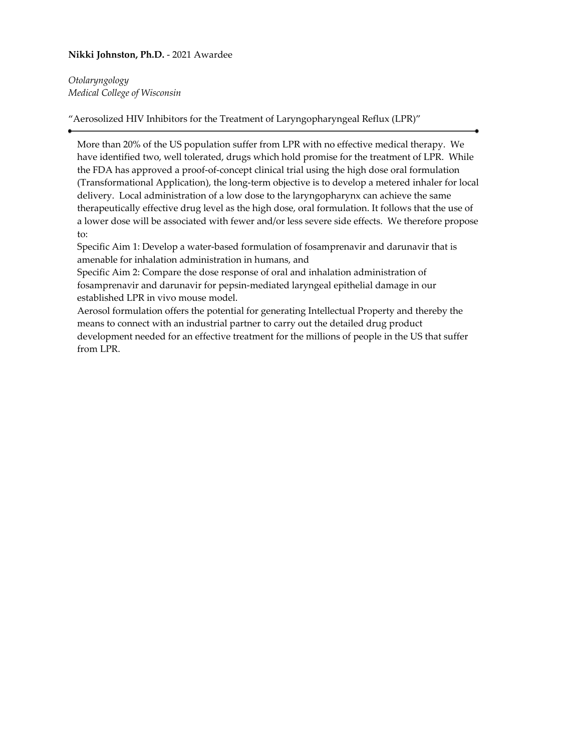# **Nikki Johnston, Ph.D.** - 2021 Awardee

*Otolaryngology Medical College of Wisconsin*

"Aerosolized HIV Inhibitors for the Treatment of Laryngopharyngeal Reflux (LPR)"

More than 20% of the US population suffer from LPR with no effective medical therapy. We have identified two, well tolerated, drugs which hold promise for the treatment of LPR. While the FDA has approved a proof-of-concept clinical trial using the high dose oral formulation (Transformational Application), the long-term objective is to develop a metered inhaler for local delivery. Local administration of a low dose to the laryngopharynx can achieve the same therapeutically effective drug level as the high dose, oral formulation. It follows that the use of a lower dose will be associated with fewer and/or less severe side effects. We therefore propose to:

Specific Aim 1: Develop a water-based formulation of fosamprenavir and darunavir that is amenable for inhalation administration in humans, and

Specific Aim 2: Compare the dose response of oral and inhalation administration of fosamprenavir and darunavir for pepsin-mediated laryngeal epithelial damage in our established LPR in vivo mouse model.

Aerosol formulation offers the potential for generating Intellectual Property and thereby the means to connect with an industrial partner to carry out the detailed drug product development needed for an effective treatment for the millions of people in the US that suffer from LPR.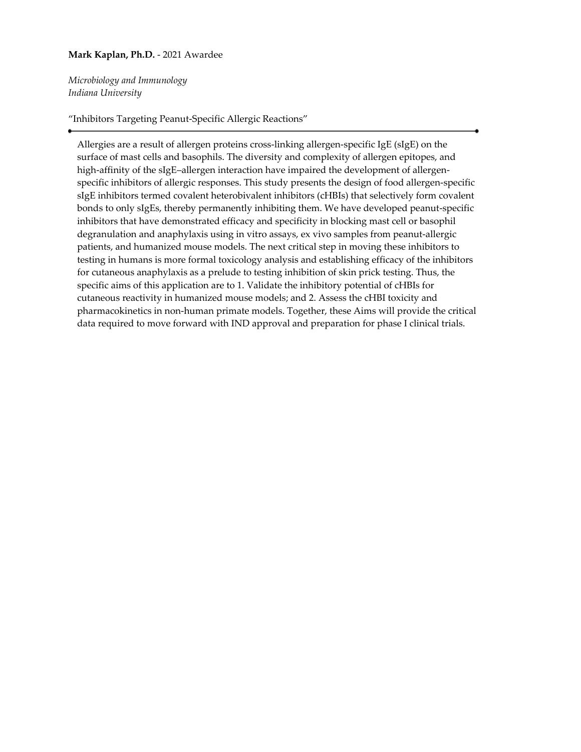# **Mark Kaplan, Ph.D.** - 2021 Awardee

*Microbiology and Immunology Indiana University*

"Inhibitors Targeting Peanut-Specific Allergic Reactions"

Allergies are a result of allergen proteins cross-linking allergen-specific IgE (sIgE) on the surface of mast cells and basophils. The diversity and complexity of allergen epitopes, and high-affinity of the sIgE–allergen interaction have impaired the development of allergenspecific inhibitors of allergic responses. This study presents the design of food allergen-specific sIgE inhibitors termed covalent heterobivalent inhibitors (cHBIs) that selectively form covalent bonds to only sIgEs, thereby permanently inhibiting them. We have developed peanut-specific inhibitors that have demonstrated efficacy and specificity in blocking mast cell or basophil degranulation and anaphylaxis using in vitro assays, ex vivo samples from peanut-allergic patients, and humanized mouse models. The next critical step in moving these inhibitors to testing in humans is more formal toxicology analysis and establishing efficacy of the inhibitors for cutaneous anaphylaxis as a prelude to testing inhibition of skin prick testing. Thus, the specific aims of this application are to 1. Validate the inhibitory potential of cHBIs for cutaneous reactivity in humanized mouse models; and 2. Assess the cHBI toxicity and pharmacokinetics in non-human primate models. Together, these Aims will provide the critical data required to move forward with IND approval and preparation for phase I clinical trials.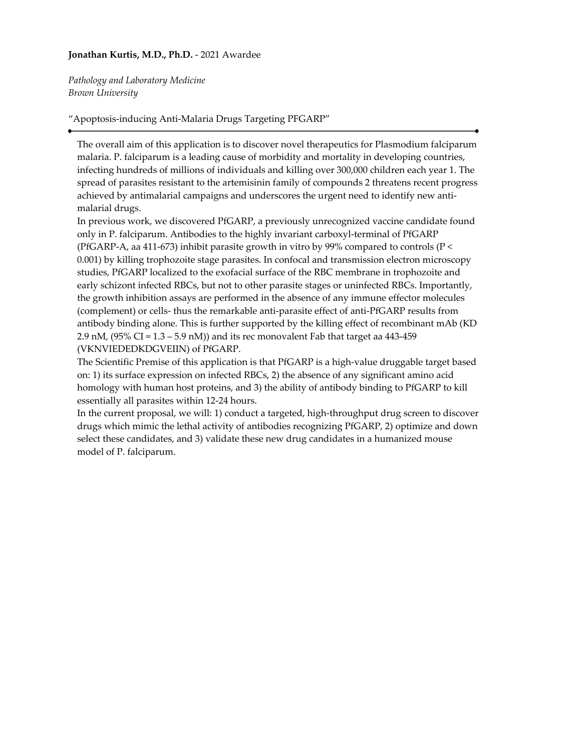### **Jonathan Kurtis, M.D., Ph.D.** - 2021 Awardee

*Pathology and Laboratory Medicine Brown University*

### "Apoptosis-inducing Anti-Malaria Drugs Targeting PFGARP"

The overall aim of this application is to discover novel therapeutics for Plasmodium falciparum malaria. P. falciparum is a leading cause of morbidity and mortality in developing countries, infecting hundreds of millions of individuals and killing over 300,000 children each year 1. The spread of parasites resistant to the artemisinin family of compounds 2 threatens recent progress achieved by antimalarial campaigns and underscores the urgent need to identify new antimalarial drugs.

In previous work, we discovered PfGARP, a previously unrecognized vaccine candidate found only in P. falciparum. Antibodies to the highly invariant carboxyl-terminal of PfGARP (PfGARP-A, aa 411-673) inhibit parasite growth in vitro by 99% compared to controls (P < 0.001) by killing trophozoite stage parasites. In confocal and transmission electron microscopy studies, PfGARP localized to the exofacial surface of the RBC membrane in trophozoite and early schizont infected RBCs, but not to other parasite stages or uninfected RBCs. Importantly, the growth inhibition assays are performed in the absence of any immune effector molecules (complement) or cells- thus the remarkable anti-parasite effect of anti-PfGARP results from antibody binding alone. This is further supported by the killing effect of recombinant mAb (KD 2.9 nM,  $(95\% \text{ CI} = 1.3 - 5.9 \text{ nM})$  and its rec monovalent Fab that target aa 443-459 (VKNVIEDEDKDGVEIIN) of PfGARP.

The Scientific Premise of this application is that PfGARP is a high-value druggable target based on: 1) its surface expression on infected RBCs, 2) the absence of any significant amino acid homology with human host proteins, and 3) the ability of antibody binding to PfGARP to kill essentially all parasites within 12-24 hours.

In the current proposal, we will: 1) conduct a targeted, high-throughput drug screen to discover drugs which mimic the lethal activity of antibodies recognizing PfGARP, 2) optimize and down select these candidates, and 3) validate these new drug candidates in a humanized mouse model of P. falciparum.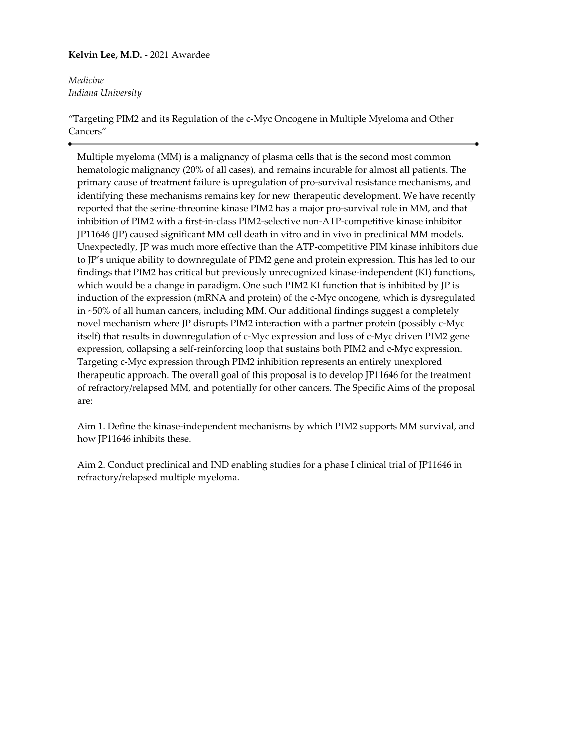# **Kelvin Lee, M.D.** - 2021 Awardee

*Medicine Indiana University*

"Targeting PIM2 and its Regulation of the c-Myc Oncogene in Multiple Myeloma and Other Cancers"

Multiple myeloma (MM) is a malignancy of plasma cells that is the second most common hematologic malignancy (20% of all cases), and remains incurable for almost all patients. The primary cause of treatment failure is upregulation of pro-survival resistance mechanisms, and identifying these mechanisms remains key for new therapeutic development. We have recently reported that the serine-threonine kinase PIM2 has a major pro-survival role in MM, and that inhibition of PIM2 with a first-in-class PIM2-selective non-ATP-competitive kinase inhibitor JP11646 (JP) caused significant MM cell death in vitro and in vivo in preclinical MM models. Unexpectedly, JP was much more effective than the ATP-competitive PIM kinase inhibitors due to JP's unique ability to downregulate of PIM2 gene and protein expression. This has led to our findings that PIM2 has critical but previously unrecognized kinase-independent (KI) functions, which would be a change in paradigm. One such PIM2 KI function that is inhibited by JP is induction of the expression (mRNA and protein) of the c-Myc oncogene, which is dysregulated in ~50% of all human cancers, including MM. Our additional findings suggest a completely novel mechanism where JP disrupts PIM2 interaction with a partner protein (possibly c-Myc itself) that results in downregulation of c-Myc expression and loss of c-Myc driven PIM2 gene expression, collapsing a self-reinforcing loop that sustains both PIM2 and c-Myc expression. Targeting c-Myc expression through PIM2 inhibition represents an entirely unexplored therapeutic approach. The overall goal of this proposal is to develop JP11646 for the treatment of refractory/relapsed MM, and potentially for other cancers. The Specific Aims of the proposal are:

Aim 1. Define the kinase-independent mechanisms by which PIM2 supports MM survival, and how JP11646 inhibits these.

Aim 2. Conduct preclinical and IND enabling studies for a phase I clinical trial of JP11646 in refractory/relapsed multiple myeloma.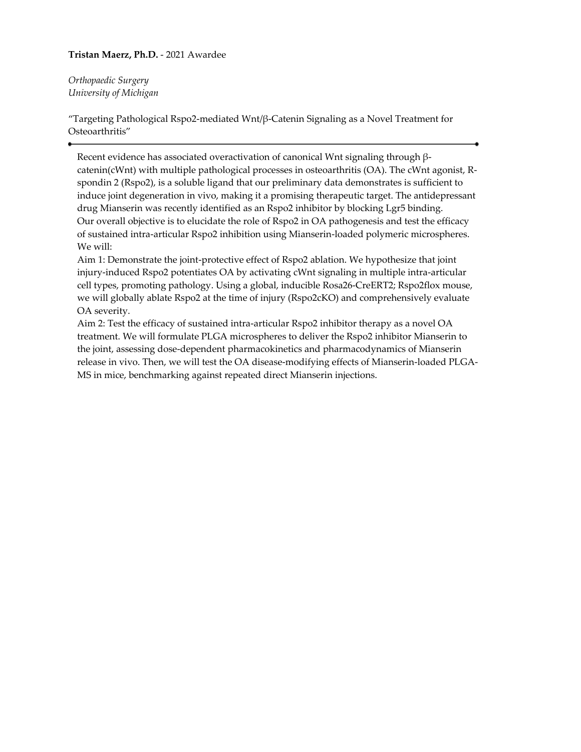# **Tristan Maerz, Ph.D.** - 2021 Awardee

*Orthopaedic Surgery University of Michigan*

"Targeting Pathological Rspo2-mediated Wnt/β-Catenin Signaling as a Novel Treatment for Osteoarthritis"

Recent evidence has associated overactivation of canonical Wnt signaling through βcatenin(cWnt) with multiple pathological processes in osteoarthritis (OA). The cWnt agonist, Rspondin 2 (Rspo2), is a soluble ligand that our preliminary data demonstrates is sufficient to induce joint degeneration in vivo, making it a promising therapeutic target. The antidepressant drug Mianserin was recently identified as an Rspo2 inhibitor by blocking Lgr5 binding. Our overall objective is to elucidate the role of Rspo2 in OA pathogenesis and test the efficacy of sustained intra-articular Rspo2 inhibition using Mianserin-loaded polymeric microspheres. We will:

Aim 1: Demonstrate the joint-protective effect of Rspo2 ablation. We hypothesize that joint injury-induced Rspo2 potentiates OA by activating cWnt signaling in multiple intra-articular cell types, promoting pathology. Using a global, inducible Rosa26-CreERT2; Rspo2flox mouse, we will globally ablate Rspo2 at the time of injury (Rspo2cKO) and comprehensively evaluate OA severity.

Aim 2: Test the efficacy of sustained intra-articular Rspo2 inhibitor therapy as a novel OA treatment. We will formulate PLGA microspheres to deliver the Rspo2 inhibitor Mianserin to the joint, assessing dose-dependent pharmacokinetics and pharmacodynamics of Mianserin release in vivo. Then, we will test the OA disease-modifying effects of Mianserin-loaded PLGA-MS in mice, benchmarking against repeated direct Mianserin injections.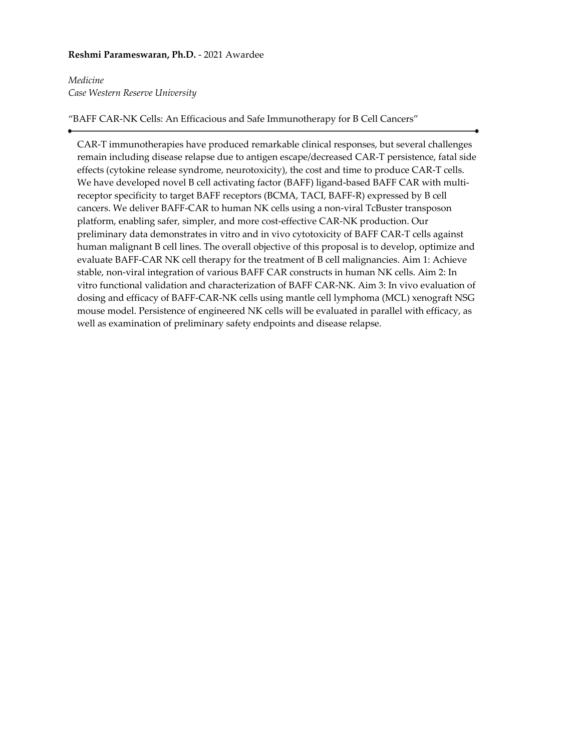### **Reshmi Parameswaran, Ph.D.** - 2021 Awardee

# *Medicine Case Western Reserve University*

### "BAFF CAR-NK Cells: An Efficacious and Safe Immunotherapy for B Cell Cancers"

CAR-T immunotherapies have produced remarkable clinical responses, but several challenges remain including disease relapse due to antigen escape/decreased CAR-T persistence, fatal side effects (cytokine release syndrome, neurotoxicity), the cost and time to produce CAR-T cells. We have developed novel B cell activating factor (BAFF) ligand-based BAFF CAR with multireceptor specificity to target BAFF receptors (BCMA, TACI, BAFF-R) expressed by B cell cancers. We deliver BAFF-CAR to human NK cells using a non-viral TcBuster transposon platform, enabling safer, simpler, and more cost-effective CAR-NK production. Our preliminary data demonstrates in vitro and in vivo cytotoxicity of BAFF CAR-T cells against human malignant B cell lines. The overall objective of this proposal is to develop, optimize and evaluate BAFF-CAR NK cell therapy for the treatment of B cell malignancies. Aim 1: Achieve stable, non-viral integration of various BAFF CAR constructs in human NK cells. Aim 2: In vitro functional validation and characterization of BAFF CAR-NK. Aim 3: In vivo evaluation of dosing and efficacy of BAFF-CAR-NK cells using mantle cell lymphoma (MCL) xenograft NSG mouse model. Persistence of engineered NK cells will be evaluated in parallel with efficacy, as well as examination of preliminary safety endpoints and disease relapse.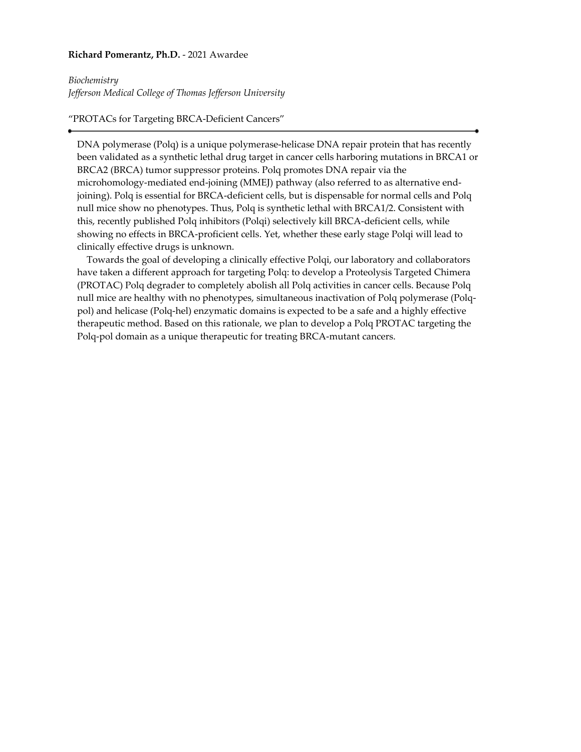#### **Richard Pomerantz, Ph.D.** - 2021 Awardee

#### *Biochemistry*

*Jefferson Medical College of Thomas Jefferson University*

# "PROTACs for Targeting BRCA-Deficient Cancers"

DNA polymerase (Polq) is a unique polymerase-helicase DNA repair protein that has recently been validated as a synthetic lethal drug target in cancer cells harboring mutations in BRCA1 or BRCA2 (BRCA) tumor suppressor proteins. Polq promotes DNA repair via the microhomology-mediated end-joining (MMEJ) pathway (also referred to as alternative endjoining). Polq is essential for BRCA-deficient cells, but is dispensable for normal cells and Polq null mice show no phenotypes. Thus, Polq is synthetic lethal with BRCA1/2. Consistent with this, recently published Polq inhibitors (Polqi) selectively kill BRCA-deficient cells, while showing no effects in BRCA-proficient cells. Yet, whether these early stage Polqi will lead to clinically effective drugs is unknown.

 Towards the goal of developing a clinically effective Polqi, our laboratory and collaborators have taken a different approach for targeting Polq: to develop a Proteolysis Targeted Chimera (PROTAC) Polq degrader to completely abolish all Polq activities in cancer cells. Because Polq null mice are healthy with no phenotypes, simultaneous inactivation of Polq polymerase (Polqpol) and helicase (Polq-hel) enzymatic domains is expected to be a safe and a highly effective therapeutic method. Based on this rationale, we plan to develop a Polq PROTAC targeting the Polq-pol domain as a unique therapeutic for treating BRCA-mutant cancers.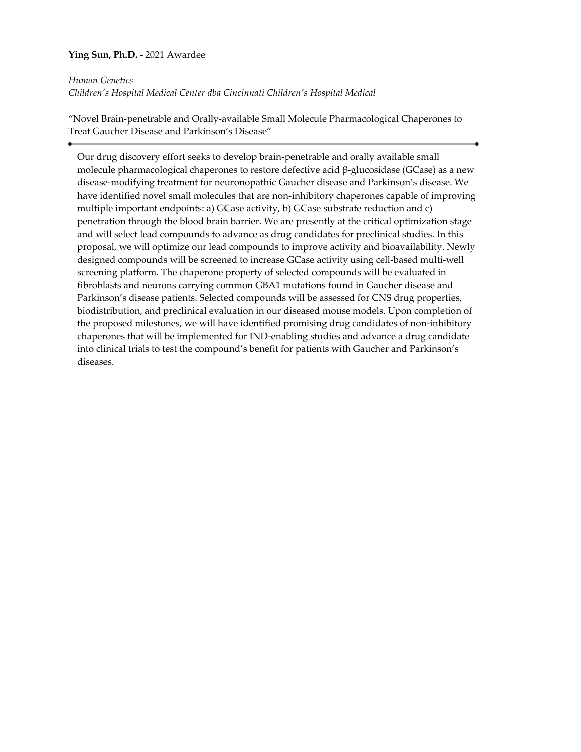# **Ying Sun, Ph.D.** - 2021 Awardee

*Human Genetics*

*Children's Hospital Medical Center dba Cincinnati Children's Hospital Medical*

"Novel Brain-penetrable and Orally-available Small Molecule Pharmacological Chaperones to Treat Gaucher Disease and Parkinson's Disease"

Our drug discovery effort seeks to develop brain-penetrable and orally available small molecule pharmacological chaperones to restore defective acid β-glucosidase (GCase) as a new disease-modifying treatment for neuronopathic Gaucher disease and Parkinson's disease. We have identified novel small molecules that are non-inhibitory chaperones capable of improving multiple important endpoints: a) GCase activity, b) GCase substrate reduction and c) penetration through the blood brain barrier. We are presently at the critical optimization stage and will select lead compounds to advance as drug candidates for preclinical studies. In this proposal, we will optimize our lead compounds to improve activity and bioavailability. Newly designed compounds will be screened to increase GCase activity using cell-based multi-well screening platform. The chaperone property of selected compounds will be evaluated in fibroblasts and neurons carrying common GBA1 mutations found in Gaucher disease and Parkinson's disease patients. Selected compounds will be assessed for CNS drug properties, biodistribution, and preclinical evaluation in our diseased mouse models. Upon completion of the proposed milestones, we will have identified promising drug candidates of non-inhibitory chaperones that will be implemented for IND-enabling studies and advance a drug candidate into clinical trials to test the compound's benefit for patients with Gaucher and Parkinson's diseases.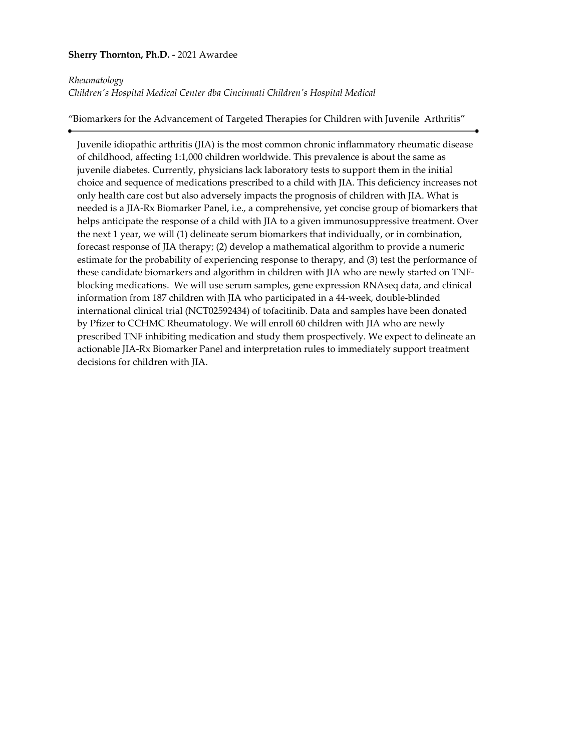# **Sherry Thornton, Ph.D.** - 2021 Awardee

### *Rheumatology*

*Children's Hospital Medical Center dba Cincinnati Children's Hospital Medical*

"Biomarkers for the Advancement of Targeted Therapies for Children with Juvenile Arthritis"

Juvenile idiopathic arthritis (JIA) is the most common chronic inflammatory rheumatic disease of childhood, affecting 1:1,000 children worldwide. This prevalence is about the same as juvenile diabetes. Currently, physicians lack laboratory tests to support them in the initial choice and sequence of medications prescribed to a child with JIA. This deficiency increases not only health care cost but also adversely impacts the prognosis of children with JIA. What is needed is a JIA-Rx Biomarker Panel, i.e., a comprehensive, yet concise group of biomarkers that helps anticipate the response of a child with JIA to a given immunosuppressive treatment. Over the next 1 year, we will (1) delineate serum biomarkers that individually, or in combination, forecast response of JIA therapy; (2) develop a mathematical algorithm to provide a numeric estimate for the probability of experiencing response to therapy, and (3) test the performance of these candidate biomarkers and algorithm in children with JIA who are newly started on TNFblocking medications. We will use serum samples, gene expression RNAseq data, and clinical information from 187 children with JIA who participated in a 44-week, double-blinded international clinical trial (NCT02592434) of tofacitinib. Data and samples have been donated by Pfizer to CCHMC Rheumatology. We will enroll 60 children with JIA who are newly prescribed TNF inhibiting medication and study them prospectively. We expect to delineate an actionable JIA-Rx Biomarker Panel and interpretation rules to immediately support treatment decisions for children with JIA.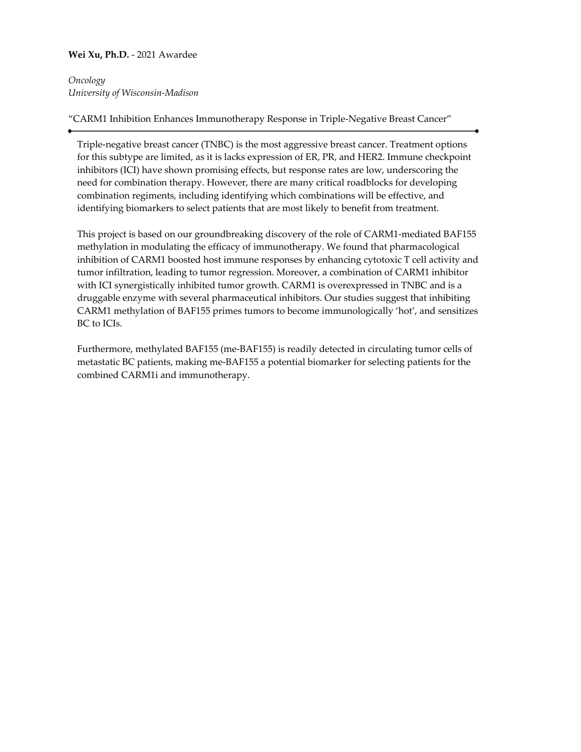# **Wei Xu, Ph.D.** - 2021 Awardee

*Oncology University of Wisconsin-Madison*

# "CARM1 Inhibition Enhances Immunotherapy Response in Triple-Negative Breast Cancer"

Triple-negative breast cancer (TNBC) is the most aggressive breast cancer. Treatment options for this subtype are limited, as it is lacks expression of ER, PR, and HER2. Immune checkpoint inhibitors (ICI) have shown promising effects, but response rates are low, underscoring the need for combination therapy. However, there are many critical roadblocks for developing combination regiments, including identifying which combinations will be effective, and identifying biomarkers to select patients that are most likely to benefit from treatment.

This project is based on our groundbreaking discovery of the role of CARM1-mediated BAF155 methylation in modulating the efficacy of immunotherapy. We found that pharmacological inhibition of CARM1 boosted host immune responses by enhancing cytotoxic T cell activity and tumor infiltration, leading to tumor regression. Moreover, a combination of CARM1 inhibitor with ICI synergistically inhibited tumor growth. CARM1 is overexpressed in TNBC and is a druggable enzyme with several pharmaceutical inhibitors. Our studies suggest that inhibiting CARM1 methylation of BAF155 primes tumors to become immunologically 'hot', and sensitizes BC to ICIs.

Furthermore, methylated BAF155 (me-BAF155) is readily detected in circulating tumor cells of metastatic BC patients, making me-BAF155 a potential biomarker for selecting patients for the combined CARM1i and immunotherapy.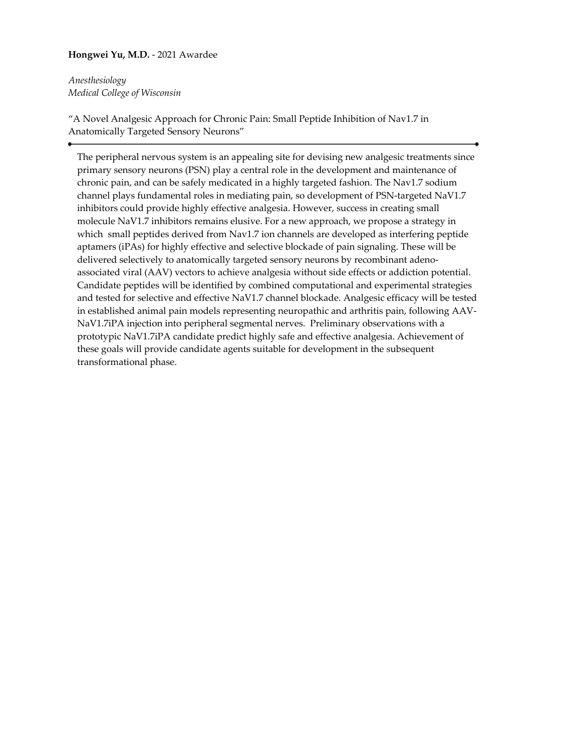# **Hongwei Yu, M.D.** - 2021 Awardee

*Anesthesiology Medical College of Wisconsin*

"A Novel Analgesic Approach for Chronic Pain: Small Peptide Inhibition of Nav1.7 in Anatomically Targeted Sensory Neurons"

The peripheral nervous system is an appealing site for devising new analgesic treatments since primary sensory neurons (PSN) play a central role in the development and maintenance of chronic pain, and can be safely medicated in a highly targeted fashion. The Nav1.7 sodium channel plays fundamental roles in mediating pain, so development of PSN-targeted NaV1.7 inhibitors could provide highly effective analgesia. However, success in creating small molecule NaV1.7 inhibitors remains elusive. For a new approach, we propose a strategy in which small peptides derived from Nav1.7 ion channels are developed as interfering peptide aptamers (iPAs) for highly effective and selective blockade of pain signaling. These will be delivered selectively to anatomically targeted sensory neurons by recombinant adenoassociated viral (AAV) vectors to achieve analgesia without side effects or addiction potential. Candidate peptides will be identified by combined computational and experimental strategies and tested for selective and effective NaV1.7 channel blockade. Analgesic efficacy will be tested in established animal pain models representing neuropathic and arthritis pain, following AAV-NaV1.7iPA injection into peripheral segmental nerves. Preliminary observations with a prototypic NaV1.7iPA candidate predict highly safe and effective analgesia. Achievement of these goals will provide candidate agents suitable for development in the subsequent transformational phase.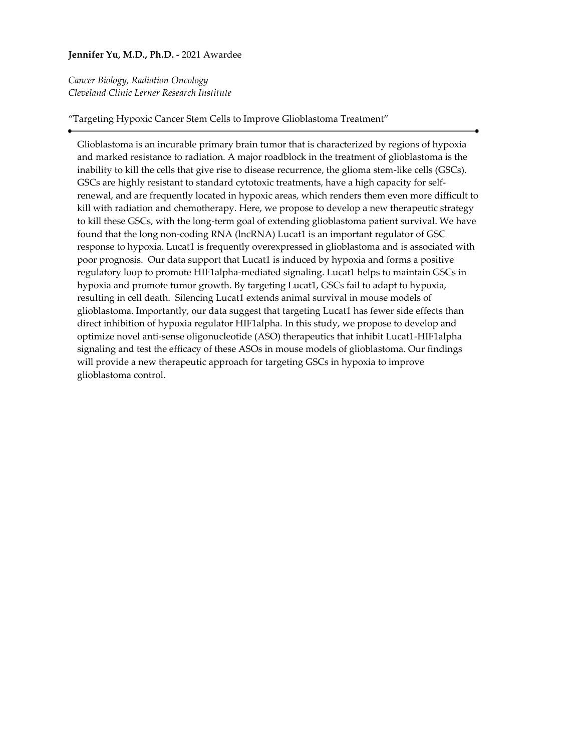# **Jennifer Yu, M.D., Ph.D.** - 2021 Awardee

*Cancer Biology, Radiation Oncology Cleveland Clinic Lerner Research Institute*

"Targeting Hypoxic Cancer Stem Cells to Improve Glioblastoma Treatment"

Glioblastoma is an incurable primary brain tumor that is characterized by regions of hypoxia and marked resistance to radiation. A major roadblock in the treatment of glioblastoma is the inability to kill the cells that give rise to disease recurrence, the glioma stem-like cells (GSCs). GSCs are highly resistant to standard cytotoxic treatments, have a high capacity for selfrenewal, and are frequently located in hypoxic areas, which renders them even more difficult to kill with radiation and chemotherapy. Here, we propose to develop a new therapeutic strategy to kill these GSCs, with the long-term goal of extending glioblastoma patient survival. We have found that the long non-coding RNA (lncRNA) Lucat1 is an important regulator of GSC response to hypoxia. Lucat1 is frequently overexpressed in glioblastoma and is associated with poor prognosis. Our data support that Lucat1 is induced by hypoxia and forms a positive regulatory loop to promote HIF1alpha-mediated signaling. Lucat1 helps to maintain GSCs in hypoxia and promote tumor growth. By targeting Lucat1, GSCs fail to adapt to hypoxia, resulting in cell death. Silencing Lucat1 extends animal survival in mouse models of glioblastoma. Importantly, our data suggest that targeting Lucat1 has fewer side effects than direct inhibition of hypoxia regulator HIF1alpha. In this study, we propose to develop and optimize novel anti-sense oligonucleotide (ASO) therapeutics that inhibit Lucat1-HIF1alpha signaling and test the efficacy of these ASOs in mouse models of glioblastoma. Our findings will provide a new therapeutic approach for targeting GSCs in hypoxia to improve glioblastoma control.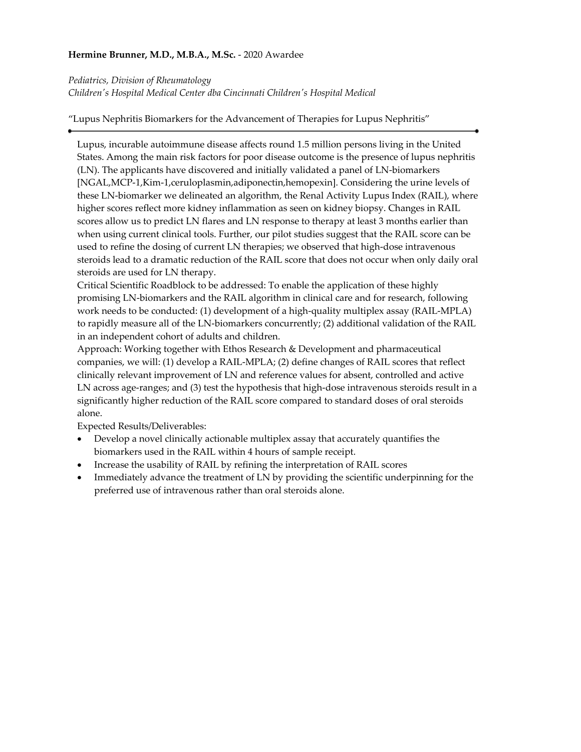# **Hermine Brunner, M.D., M.B.A., M.Sc.** - 2020 Awardee

*Pediatrics, Division of Rheumatology*

*Children's Hospital Medical Center dba Cincinnati Children's Hospital Medical*

"Lupus Nephritis Biomarkers for the Advancement of Therapies for Lupus Nephritis"

Lupus, incurable autoimmune disease affects round 1.5 million persons living in the United States. Among the main risk factors for poor disease outcome is the presence of lupus nephritis (LN). The applicants have discovered and initially validated a panel of LN-biomarkers [NGAL,MCP-1,Kim-1,ceruloplasmin,adiponectin,hemopexin]. Considering the urine levels of these LN-biomarker we delineated an algorithm, the Renal Activity Lupus Index (RAIL), where higher scores reflect more kidney inflammation as seen on kidney biopsy. Changes in RAIL scores allow us to predict LN flares and LN response to therapy at least 3 months earlier than when using current clinical tools. Further, our pilot studies suggest that the RAIL score can be used to refine the dosing of current LN therapies; we observed that high-dose intravenous steroids lead to a dramatic reduction of the RAIL score that does not occur when only daily oral steroids are used for LN therapy.

Critical Scientific Roadblock to be addressed: To enable the application of these highly promising LN-biomarkers and the RAIL algorithm in clinical care and for research, following work needs to be conducted: (1) development of a high-quality multiplex assay (RAIL-MPLA) to rapidly measure all of the LN-biomarkers concurrently; (2) additional validation of the RAIL in an independent cohort of adults and children.

Approach: Working together with Ethos Research & Development and pharmaceutical companies, we will: (1) develop a RAIL-MPLA; (2) define changes of RAIL scores that reflect clinically relevant improvement of LN and reference values for absent, controlled and active LN across age-ranges; and (3) test the hypothesis that high-dose intravenous steroids result in a significantly higher reduction of the RAIL score compared to standard doses of oral steroids alone.

Expected Results/Deliverables:

- Develop a novel clinically actionable multiplex assay that accurately quantifies the biomarkers used in the RAIL within 4 hours of sample receipt.
- Increase the usability of RAIL by refining the interpretation of RAIL scores
- Immediately advance the treatment of LN by providing the scientific underpinning for the preferred use of intravenous rather than oral steroids alone.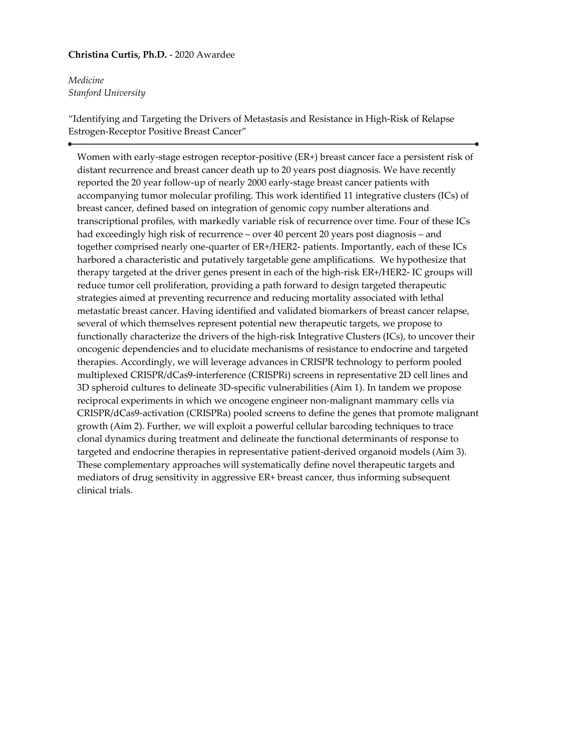# **Christina Curtis, Ph.D.** - 2020 Awardee

*Medicine Stanford University*

"Identifying and Targeting the Drivers of Metastasis and Resistance in High-Risk of Relapse Estrogen-Receptor Positive Breast Cancer"

Women with early-stage estrogen receptor-positive (ER+) breast cancer face a persistent risk of distant recurrence and breast cancer death up to 20 years post diagnosis. We have recently reported the 20 year follow-up of nearly 2000 early-stage breast cancer patients with accompanying tumor molecular profiling. This work identified 11 integrative clusters (ICs) of breast cancer, defined based on integration of genomic copy number alterations and transcriptional profiles, with markedly variable risk of recurrence over time. Four of these ICs had exceedingly high risk of recurrence – over 40 percent 20 years post diagnosis – and together comprised nearly one-quarter of ER+/HER2- patients. Importantly, each of these ICs harbored a characteristic and putatively targetable gene amplifications. We hypothesize that therapy targeted at the driver genes present in each of the high-risk ER+/HER2- IC groups will reduce tumor cell proliferation, providing a path forward to design targeted therapeutic strategies aimed at preventing recurrence and reducing mortality associated with lethal metastatic breast cancer. Having identified and validated biomarkers of breast cancer relapse, several of which themselves represent potential new therapeutic targets, we propose to functionally characterize the drivers of the high-risk Integrative Clusters (ICs), to uncover their oncogenic dependencies and to elucidate mechanisms of resistance to endocrine and targeted therapies. Accordingly, we will leverage advances in CRISPR technology to perform pooled multiplexed CRISPR/dCas9-interference (CRISPRi) screens in representative 2D cell lines and 3D spheroid cultures to delineate 3D-specific vulnerabilities (Aim 1). In tandem we propose reciprocal experiments in which we oncogene engineer non-malignant mammary cells via CRISPR/dCas9-activation (CRISPRa) pooled screens to define the genes that promote malignant growth (Aim 2). Further, we will exploit a powerful cellular barcoding techniques to trace clonal dynamics during treatment and delineate the functional determinants of response to targeted and endocrine therapies in representative patient-derived organoid models (Aim 3). These complementary approaches will systematically define novel therapeutic targets and mediators of drug sensitivity in aggressive ER+ breast cancer, thus informing subsequent clinical trials.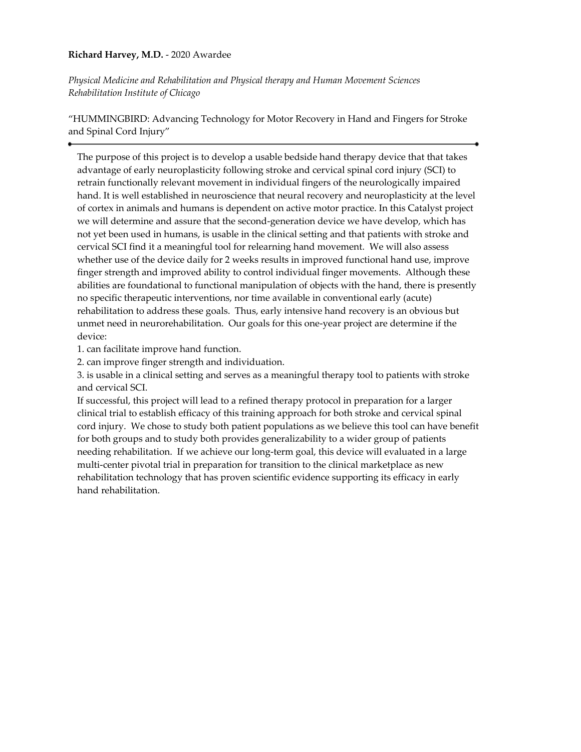# **Richard Harvey, M.D.** - 2020 Awardee

*Physical Medicine and Rehabilitation and Physical therapy and Human Movement Sciences Rehabilitation Institute of Chicago*

"HUMMINGBIRD: Advancing Technology for Motor Recovery in Hand and Fingers for Stroke and Spinal Cord Injury"

The purpose of this project is to develop a usable bedside hand therapy device that that takes advantage of early neuroplasticity following stroke and cervical spinal cord injury (SCI) to retrain functionally relevant movement in individual fingers of the neurologically impaired hand. It is well established in neuroscience that neural recovery and neuroplasticity at the level of cortex in animals and humans is dependent on active motor practice. In this Catalyst project we will determine and assure that the second-generation device we have develop, which has not yet been used in humans, is usable in the clinical setting and that patients with stroke and cervical SCI find it a meaningful tool for relearning hand movement. We will also assess whether use of the device daily for 2 weeks results in improved functional hand use, improve finger strength and improved ability to control individual finger movements. Although these abilities are foundational to functional manipulation of objects with the hand, there is presently no specific therapeutic interventions, nor time available in conventional early (acute) rehabilitation to address these goals. Thus, early intensive hand recovery is an obvious but unmet need in neurorehabilitation. Our goals for this one-year project are determine if the device:

1. can facilitate improve hand function.

2. can improve finger strength and individuation.

3. is usable in a clinical setting and serves as a meaningful therapy tool to patients with stroke and cervical SCI.

If successful, this project will lead to a refined therapy protocol in preparation for a larger clinical trial to establish efficacy of this training approach for both stroke and cervical spinal cord injury. We chose to study both patient populations as we believe this tool can have benefit for both groups and to study both provides generalizability to a wider group of patients needing rehabilitation. If we achieve our long-term goal, this device will evaluated in a large multi-center pivotal trial in preparation for transition to the clinical marketplace as new rehabilitation technology that has proven scientific evidence supporting its efficacy in early hand rehabilitation.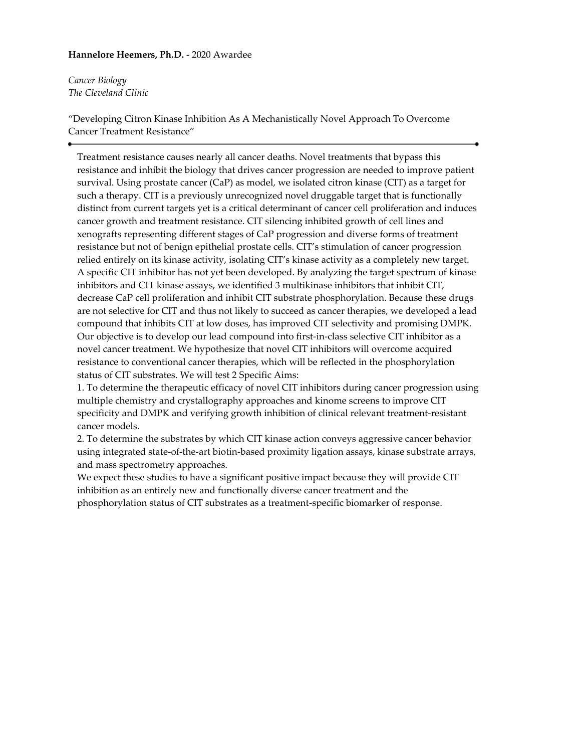## **Hannelore Heemers, Ph.D.** - 2020 Awardee

*Cancer Biology The Cleveland Clinic*

"Developing Citron Kinase Inhibition As A Mechanistically Novel Approach To Overcome Cancer Treatment Resistance"

Treatment resistance causes nearly all cancer deaths. Novel treatments that bypass this resistance and inhibit the biology that drives cancer progression are needed to improve patient survival. Using prostate cancer (CaP) as model, we isolated citron kinase (CIT) as a target for such a therapy. CIT is a previously unrecognized novel druggable target that is functionally distinct from current targets yet is a critical determinant of cancer cell proliferation and induces cancer growth and treatment resistance. CIT silencing inhibited growth of cell lines and xenografts representing different stages of CaP progression and diverse forms of treatment resistance but not of benign epithelial prostate cells. CIT's stimulation of cancer progression relied entirely on its kinase activity, isolating CIT's kinase activity as a completely new target. A specific CIT inhibitor has not yet been developed. By analyzing the target spectrum of kinase inhibitors and CIT kinase assays, we identified 3 multikinase inhibitors that inhibit CIT, decrease CaP cell proliferation and inhibit CIT substrate phosphorylation. Because these drugs are not selective for CIT and thus not likely to succeed as cancer therapies, we developed a lead compound that inhibits CIT at low doses, has improved CIT selectivity and promising DMPK. Our objective is to develop our lead compound into first-in-class selective CIT inhibitor as a novel cancer treatment. We hypothesize that novel CIT inhibitors will overcome acquired resistance to conventional cancer therapies, which will be reflected in the phosphorylation status of CIT substrates. We will test 2 Specific Aims:

1. To determine the therapeutic efficacy of novel CIT inhibitors during cancer progression using multiple chemistry and crystallography approaches and kinome screens to improve CIT specificity and DMPK and verifying growth inhibition of clinical relevant treatment-resistant cancer models.

2. To determine the substrates by which CIT kinase action conveys aggressive cancer behavior using integrated state-of-the-art biotin-based proximity ligation assays, kinase substrate arrays, and mass spectrometry approaches.

We expect these studies to have a significant positive impact because they will provide CIT inhibition as an entirely new and functionally diverse cancer treatment and the phosphorylation status of CIT substrates as a treatment-specific biomarker of response.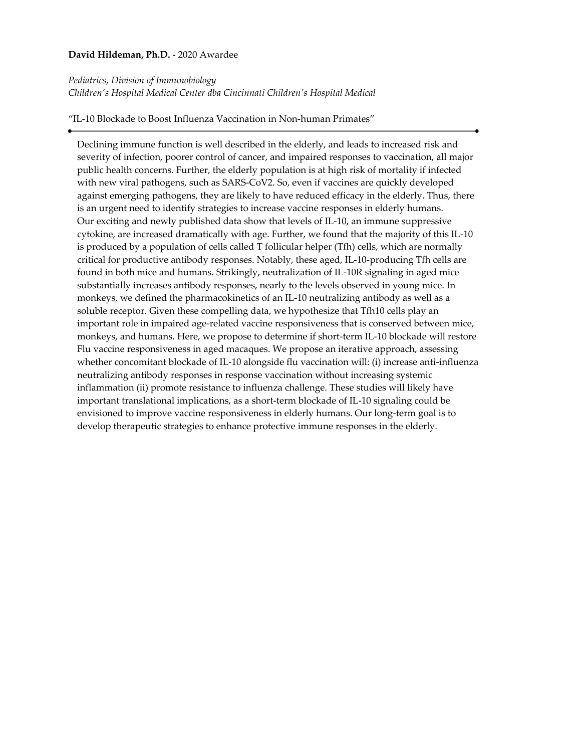### **David Hildeman, Ph.D.** - 2020 Awardee

#### *Pediatrics, Division of Immunobiology*

*Children's Hospital Medical Center dba Cincinnati Children's Hospital Medical*

"IL-10 Blockade to Boost Influenza Vaccination in Non-human Primates"

Declining immune function is well described in the elderly, and leads to increased risk and severity of infection, poorer control of cancer, and impaired responses to vaccination, all major public health concerns. Further, the elderly population is at high risk of mortality if infected with new viral pathogens, such as SARS-CoV2. So, even if vaccines are quickly developed against emerging pathogens, they are likely to have reduced efficacy in the elderly. Thus, there is an urgent need to identify strategies to increase vaccine responses in elderly humans. Our exciting and newly published data show that levels of IL-10, an immune suppressive cytokine, are increased dramatically with age. Further, we found that the majority of this IL-10 is produced by a population of cells called T follicular helper (Tfh) cells, which are normally critical for productive antibody responses. Notably, these aged, IL-10-producing Tfh cells are found in both mice and humans. Strikingly, neutralization of IL-10R signaling in aged mice substantially increases antibody responses, nearly to the levels observed in young mice. In monkeys, we defined the pharmacokinetics of an IL-10 neutralizing antibody as well as a soluble receptor. Given these compelling data, we hypothesize that Tfh10 cells play an important role in impaired age-related vaccine responsiveness that is conserved between mice, monkeys, and humans. Here, we propose to determine if short-term IL-10 blockade will restore Flu vaccine responsiveness in aged macaques. We propose an iterative approach, assessing whether concomitant blockade of IL-10 alongside flu vaccination will: (i) increase anti-influenza neutralizing antibody responses in response vaccination without increasing systemic inflammation (ii) promote resistance to influenza challenge. These studies will likely have important translational implications, as a short-term blockade of IL-10 signaling could be envisioned to improve vaccine responsiveness in elderly humans. Our long-term goal is to develop therapeutic strategies to enhance protective immune responses in the elderly.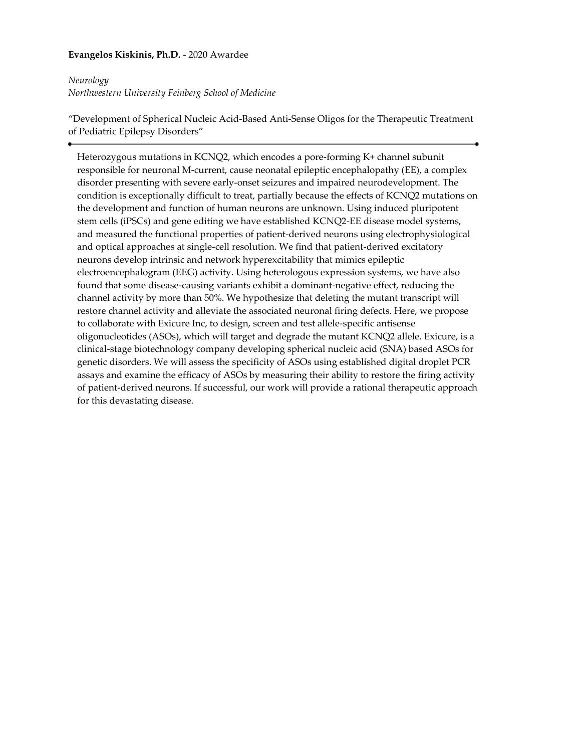# **Evangelos Kiskinis, Ph.D.** - 2020 Awardee

### *Neurology*

*Northwestern University Feinberg School of Medicine*

"Development of Spherical Nucleic Acid-Based Anti-Sense Oligos for the Therapeutic Treatment of Pediatric Epilepsy Disorders"

Heterozygous mutations in KCNQ2, which encodes a pore-forming K+ channel subunit responsible for neuronal M-current, cause neonatal epileptic encephalopathy (EE), a complex disorder presenting with severe early-onset seizures and impaired neurodevelopment. The condition is exceptionally difficult to treat, partially because the effects of KCNQ2 mutations on the development and function of human neurons are unknown. Using induced pluripotent stem cells (iPSCs) and gene editing we have established KCNQ2-EE disease model systems, and measured the functional properties of patient-derived neurons using electrophysiological and optical approaches at single-cell resolution. We find that patient-derived excitatory neurons develop intrinsic and network hyperexcitability that mimics epileptic electroencephalogram (EEG) activity. Using heterologous expression systems, we have also found that some disease-causing variants exhibit a dominant-negative effect, reducing the channel activity by more than 50%. We hypothesize that deleting the mutant transcript will restore channel activity and alleviate the associated neuronal firing defects. Here, we propose to collaborate with Exicure Inc, to design, screen and test allele-specific antisense oligonucleotides (ASOs), which will target and degrade the mutant KCNQ2 allele. Exicure, is a clinical-stage biotechnology company developing spherical nucleic acid (SNA) based ASOs for genetic disorders. We will assess the specificity of ASOs using established digital droplet PCR assays and examine the efficacy of ASOs by measuring their ability to restore the firing activity of patient-derived neurons. If successful, our work will provide a rational therapeutic approach for this devastating disease.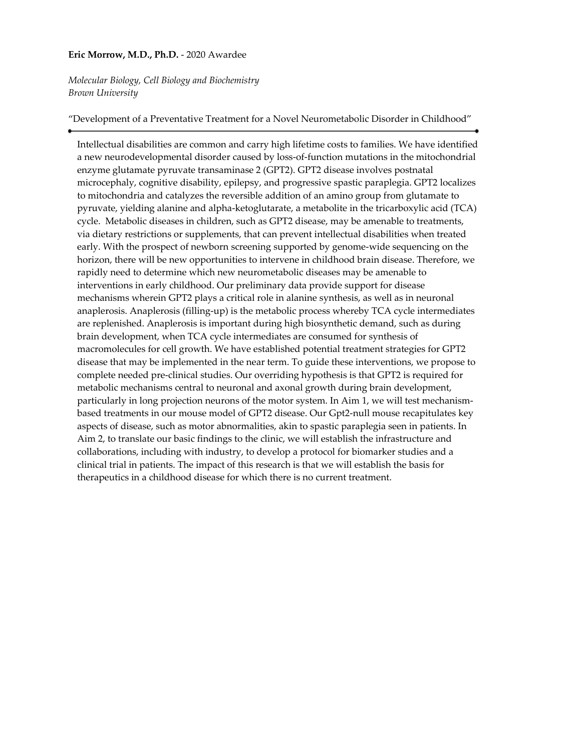### **Eric Morrow, M.D., Ph.D.** - 2020 Awardee

*Molecular Biology, Cell Biology and Biochemistry Brown University*

"Development of a Preventative Treatment for a Novel Neurometabolic Disorder in Childhood"

Intellectual disabilities are common and carry high lifetime costs to families. We have identified a new neurodevelopmental disorder caused by loss-of-function mutations in the mitochondrial enzyme glutamate pyruvate transaminase 2 (GPT2). GPT2 disease involves postnatal microcephaly, cognitive disability, epilepsy, and progressive spastic paraplegia. GPT2 localizes to mitochondria and catalyzes the reversible addition of an amino group from glutamate to pyruvate, yielding alanine and alpha-ketoglutarate, a metabolite in the tricarboxylic acid (TCA) cycle. Metabolic diseases in children, such as GPT2 disease, may be amenable to treatments, via dietary restrictions or supplements, that can prevent intellectual disabilities when treated early. With the prospect of newborn screening supported by genome-wide sequencing on the horizon, there will be new opportunities to intervene in childhood brain disease. Therefore, we rapidly need to determine which new neurometabolic diseases may be amenable to interventions in early childhood. Our preliminary data provide support for disease mechanisms wherein GPT2 plays a critical role in alanine synthesis, as well as in neuronal anaplerosis. Anaplerosis (filling-up) is the metabolic process whereby TCA cycle intermediates are replenished. Anaplerosis is important during high biosynthetic demand, such as during brain development, when TCA cycle intermediates are consumed for synthesis of macromolecules for cell growth. We have established potential treatment strategies for GPT2 disease that may be implemented in the near term. To guide these interventions, we propose to complete needed pre-clinical studies. Our overriding hypothesis is that GPT2 is required for metabolic mechanisms central to neuronal and axonal growth during brain development, particularly in long projection neurons of the motor system. In Aim 1, we will test mechanismbased treatments in our mouse model of GPT2 disease. Our Gpt2-null mouse recapitulates key aspects of disease, such as motor abnormalities, akin to spastic paraplegia seen in patients. In Aim 2, to translate our basic findings to the clinic, we will establish the infrastructure and collaborations, including with industry, to develop a protocol for biomarker studies and a clinical trial in patients. The impact of this research is that we will establish the basis for therapeutics in a childhood disease for which there is no current treatment.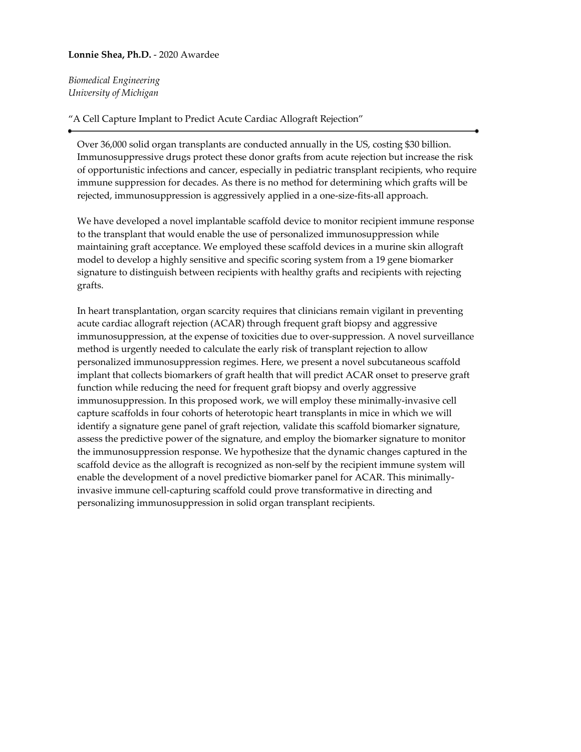### **Lonnie Shea, Ph.D.** - 2020 Awardee

*Biomedical Engineering University of Michigan*

### "A Cell Capture Implant to Predict Acute Cardiac Allograft Rejection"

Over 36,000 solid organ transplants are conducted annually in the US, costing \$30 billion. Immunosuppressive drugs protect these donor grafts from acute rejection but increase the risk of opportunistic infections and cancer, especially in pediatric transplant recipients, who require immune suppression for decades. As there is no method for determining which grafts will be rejected, immunosuppression is aggressively applied in a one-size-fits-all approach.

We have developed a novel implantable scaffold device to monitor recipient immune response to the transplant that would enable the use of personalized immunosuppression while maintaining graft acceptance. We employed these scaffold devices in a murine skin allograft model to develop a highly sensitive and specific scoring system from a 19 gene biomarker signature to distinguish between recipients with healthy grafts and recipients with rejecting grafts.

In heart transplantation, organ scarcity requires that clinicians remain vigilant in preventing acute cardiac allograft rejection (ACAR) through frequent graft biopsy and aggressive immunosuppression, at the expense of toxicities due to over-suppression. A novel surveillance method is urgently needed to calculate the early risk of transplant rejection to allow personalized immunosuppression regimes. Here, we present a novel subcutaneous scaffold implant that collects biomarkers of graft health that will predict ACAR onset to preserve graft function while reducing the need for frequent graft biopsy and overly aggressive immunosuppression. In this proposed work, we will employ these minimally-invasive cell capture scaffolds in four cohorts of heterotopic heart transplants in mice in which we will identify a signature gene panel of graft rejection, validate this scaffold biomarker signature, assess the predictive power of the signature, and employ the biomarker signature to monitor the immunosuppression response. We hypothesize that the dynamic changes captured in the scaffold device as the allograft is recognized as non-self by the recipient immune system will enable the development of a novel predictive biomarker panel for ACAR. This minimallyinvasive immune cell-capturing scaffold could prove transformative in directing and personalizing immunosuppression in solid organ transplant recipients.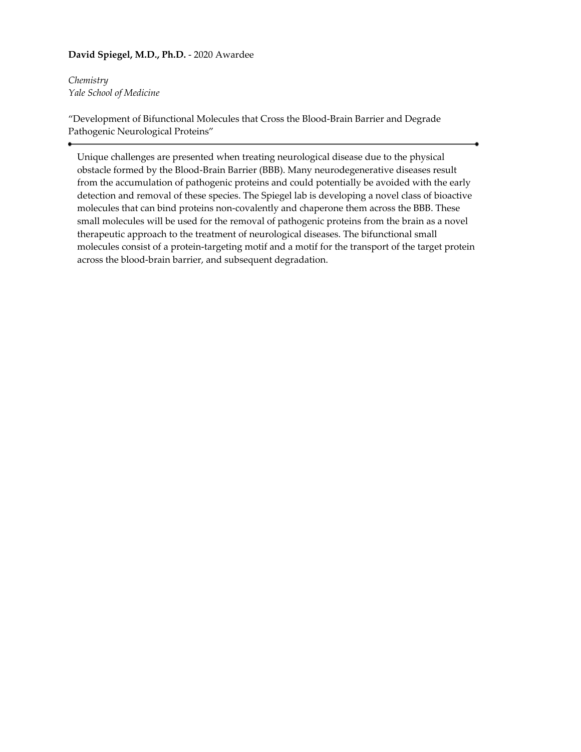# **David Spiegel, M.D., Ph.D.** - 2020 Awardee

*Chemistry Yale School of Medicine*

"Development of Bifunctional Molecules that Cross the Blood-Brain Barrier and Degrade Pathogenic Neurological Proteins"

Unique challenges are presented when treating neurological disease due to the physical obstacle formed by the Blood-Brain Barrier (BBB). Many neurodegenerative diseases result from the accumulation of pathogenic proteins and could potentially be avoided with the early detection and removal of these species. The Spiegel lab is developing a novel class of bioactive molecules that can bind proteins non-covalently and chaperone them across the BBB. These small molecules will be used for the removal of pathogenic proteins from the brain as a novel therapeutic approach to the treatment of neurological diseases. The bifunctional small molecules consist of a protein-targeting motif and a motif for the transport of the target protein across the blood-brain barrier, and subsequent degradation.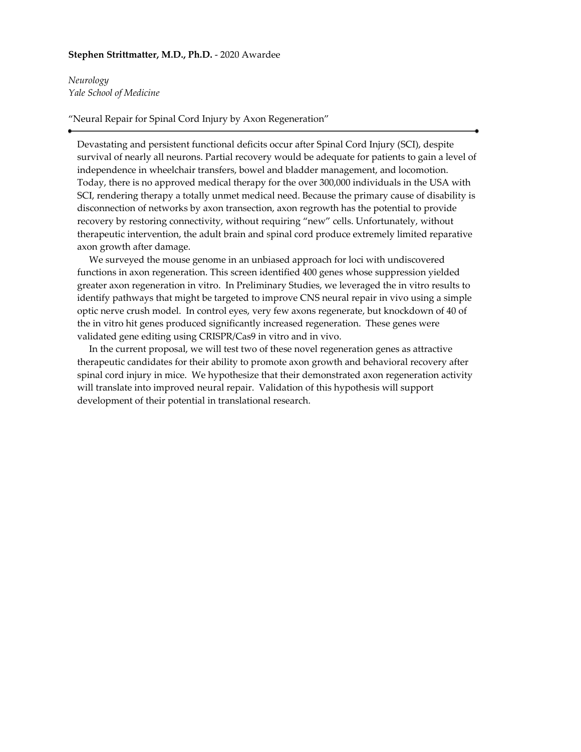#### **Stephen Strittmatter, M.D., Ph.D.** - 2020 Awardee

*Neurology Yale School of Medicine*

"Neural Repair for Spinal Cord Injury by Axon Regeneration"

Devastating and persistent functional deficits occur after Spinal Cord Injury (SCI), despite survival of nearly all neurons. Partial recovery would be adequate for patients to gain a level of independence in wheelchair transfers, bowel and bladder management, and locomotion. Today, there is no approved medical therapy for the over 300,000 individuals in the USA with SCI, rendering therapy a totally unmet medical need. Because the primary cause of disability is disconnection of networks by axon transection, axon regrowth has the potential to provide recovery by restoring connectivity, without requiring "new" cells. Unfortunately, without therapeutic intervention, the adult brain and spinal cord produce extremely limited reparative axon growth after damage.

 We surveyed the mouse genome in an unbiased approach for loci with undiscovered functions in axon regeneration. This screen identified 400 genes whose suppression yielded greater axon regeneration in vitro. In Preliminary Studies, we leveraged the in vitro results to identify pathways that might be targeted to improve CNS neural repair in vivo using a simple optic nerve crush model. In control eyes, very few axons regenerate, but knockdown of 40 of the in vitro hit genes produced significantly increased regeneration. These genes were validated gene editing using CRISPR/Cas9 in vitro and in vivo.

 In the current proposal, we will test two of these novel regeneration genes as attractive therapeutic candidates for their ability to promote axon growth and behavioral recovery after spinal cord injury in mice. We hypothesize that their demonstrated axon regeneration activity will translate into improved neural repair. Validation of this hypothesis will support development of their potential in translational research.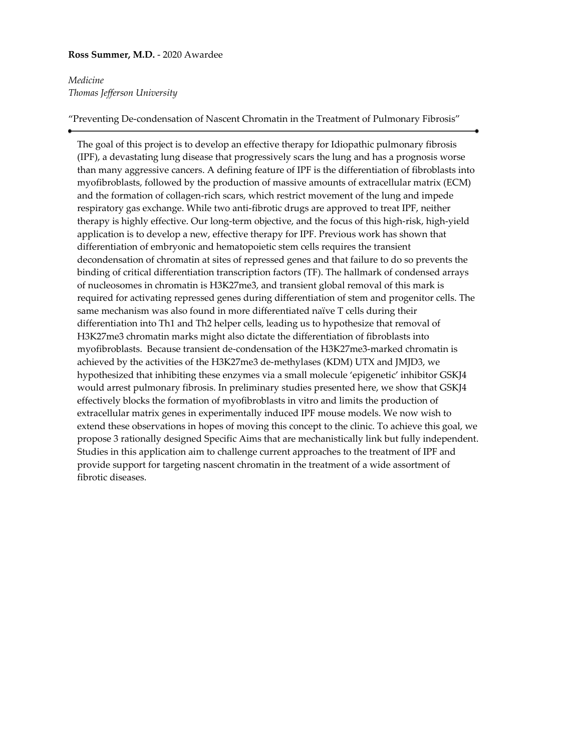### **Ross Summer, M.D.** - 2020 Awardee

# *Medicine Thomas Jefferson University*

"Preventing De-condensation of Nascent Chromatin in the Treatment of Pulmonary Fibrosis"

The goal of this project is to develop an effective therapy for Idiopathic pulmonary fibrosis (IPF), a devastating lung disease that progressively scars the lung and has a prognosis worse than many aggressive cancers. A defining feature of IPF is the differentiation of fibroblasts into myofibroblasts, followed by the production of massive amounts of extracellular matrix (ECM) and the formation of collagen-rich scars, which restrict movement of the lung and impede respiratory gas exchange. While two anti-fibrotic drugs are approved to treat IPF, neither therapy is highly effective. Our long-term objective, and the focus of this high-risk, high-yield application is to develop a new, effective therapy for IPF. Previous work has shown that differentiation of embryonic and hematopoietic stem cells requires the transient decondensation of chromatin at sites of repressed genes and that failure to do so prevents the binding of critical differentiation transcription factors (TF). The hallmark of condensed arrays of nucleosomes in chromatin is H3K27me3, and transient global removal of this mark is required for activating repressed genes during differentiation of stem and progenitor cells. The same mechanism was also found in more differentiated naïve T cells during their differentiation into Th1 and Th2 helper cells, leading us to hypothesize that removal of H3K27me3 chromatin marks might also dictate the differentiation of fibroblasts into myofibroblasts. Because transient de-condensation of the H3K27me3-marked chromatin is achieved by the activities of the H3K27me3 de-methylases (KDM) UTX and JMJD3, we hypothesized that inhibiting these enzymes via a small molecule 'epigenetic' inhibitor GSKJ4 would arrest pulmonary fibrosis. In preliminary studies presented here, we show that GSKJ4 effectively blocks the formation of myofibroblasts in vitro and limits the production of extracellular matrix genes in experimentally induced IPF mouse models. We now wish to extend these observations in hopes of moving this concept to the clinic. To achieve this goal, we propose 3 rationally designed Specific Aims that are mechanistically link but fully independent. Studies in this application aim to challenge current approaches to the treatment of IPF and provide support for targeting nascent chromatin in the treatment of a wide assortment of fibrotic diseases.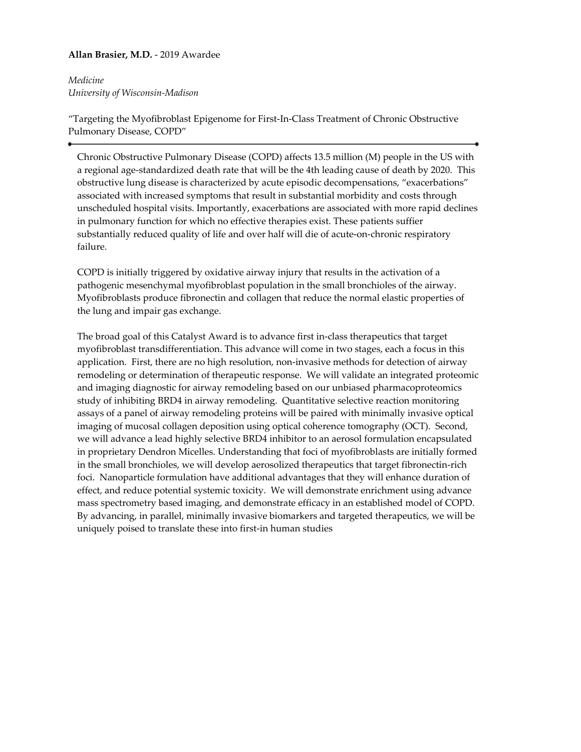# **Allan Brasier, M.D.** - 2019 Awardee

*Medicine University of Wisconsin-Madison*

"Targeting the Myofibroblast Epigenome for First-In-Class Treatment of Chronic Obstructive Pulmonary Disease, COPD"

Chronic Obstructive Pulmonary Disease (COPD) affects 13.5 million (M) people in the US with a regional age-standardized death rate that will be the 4th leading cause of death by 2020. This obstructive lung disease is characterized by acute episodic decompensations, "exacerbations" associated with increased symptoms that result in substantial morbidity and costs through unscheduled hospital visits. Importantly, exacerbations are associated with more rapid declines in pulmonary function for which no effective therapies exist. These patients suffier substantially reduced quality of life and over half will die of acute-on-chronic respiratory failure.

COPD is initially triggered by oxidative airway injury that results in the activation of a pathogenic mesenchymal myofibroblast population in the small bronchioles of the airway. Myofibroblasts produce fibronectin and collagen that reduce the normal elastic properties of the lung and impair gas exchange.

The broad goal of this Catalyst Award is to advance first in-class therapeutics that target myofibroblast transdifferentiation. This advance will come in two stages, each a focus in this application. First, there are no high resolution, non-invasive methods for detection of airway remodeling or determination of therapeutic response. We will validate an integrated proteomic and imaging diagnostic for airway remodeling based on our unbiased pharmacoproteomics study of inhibiting BRD4 in airway remodeling. Quantitative selective reaction monitoring assays of a panel of airway remodeling proteins will be paired with minimally invasive optical imaging of mucosal collagen deposition using optical coherence tomography (OCT). Second, we will advance a lead highly selective BRD4 inhibitor to an aerosol formulation encapsulated in proprietary Dendron Micelles. Understanding that foci of myofibroblasts are initially formed in the small bronchioles, we will develop aerosolized therapeutics that target fibronectin-rich foci. Nanoparticle formulation have additional advantages that they will enhance duration of effect, and reduce potential systemic toxicity. We will demonstrate enrichment using advance mass spectrometry based imaging, and demonstrate efficacy in an established model of COPD. By advancing, in parallel, minimally invasive biomarkers and targeted therapeutics, we will be uniquely poised to translate these into first-in human studies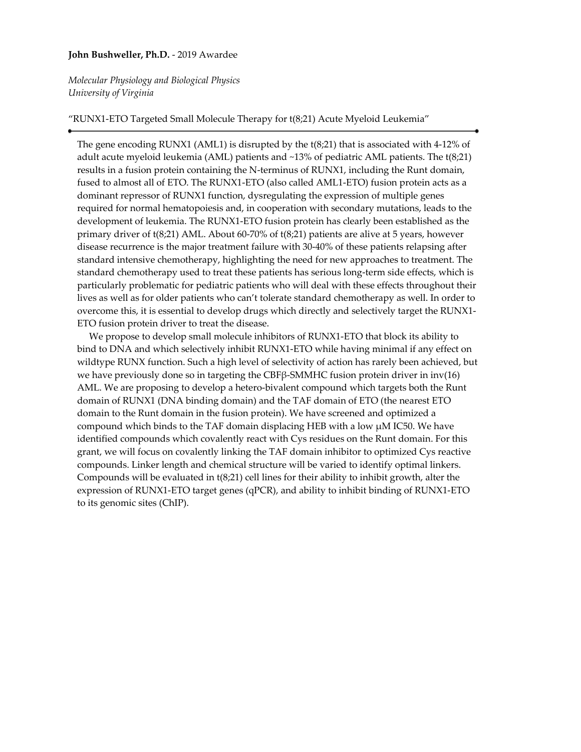#### **John Bushweller, Ph.D.** - 2019 Awardee

*Molecular Physiology and Biological Physics University of Virginia*

#### "RUNX1-ETO Targeted Small Molecule Therapy for t(8;21) Acute Myeloid Leukemia"

The gene encoding RUNX1 (AML1) is disrupted by the t(8;21) that is associated with 4-12% of adult acute myeloid leukemia (AML) patients and ~13% of pediatric AML patients. The t(8;21) results in a fusion protein containing the N-terminus of RUNX1, including the Runt domain, fused to almost all of ETO. The RUNX1-ETO (also called AML1-ETO) fusion protein acts as a dominant repressor of RUNX1 function, dysregulating the expression of multiple genes required for normal hematopoiesis and, in cooperation with secondary mutations, leads to the development of leukemia. The RUNX1-ETO fusion protein has clearly been established as the primary driver of t(8;21) AML. About 60-70% of t(8;21) patients are alive at 5 years, however disease recurrence is the major treatment failure with 30-40% of these patients relapsing after standard intensive chemotherapy, highlighting the need for new approaches to treatment. The standard chemotherapy used to treat these patients has serious long-term side effects, which is particularly problematic for pediatric patients who will deal with these effects throughout their lives as well as for older patients who can't tolerate standard chemotherapy as well. In order to overcome this, it is essential to develop drugs which directly and selectively target the RUNX1- ETO fusion protein driver to treat the disease.

 We propose to develop small molecule inhibitors of RUNX1-ETO that block its ability to bind to DNA and which selectively inhibit RUNX1-ETO while having minimal if any effect on wildtype RUNX function. Such a high level of selectivity of action has rarely been achieved, but we have previously done so in targeting the CBFβ-SMMHC fusion protein driver in inv(16) AML. We are proposing to develop a hetero-bivalent compound which targets both the Runt domain of RUNX1 (DNA binding domain) and the TAF domain of ETO (the nearest ETO domain to the Runt domain in the fusion protein). We have screened and optimized a compound which binds to the TAF domain displacing HEB with a low µM IC50. We have identified compounds which covalently react with Cys residues on the Runt domain. For this grant, we will focus on covalently linking the TAF domain inhibitor to optimized Cys reactive compounds. Linker length and chemical structure will be varied to identify optimal linkers. Compounds will be evaluated in t(8;21) cell lines for their ability to inhibit growth, alter the expression of RUNX1-ETO target genes (qPCR), and ability to inhibit binding of RUNX1-ETO to its genomic sites (ChIP).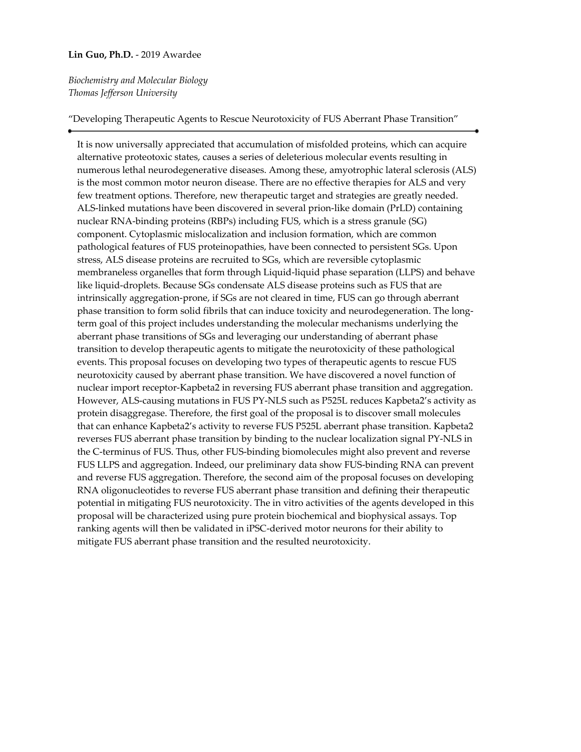#### **Lin Guo, Ph.D.** - 2019 Awardee

# *Biochemistry and Molecular Biology Thomas Jefferson University*

### "Developing Therapeutic Agents to Rescue Neurotoxicity of FUS Aberrant Phase Transition"

It is now universally appreciated that accumulation of misfolded proteins, which can acquire alternative proteotoxic states, causes a series of deleterious molecular events resulting in numerous lethal neurodegenerative diseases. Among these, amyotrophic lateral sclerosis (ALS) is the most common motor neuron disease. There are no effective therapies for ALS and very few treatment options. Therefore, new therapeutic target and strategies are greatly needed. ALS-linked mutations have been discovered in several prion-like domain (PrLD) containing nuclear RNA-binding proteins (RBPs) including FUS, which is a stress granule (SG) component. Cytoplasmic mislocalization and inclusion formation, which are common pathological features of FUS proteinopathies, have been connected to persistent SGs. Upon stress, ALS disease proteins are recruited to SGs, which are reversible cytoplasmic membraneless organelles that form through Liquid-liquid phase separation (LLPS) and behave like liquid-droplets. Because SGs condensate ALS disease proteins such as FUS that are intrinsically aggregation-prone, if SGs are not cleared in time, FUS can go through aberrant phase transition to form solid fibrils that can induce toxicity and neurodegeneration. The longterm goal of this project includes understanding the molecular mechanisms underlying the aberrant phase transitions of SGs and leveraging our understanding of aberrant phase transition to develop therapeutic agents to mitigate the neurotoxicity of these pathological events. This proposal focuses on developing two types of therapeutic agents to rescue FUS neurotoxicity caused by aberrant phase transition. We have discovered a novel function of nuclear import receptor-Kapbeta2 in reversing FUS aberrant phase transition and aggregation. However, ALS-causing mutations in FUS PY-NLS such as P525L reduces Kapbeta2's activity as protein disaggregase. Therefore, the first goal of the proposal is to discover small molecules that can enhance Kapbeta2's activity to reverse FUS P525L aberrant phase transition. Kapbeta2 reverses FUS aberrant phase transition by binding to the nuclear localization signal PY-NLS in the C-terminus of FUS. Thus, other FUS-binding biomolecules might also prevent and reverse FUS LLPS and aggregation. Indeed, our preliminary data show FUS-binding RNA can prevent and reverse FUS aggregation. Therefore, the second aim of the proposal focuses on developing RNA oligonucleotides to reverse FUS aberrant phase transition and defining their therapeutic potential in mitigating FUS neurotoxicity. The in vitro activities of the agents developed in this proposal will be characterized using pure protein biochemical and biophysical assays. Top ranking agents will then be validated in iPSC-derived motor neurons for their ability to mitigate FUS aberrant phase transition and the resulted neurotoxicity.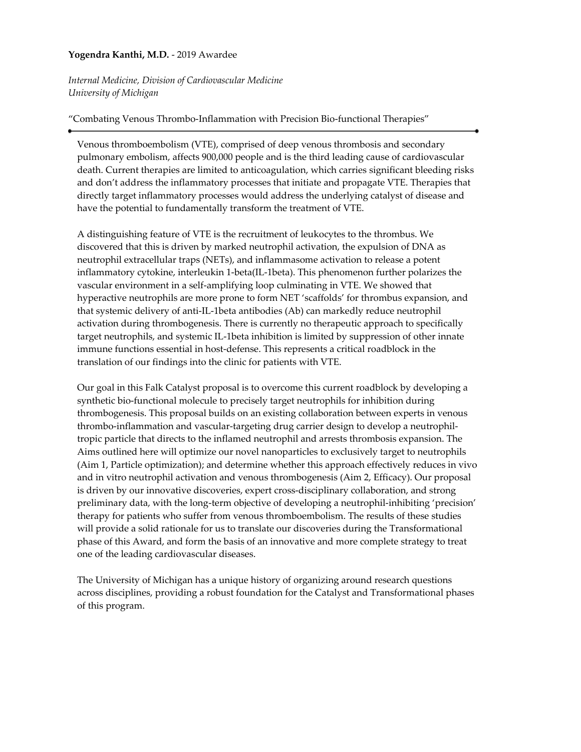# **Yogendra Kanthi, M.D.** - 2019 Awardee

*Internal Medicine, Division of Cardiovascular Medicine University of Michigan*

## "Combating Venous Thrombo-Inflammation with Precision Bio-functional Therapies"

Venous thromboembolism (VTE), comprised of deep venous thrombosis and secondary pulmonary embolism, affects 900,000 people and is the third leading cause of cardiovascular death. Current therapies are limited to anticoagulation, which carries significant bleeding risks and don't address the inflammatory processes that initiate and propagate VTE. Therapies that directly target inflammatory processes would address the underlying catalyst of disease and have the potential to fundamentally transform the treatment of VTE.

A distinguishing feature of VTE is the recruitment of leukocytes to the thrombus. We discovered that this is driven by marked neutrophil activation, the expulsion of DNA as neutrophil extracellular traps (NETs), and inflammasome activation to release a potent inflammatory cytokine, interleukin 1-beta(IL-1beta). This phenomenon further polarizes the vascular environment in a self-amplifying loop culminating in VTE. We showed that hyperactive neutrophils are more prone to form NET 'scaffolds' for thrombus expansion, and that systemic delivery of anti-IL-1beta antibodies (Ab) can markedly reduce neutrophil activation during thrombogenesis. There is currently no therapeutic approach to specifically target neutrophils, and systemic IL-1beta inhibition is limited by suppression of other innate immune functions essential in host-defense. This represents a critical roadblock in the translation of our findings into the clinic for patients with VTE.

Our goal in this Falk Catalyst proposal is to overcome this current roadblock by developing a synthetic bio-functional molecule to precisely target neutrophils for inhibition during thrombogenesis. This proposal builds on an existing collaboration between experts in venous thrombo-inflammation and vascular-targeting drug carrier design to develop a neutrophiltropic particle that directs to the inflamed neutrophil and arrests thrombosis expansion. The Aims outlined here will optimize our novel nanoparticles to exclusively target to neutrophils (Aim 1, Particle optimization); and determine whether this approach effectively reduces in vivo and in vitro neutrophil activation and venous thrombogenesis (Aim 2, Efficacy). Our proposal is driven by our innovative discoveries, expert cross-disciplinary collaboration, and strong preliminary data, with the long-term objective of developing a neutrophil-inhibiting 'precision' therapy for patients who suffer from venous thromboembolism. The results of these studies will provide a solid rationale for us to translate our discoveries during the Transformational phase of this Award, and form the basis of an innovative and more complete strategy to treat one of the leading cardiovascular diseases.

The University of Michigan has a unique history of organizing around research questions across disciplines, providing a robust foundation for the Catalyst and Transformational phases of this program.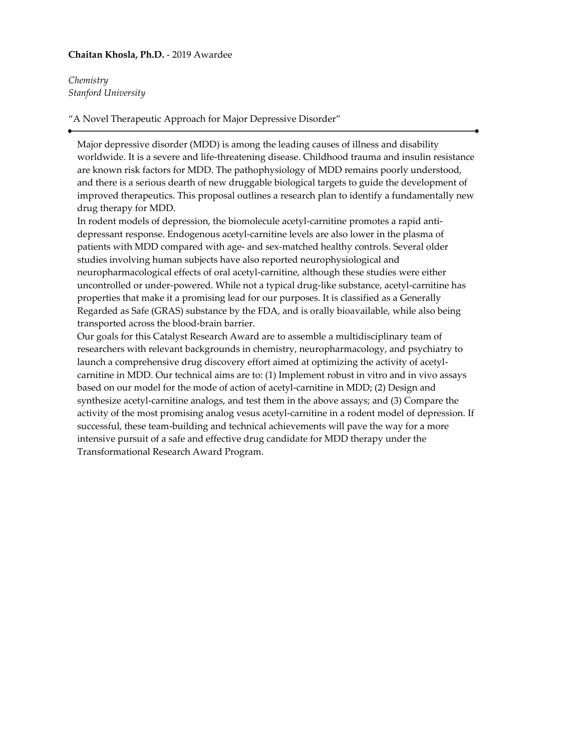### **Chaitan Khosla, Ph.D.** - 2019 Awardee

*Chemistry Stanford University*

"A Novel Therapeutic Approach for Major Depressive Disorder"

Major depressive disorder (MDD) is among the leading causes of illness and disability worldwide. It is a severe and life-threatening disease. Childhood trauma and insulin resistance are known risk factors for MDD. The pathophysiology of MDD remains poorly understood, and there is a serious dearth of new druggable biological targets to guide the development of improved therapeutics. This proposal outlines a research plan to identify a fundamentally new drug therapy for MDD.

In rodent models of depression, the biomolecule acetyl-carnitine promotes a rapid antidepressant response. Endogenous acetyl-carnitine levels are also lower in the plasma of patients with MDD compared with age- and sex-matched healthy controls. Several older studies involving human subjects have also reported neurophysiological and neuropharmacological effects of oral acetyl-carnitine, although these studies were either uncontrolled or under-powered. While not a typical drug-like substance, acetyl-carnitine has properties that make it a promising lead for our purposes. It is classified as a Generally Regarded as Safe (GRAS) substance by the FDA, and is orally bioavailable, while also being transported across the blood-brain barrier.

Our goals for this Catalyst Research Award are to assemble a multidisciplinary team of researchers with relevant backgrounds in chemistry, neuropharmacology, and psychiatry to launch a comprehensive drug discovery effort aimed at optimizing the activity of acetylcarnitine in MDD. Our technical aims are to: (1) Implement robust in vitro and in vivo assays based on our model for the mode of action of acetyl-carnitine in MDD; (2) Design and synthesize acetyl-carnitine analogs, and test them in the above assays; and (3) Compare the activity of the most promising analog vesus acetyl-carnitine in a rodent model of depression. If successful, these team-building and technical achievements will pave the way for a more intensive pursuit of a safe and effective drug candidate for MDD therapy under the Transformational Research Award Program.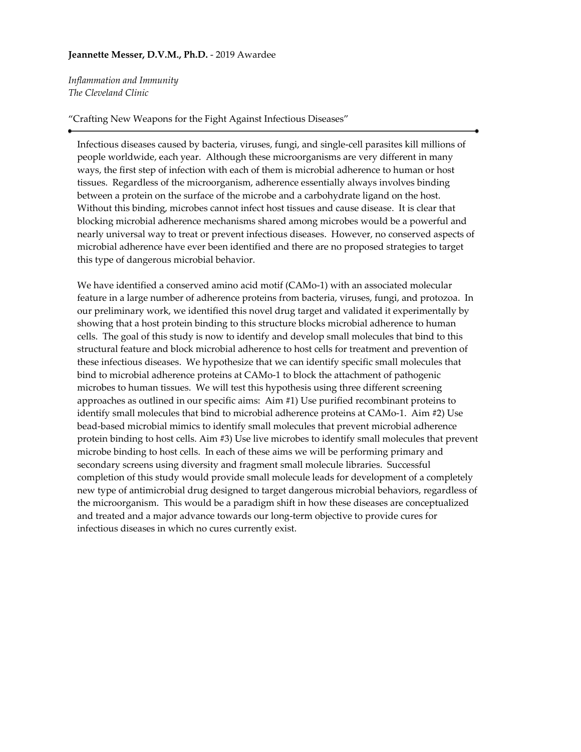### **Jeannette Messer, D.V.M., Ph.D.** - 2019 Awardee

*Inflammation and Immunity The Cleveland Clinic*

#### "Crafting New Weapons for the Fight Against Infectious Diseases"

Infectious diseases caused by bacteria, viruses, fungi, and single-cell parasites kill millions of people worldwide, each year. Although these microorganisms are very different in many ways, the first step of infection with each of them is microbial adherence to human or host tissues. Regardless of the microorganism, adherence essentially always involves binding between a protein on the surface of the microbe and a carbohydrate ligand on the host. Without this binding, microbes cannot infect host tissues and cause disease. It is clear that blocking microbial adherence mechanisms shared among microbes would be a powerful and nearly universal way to treat or prevent infectious diseases. However, no conserved aspects of microbial adherence have ever been identified and there are no proposed strategies to target this type of dangerous microbial behavior.

We have identified a conserved amino acid motif (CAMo-1) with an associated molecular feature in a large number of adherence proteins from bacteria, viruses, fungi, and protozoa. In our preliminary work, we identified this novel drug target and validated it experimentally by showing that a host protein binding to this structure blocks microbial adherence to human cells. The goal of this study is now to identify and develop small molecules that bind to this structural feature and block microbial adherence to host cells for treatment and prevention of these infectious diseases. We hypothesize that we can identify specific small molecules that bind to microbial adherence proteins at CAMo-1 to block the attachment of pathogenic microbes to human tissues. We will test this hypothesis using three different screening approaches as outlined in our specific aims: Aim #1) Use purified recombinant proteins to identify small molecules that bind to microbial adherence proteins at CAMo-1. Aim #2) Use bead-based microbial mimics to identify small molecules that prevent microbial adherence protein binding to host cells. Aim #3) Use live microbes to identify small molecules that prevent microbe binding to host cells. In each of these aims we will be performing primary and secondary screens using diversity and fragment small molecule libraries. Successful completion of this study would provide small molecule leads for development of a completely new type of antimicrobial drug designed to target dangerous microbial behaviors, regardless of the microorganism. This would be a paradigm shift in how these diseases are conceptualized and treated and a major advance towards our long-term objective to provide cures for infectious diseases in which no cures currently exist.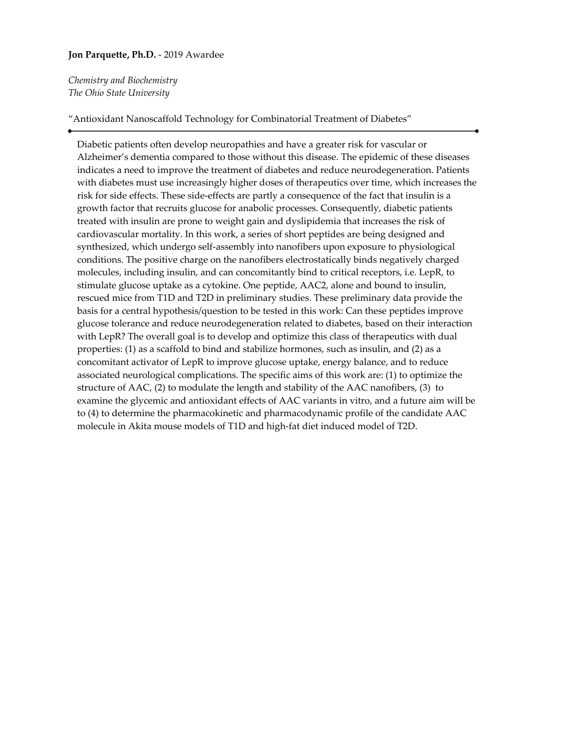### **Jon Parquette, Ph.D.** - 2019 Awardee

*Chemistry and Biochemistry The Ohio State University*

#### "Antioxidant Nanoscaffold Technology for Combinatorial Treatment of Diabetes"

Diabetic patients often develop neuropathies and have a greater risk for vascular or Alzheimer's dementia compared to those without this disease. The epidemic of these diseases indicates a need to improve the treatment of diabetes and reduce neurodegeneration. Patients with diabetes must use increasingly higher doses of therapeutics over time, which increases the risk for side effects. These side-effects are partly a consequence of the fact that insulin is a growth factor that recruits glucose for anabolic processes. Consequently, diabetic patients treated with insulin are prone to weight gain and dyslipidemia that increases the risk of cardiovascular mortality. In this work, a series of short peptides are being designed and synthesized, which undergo self-assembly into nanofibers upon exposure to physiological conditions. The positive charge on the nanofibers electrostatically binds negatively charged molecules, including insulin, and can concomitantly bind to critical receptors, i.e. LepR, to stimulate glucose uptake as a cytokine. One peptide, AAC2, alone and bound to insulin, rescued mice from T1D and T2D in preliminary studies. These preliminary data provide the basis for a central hypothesis/question to be tested in this work: Can these peptides improve glucose tolerance and reduce neurodegeneration related to diabetes, based on their interaction with LepR? The overall goal is to develop and optimize this class of therapeutics with dual properties: (1) as a scaffold to bind and stabilize hormones, such as insulin, and (2) as a concomitant activator of LepR to improve glucose uptake, energy balance, and to reduce associated neurological complications. The specific aims of this work are: (1) to optimize the structure of AAC, (2) to modulate the length and stability of the AAC nanofibers, (3) to examine the glycemic and antioxidant effects of AAC variants in vitro, and a future aim will be to (4) to determine the pharmacokinetic and pharmacodynamic profile of the candidate AAC molecule in Akita mouse models of T1D and high-fat diet induced model of T2D.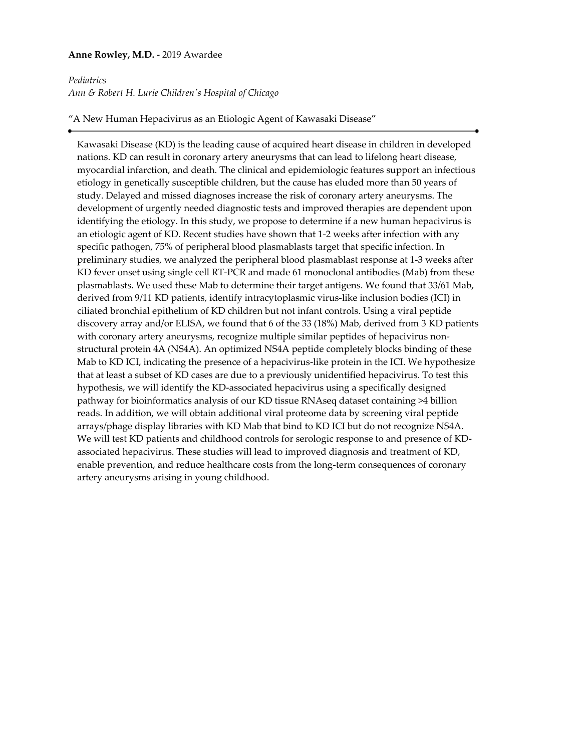### **Anne Rowley, M.D.** - 2019 Awardee

#### *Pediatrics*

*Ann & Robert H. Lurie Children's Hospital of Chicago*

"A New Human Hepacivirus as an Etiologic Agent of Kawasaki Disease"

Kawasaki Disease (KD) is the leading cause of acquired heart disease in children in developed nations. KD can result in coronary artery aneurysms that can lead to lifelong heart disease, myocardial infarction, and death. The clinical and epidemiologic features support an infectious etiology in genetically susceptible children, but the cause has eluded more than 50 years of study. Delayed and missed diagnoses increase the risk of coronary artery aneurysms. The development of urgently needed diagnostic tests and improved therapies are dependent upon identifying the etiology. In this study, we propose to determine if a new human hepacivirus is an etiologic agent of KD. Recent studies have shown that 1-2 weeks after infection with any specific pathogen, 75% of peripheral blood plasmablasts target that specific infection. In preliminary studies, we analyzed the peripheral blood plasmablast response at 1-3 weeks after KD fever onset using single cell RT-PCR and made 61 monoclonal antibodies (Mab) from these plasmablasts. We used these Mab to determine their target antigens. We found that 33/61 Mab, derived from 9/11 KD patients, identify intracytoplasmic virus-like inclusion bodies (ICI) in ciliated bronchial epithelium of KD children but not infant controls. Using a viral peptide discovery array and/or ELISA, we found that 6 of the 33 (18%) Mab, derived from 3 KD patients with coronary artery aneurysms, recognize multiple similar peptides of hepacivirus nonstructural protein 4A (NS4A). An optimized NS4A peptide completely blocks binding of these Mab to KD ICI, indicating the presence of a hepacivirus-like protein in the ICI. We hypothesize that at least a subset of KD cases are due to a previously unidentified hepacivirus. To test this hypothesis, we will identify the KD-associated hepacivirus using a specifically designed pathway for bioinformatics analysis of our KD tissue RNAseq dataset containing >4 billion reads. In addition, we will obtain additional viral proteome data by screening viral peptide arrays/phage display libraries with KD Mab that bind to KD ICI but do not recognize NS4A. We will test KD patients and childhood controls for serologic response to and presence of KDassociated hepacivirus. These studies will lead to improved diagnosis and treatment of KD, enable prevention, and reduce healthcare costs from the long-term consequences of coronary artery aneurysms arising in young childhood.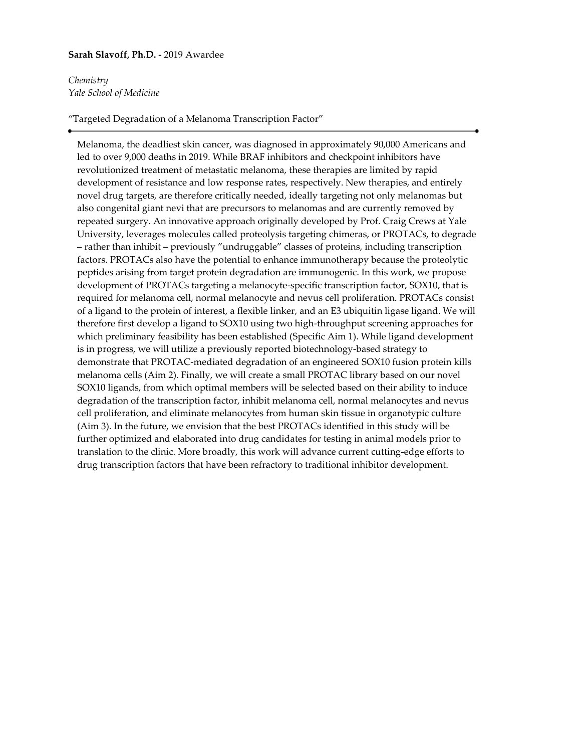### **Sarah Slavoff, Ph.D.** - 2019 Awardee

*Chemistry Yale School of Medicine*

#### "Targeted Degradation of a Melanoma Transcription Factor"

Melanoma, the deadliest skin cancer, was diagnosed in approximately 90,000 Americans and led to over 9,000 deaths in 2019. While BRAF inhibitors and checkpoint inhibitors have revolutionized treatment of metastatic melanoma, these therapies are limited by rapid development of resistance and low response rates, respectively. New therapies, and entirely novel drug targets, are therefore critically needed, ideally targeting not only melanomas but also congenital giant nevi that are precursors to melanomas and are currently removed by repeated surgery. An innovative approach originally developed by Prof. Craig Crews at Yale University, leverages molecules called proteolysis targeting chimeras, or PROTACs, to degrade – rather than inhibit – previously "undruggable" classes of proteins, including transcription factors. PROTACs also have the potential to enhance immunotherapy because the proteolytic peptides arising from target protein degradation are immunogenic. In this work, we propose development of PROTACs targeting a melanocyte-specific transcription factor, SOX10, that is required for melanoma cell, normal melanocyte and nevus cell proliferation. PROTACs consist of a ligand to the protein of interest, a flexible linker, and an E3 ubiquitin ligase ligand. We will therefore first develop a ligand to SOX10 using two high-throughput screening approaches for which preliminary feasibility has been established (Specific Aim 1). While ligand development is in progress, we will utilize a previously reported biotechnology-based strategy to demonstrate that PROTAC-mediated degradation of an engineered SOX10 fusion protein kills melanoma cells (Aim 2). Finally, we will create a small PROTAC library based on our novel SOX10 ligands, from which optimal members will be selected based on their ability to induce degradation of the transcription factor, inhibit melanoma cell, normal melanocytes and nevus cell proliferation, and eliminate melanocytes from human skin tissue in organotypic culture (Aim 3). In the future, we envision that the best PROTACs identified in this study will be further optimized and elaborated into drug candidates for testing in animal models prior to translation to the clinic. More broadly, this work will advance current cutting-edge efforts to drug transcription factors that have been refractory to traditional inhibitor development.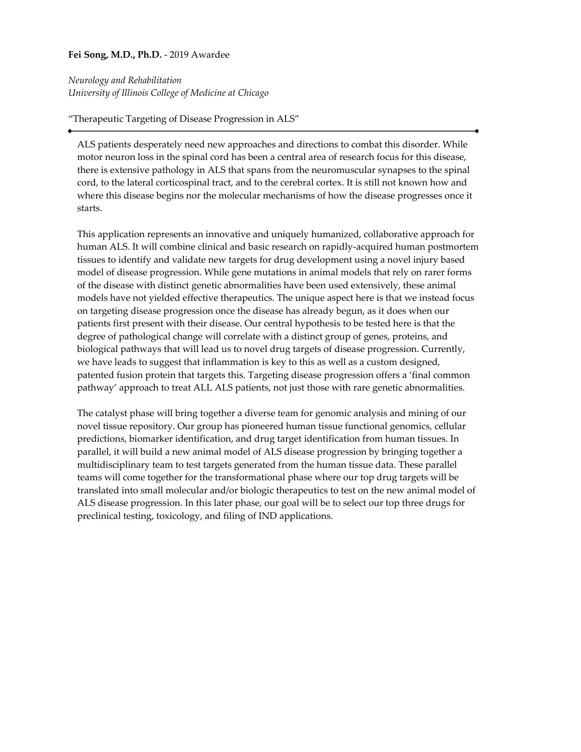# **Fei Song, M.D., Ph.D.** - 2019 Awardee

*Neurology and Rehabilitation University of Illinois College of Medicine at Chicago*

# "Therapeutic Targeting of Disease Progression in ALS"

ALS patients desperately need new approaches and directions to combat this disorder. While motor neuron loss in the spinal cord has been a central area of research focus for this disease, there is extensive pathology in ALS that spans from the neuromuscular synapses to the spinal cord, to the lateral corticospinal tract, and to the cerebral cortex. It is still not known how and where this disease begins nor the molecular mechanisms of how the disease progresses once it starts.

This application represents an innovative and uniquely humanized, collaborative approach for human ALS. It will combine clinical and basic research on rapidly-acquired human postmortem tissues to identify and validate new targets for drug development using a novel injury based model of disease progression. While gene mutations in animal models that rely on rarer forms of the disease with distinct genetic abnormalities have been used extensively, these animal models have not yielded effective therapeutics. The unique aspect here is that we instead focus on targeting disease progression once the disease has already begun, as it does when our patients first present with their disease. Our central hypothesis to be tested here is that the degree of pathological change will correlate with a distinct group of genes, proteins, and biological pathways that will lead us to novel drug targets of disease progression. Currently, we have leads to suggest that inflammation is key to this as well as a custom designed, patented fusion protein that targets this. Targeting disease progression offers a 'final common pathway' approach to treat ALL ALS patients, not just those with rare genetic abnormalities.

The catalyst phase will bring together a diverse team for genomic analysis and mining of our novel tissue repository. Our group has pioneered human tissue functional genomics, cellular predictions, biomarker identification, and drug target identification from human tissues. In parallel, it will build a new animal model of ALS disease progression by bringing together a multidisciplinary team to test targets generated from the human tissue data. These parallel teams will come together for the transformational phase where our top drug targets will be translated into small molecular and/or biologic therapeutics to test on the new animal model of ALS disease progression. In this later phase, our goal will be to select our top three drugs for preclinical testing, toxicology, and filing of IND applications.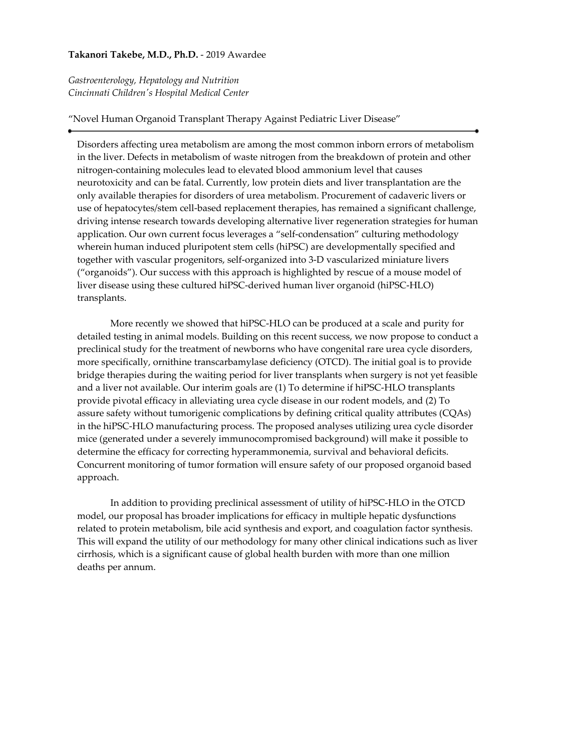### **Takanori Takebe, M.D., Ph.D.** - 2019 Awardee

*Gastroenterology, Hepatology and Nutrition Cincinnati Children's Hospital Medical Center*

#### "Novel Human Organoid Transplant Therapy Against Pediatric Liver Disease"

Disorders affecting urea metabolism are among the most common inborn errors of metabolism in the liver. Defects in metabolism of waste nitrogen from the breakdown of protein and other nitrogen-containing molecules lead to elevated blood ammonium level that causes neurotoxicity and can be fatal. Currently, low protein diets and liver transplantation are the only available therapies for disorders of urea metabolism. Procurement of cadaveric livers or use of hepatocytes/stem cell-based replacement therapies, has remained a significant challenge, driving intense research towards developing alternative liver regeneration strategies for human application. Our own current focus leverages a "self-condensation" culturing methodology wherein human induced pluripotent stem cells (hiPSC) are developmentally specified and together with vascular progenitors, self-organized into 3-D vascularized miniature livers ("organoids"). Our success with this approach is highlighted by rescue of a mouse model of liver disease using these cultured hiPSC-derived human liver organoid (hiPSC-HLO) transplants.

 More recently we showed that hiPSC-HLO can be produced at a scale and purity for detailed testing in animal models. Building on this recent success, we now propose to conduct a preclinical study for the treatment of newborns who have congenital rare urea cycle disorders, more specifically, ornithine transcarbamylase deficiency (OTCD). The initial goal is to provide bridge therapies during the waiting period for liver transplants when surgery is not yet feasible and a liver not available. Our interim goals are (1) To determine if hiPSC-HLO transplants provide pivotal efficacy in alleviating urea cycle disease in our rodent models, and (2) To assure safety without tumorigenic complications by defining critical quality attributes (CQAs) in the hiPSC-HLO manufacturing process. The proposed analyses utilizing urea cycle disorder mice (generated under a severely immunocompromised background) will make it possible to determine the efficacy for correcting hyperammonemia, survival and behavioral deficits. Concurrent monitoring of tumor formation will ensure safety of our proposed organoid based approach.

 In addition to providing preclinical assessment of utility of hiPSC-HLO in the OTCD model, our proposal has broader implications for efficacy in multiple hepatic dysfunctions related to protein metabolism, bile acid synthesis and export, and coagulation factor synthesis. This will expand the utility of our methodology for many other clinical indications such as liver cirrhosis, which is a significant cause of global health burden with more than one million deaths per annum.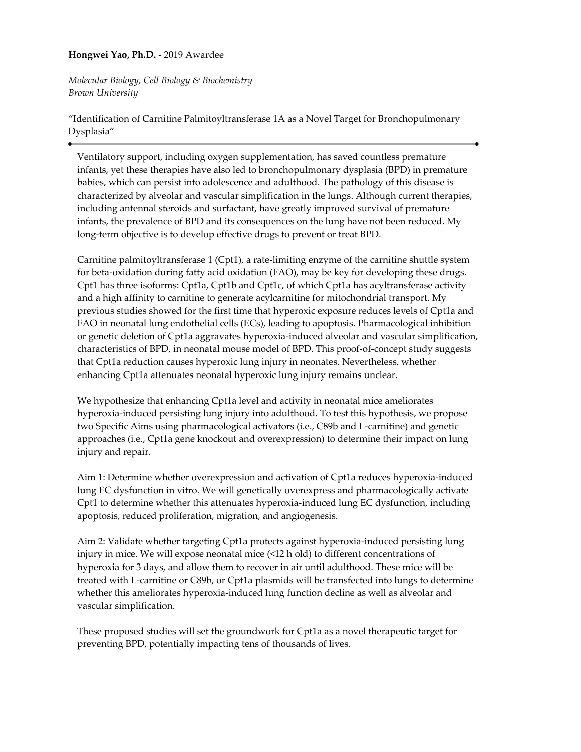# **Hongwei Yao, Ph.D.** - 2019 Awardee

*Molecular Biology, Cell Biology & Biochemistry Brown University*

"Identification of Carnitine Palmitoyltransferase 1A as a Novel Target for Bronchopulmonary Dysplasia"

Ventilatory support, including oxygen supplementation, has saved countless premature infants, yet these therapies have also led to bronchopulmonary dysplasia (BPD) in premature babies, which can persist into adolescence and adulthood. The pathology of this disease is characterized by alveolar and vascular simplification in the lungs. Although current therapies, including antennal steroids and surfactant, have greatly improved survival of premature infants, the prevalence of BPD and its consequences on the lung have not been reduced. My long-term objective is to develop effective drugs to prevent or treat BPD.

Carnitine palmitoyltransferase 1 (Cpt1), a rate-limiting enzyme of the carnitine shuttle system for beta-oxidation during fatty acid oxidation (FAO), may be key for developing these drugs. Cpt1 has three isoforms: Cpt1a, Cpt1b and Cpt1c, of which Cpt1a has acyltransferase activity and a high affinity to carnitine to generate acylcarnitine for mitochondrial transport. My previous studies showed for the first time that hyperoxic exposure reduces levels of Cpt1a and FAO in neonatal lung endothelial cells (ECs), leading to apoptosis. Pharmacological inhibition or genetic deletion of Cpt1a aggravates hyperoxia-induced alveolar and vascular simplification, characteristics of BPD, in neonatal mouse model of BPD. This proof-of-concept study suggests that Cpt1a reduction causes hyperoxic lung injury in neonates. Nevertheless, whether enhancing Cpt1a attenuates neonatal hyperoxic lung injury remains unclear.

We hypothesize that enhancing Cpt1a level and activity in neonatal mice ameliorates hyperoxia-induced persisting lung injury into adulthood. To test this hypothesis, we propose two Specific Aims using pharmacological activators (i.e., C89b and L-carnitine) and genetic approaches (i.e., Cpt1a gene knockout and overexpression) to determine their impact on lung injury and repair.

Aim 1: Determine whether overexpression and activation of Cpt1a reduces hyperoxia-induced lung EC dysfunction in vitro. We will genetically overexpress and pharmacologically activate Cpt1 to determine whether this attenuates hyperoxia-induced lung EC dysfunction, including apoptosis, reduced proliferation, migration, and angiogenesis.

Aim 2: Validate whether targeting Cpt1a protects against hyperoxia-induced persisting lung injury in mice. We will expose neonatal mice (<12 h old) to different concentrations of hyperoxia for 3 days, and allow them to recover in air until adulthood. These mice will be treated with L-carnitine or C89b, or Cpt1a plasmids will be transfected into lungs to determine whether this ameliorates hyperoxia-induced lung function decline as well as alveolar and vascular simplification.

These proposed studies will set the groundwork for Cpt1a as a novel therapeutic target for preventing BPD, potentially impacting tens of thousands of lives.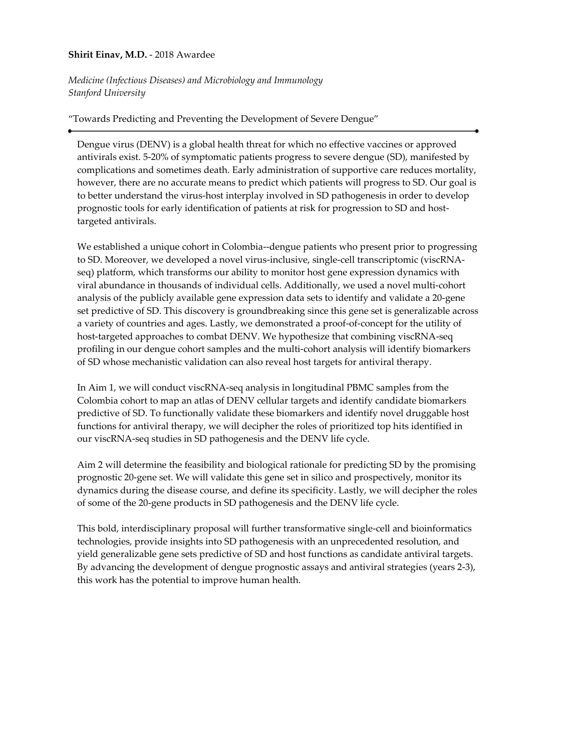### **Shirit Einav, M.D.** - 2018 Awardee

*Medicine (Infectious Diseases) and Microbiology and Immunology Stanford University*

"Towards Predicting and Preventing the Development of Severe Dengue"

Dengue virus (DENV) is a global health threat for which no effective vaccines or approved antivirals exist. 5-20% of symptomatic patients progress to severe dengue (SD), manifested by complications and sometimes death. Early administration of supportive care reduces mortality, however, there are no accurate means to predict which patients will progress to SD. Our goal is to better understand the virus-host interplay involved in SD pathogenesis in order to develop prognostic tools for early identification of patients at risk for progression to SD and hosttargeted antivirals.

We established a unique cohort in Colombia--dengue patients who present prior to progressing to SD. Moreover, we developed a novel virus-inclusive, single-cell transcriptomic (viscRNAseq) platform, which transforms our ability to monitor host gene expression dynamics with viral abundance in thousands of individual cells. Additionally, we used a novel multi-cohort analysis of the publicly available gene expression data sets to identify and validate a 20-gene set predictive of SD. This discovery is groundbreaking since this gene set is generalizable across a variety of countries and ages. Lastly, we demonstrated a proof-of-concept for the utility of host-targeted approaches to combat DENV. We hypothesize that combining viscRNA-seq profiling in our dengue cohort samples and the multi-cohort analysis will identify biomarkers of SD whose mechanistic validation can also reveal host targets for antiviral therapy.

In Aim 1, we will conduct viscRNA-seq analysis in longitudinal PBMC samples from the Colombia cohort to map an atlas of DENV cellular targets and identify candidate biomarkers predictive of SD. To functionally validate these biomarkers and identify novel druggable host functions for antiviral therapy, we will decipher the roles of prioritized top hits identified in our viscRNA-seq studies in SD pathogenesis and the DENV life cycle.

Aim 2 will determine the feasibility and biological rationale for predicting SD by the promising prognostic 20-gene set. We will validate this gene set in silico and prospectively, monitor its dynamics during the disease course, and define its specificity. Lastly, we will decipher the roles of some of the 20-gene products in SD pathogenesis and the DENV life cycle.

This bold, interdisciplinary proposal will further transformative single-cell and bioinformatics technologies, provide insights into SD pathogenesis with an unprecedented resolution, and yield generalizable gene sets predictive of SD and host functions as candidate antiviral targets. By advancing the development of dengue prognostic assays and antiviral strategies (years 2-3), this work has the potential to improve human health.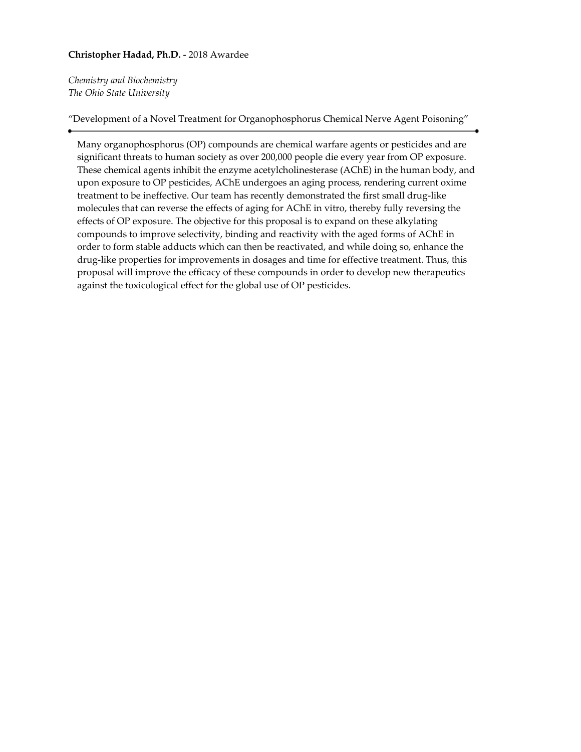# **Christopher Hadad, Ph.D.** - 2018 Awardee

*Chemistry and Biochemistry The Ohio State University*

"Development of a Novel Treatment for Organophosphorus Chemical Nerve Agent Poisoning"

Many organophosphorus (OP) compounds are chemical warfare agents or pesticides and are significant threats to human society as over 200,000 people die every year from OP exposure. These chemical agents inhibit the enzyme acetylcholinesterase (AChE) in the human body, and upon exposure to OP pesticides, AChE undergoes an aging process, rendering current oxime treatment to be ineffective. Our team has recently demonstrated the first small drug-like molecules that can reverse the effects of aging for AChE in vitro, thereby fully reversing the effects of OP exposure. The objective for this proposal is to expand on these alkylating compounds to improve selectivity, binding and reactivity with the aged forms of AChE in order to form stable adducts which can then be reactivated, and while doing so, enhance the drug-like properties for improvements in dosages and time for effective treatment. Thus, this proposal will improve the efficacy of these compounds in order to develop new therapeutics against the toxicological effect for the global use of OP pesticides.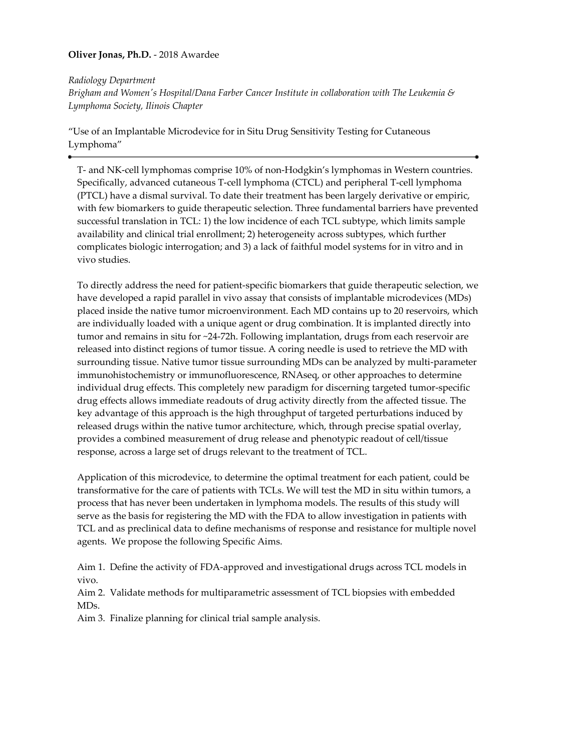# **Oliver Jonas, Ph.D.** - 2018 Awardee

*Radiology Department*

*Brigham and Women's Hospital/Dana Farber Cancer Institute in collaboration with The Leukemia & Lymphoma Society, Ilinois Chapter*

"Use of an Implantable Microdevice for in Situ Drug Sensitivity Testing for Cutaneous Lymphoma"

T- and NK-cell lymphomas comprise 10% of non-Hodgkin's lymphomas in Western countries. Specifically, advanced cutaneous T-cell lymphoma (CTCL) and peripheral T-cell lymphoma (PTCL) have a dismal survival. To date their treatment has been largely derivative or empiric, with few biomarkers to guide therapeutic selection. Three fundamental barriers have prevented successful translation in TCL: 1) the low incidence of each TCL subtype, which limits sample availability and clinical trial enrollment; 2) heterogeneity across subtypes, which further complicates biologic interrogation; and 3) a lack of faithful model systems for in vitro and in vivo studies.

To directly address the need for patient-specific biomarkers that guide therapeutic selection, we have developed a rapid parallel in vivo assay that consists of implantable microdevices (MDs) placed inside the native tumor microenvironment. Each MD contains up to 20 reservoirs, which are individually loaded with a unique agent or drug combination. It is implanted directly into tumor and remains in situ for ~24-72h. Following implantation, drugs from each reservoir are released into distinct regions of tumor tissue. A coring needle is used to retrieve the MD with surrounding tissue. Native tumor tissue surrounding MDs can be analyzed by multi-parameter immunohistochemistry or immunofluorescence, RNAseq, or other approaches to determine individual drug effects. This completely new paradigm for discerning targeted tumor-specific drug effects allows immediate readouts of drug activity directly from the affected tissue. The key advantage of this approach is the high throughput of targeted perturbations induced by released drugs within the native tumor architecture, which, through precise spatial overlay, provides a combined measurement of drug release and phenotypic readout of cell/tissue response, across a large set of drugs relevant to the treatment of TCL.

Application of this microdevice, to determine the optimal treatment for each patient, could be transformative for the care of patients with TCLs. We will test the MD in situ within tumors, a process that has never been undertaken in lymphoma models. The results of this study will serve as the basis for registering the MD with the FDA to allow investigation in patients with TCL and as preclinical data to define mechanisms of response and resistance for multiple novel agents. We propose the following Specific Aims.

Aim 1. Define the activity of FDA-approved and investigational drugs across TCL models in vivo.

Aim 2. Validate methods for multiparametric assessment of TCL biopsies with embedded MDs.

Aim 3. Finalize planning for clinical trial sample analysis.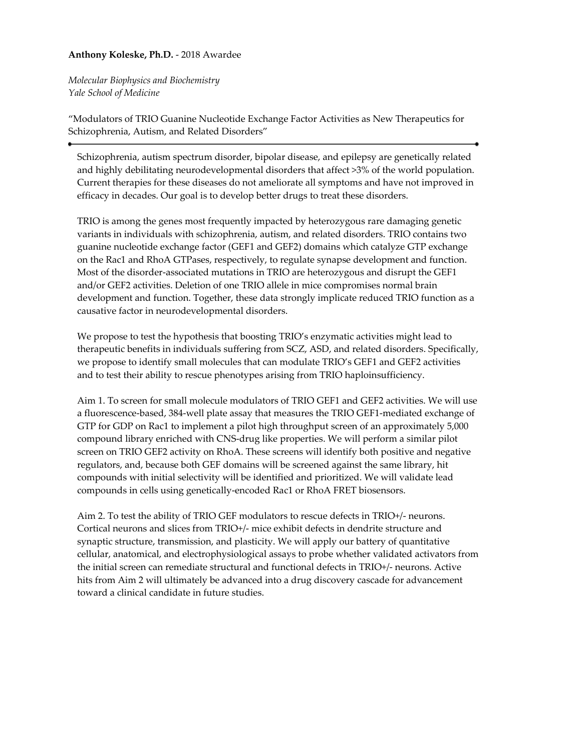# **Anthony Koleske, Ph.D.** - 2018 Awardee

*Molecular Biophysics and Biochemistry Yale School of Medicine*

"Modulators of TRIO Guanine Nucleotide Exchange Factor Activities as New Therapeutics for Schizophrenia, Autism, and Related Disorders"

Schizophrenia, autism spectrum disorder, bipolar disease, and epilepsy are genetically related and highly debilitating neurodevelopmental disorders that affect >3% of the world population. Current therapies for these diseases do not ameliorate all symptoms and have not improved in efficacy in decades. Our goal is to develop better drugs to treat these disorders.

TRIO is among the genes most frequently impacted by heterozygous rare damaging genetic variants in individuals with schizophrenia, autism, and related disorders. TRIO contains two guanine nucleotide exchange factor (GEF1 and GEF2) domains which catalyze GTP exchange on the Rac1 and RhoA GTPases, respectively, to regulate synapse development and function. Most of the disorder-associated mutations in TRIO are heterozygous and disrupt the GEF1 and/or GEF2 activities. Deletion of one TRIO allele in mice compromises normal brain development and function. Together, these data strongly implicate reduced TRIO function as a causative factor in neurodevelopmental disorders.

We propose to test the hypothesis that boosting TRIO's enzymatic activities might lead to therapeutic benefits in individuals suffering from SCZ, ASD, and related disorders. Specifically, we propose to identify small molecules that can modulate TRIO's GEF1 and GEF2 activities and to test their ability to rescue phenotypes arising from TRIO haploinsufficiency.

Aim 1. To screen for small molecule modulators of TRIO GEF1 and GEF2 activities. We will use a fluorescence-based, 384-well plate assay that measures the TRIO GEF1-mediated exchange of GTP for GDP on Rac1 to implement a pilot high throughput screen of an approximately 5,000 compound library enriched with CNS-drug like properties. We will perform a similar pilot screen on TRIO GEF2 activity on RhoA. These screens will identify both positive and negative regulators, and, because both GEF domains will be screened against the same library, hit compounds with initial selectivity will be identified and prioritized. We will validate lead compounds in cells using genetically-encoded Rac1 or RhoA FRET biosensors.

Aim 2. To test the ability of TRIO GEF modulators to rescue defects in TRIO+/- neurons. Cortical neurons and slices from TRIO+/- mice exhibit defects in dendrite structure and synaptic structure, transmission, and plasticity. We will apply our battery of quantitative cellular, anatomical, and electrophysiological assays to probe whether validated activators from the initial screen can remediate structural and functional defects in TRIO+/- neurons. Active hits from Aim 2 will ultimately be advanced into a drug discovery cascade for advancement toward a clinical candidate in future studies.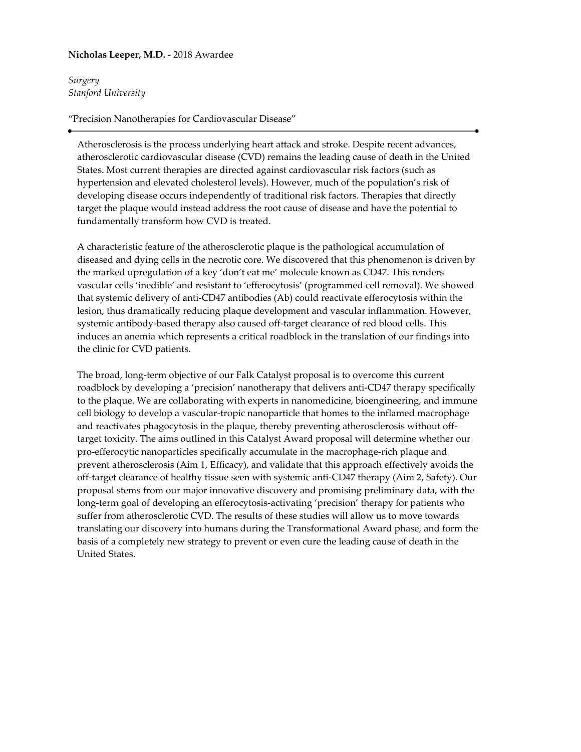# **Nicholas Leeper, M.D.** - 2018 Awardee

*Surgery Stanford University*

### "Precision Nanotherapies for Cardiovascular Disease"

Atherosclerosis is the process underlying heart attack and stroke. Despite recent advances, atherosclerotic cardiovascular disease (CVD) remains the leading cause of death in the United States. Most current therapies are directed against cardiovascular risk factors (such as hypertension and elevated cholesterol levels). However, much of the population's risk of developing disease occurs independently of traditional risk factors. Therapies that directly target the plaque would instead address the root cause of disease and have the potential to fundamentally transform how CVD is treated.

A characteristic feature of the atherosclerotic plaque is the pathological accumulation of diseased and dying cells in the necrotic core. We discovered that this phenomenon is driven by the marked upregulation of a key 'don't eat me' molecule known as CD47. This renders vascular cells 'inedible' and resistant to 'efferocytosis' (programmed cell removal). We showed that systemic delivery of anti-CD47 antibodies (Ab) could reactivate efferocytosis within the lesion, thus dramatically reducing plaque development and vascular inflammation. However, systemic antibody-based therapy also caused off-target clearance of red blood cells. This induces an anemia which represents a critical roadblock in the translation of our findings into the clinic for CVD patients.

The broad, long-term objective of our Falk Catalyst proposal is to overcome this current roadblock by developing a 'precision' nanotherapy that delivers anti-CD47 therapy specifically to the plaque. We are collaborating with experts in nanomedicine, bioengineering, and immune cell biology to develop a vascular-tropic nanoparticle that homes to the inflamed macrophage and reactivates phagocytosis in the plaque, thereby preventing atherosclerosis without offtarget toxicity. The aims outlined in this Catalyst Award proposal will determine whether our pro-efferocytic nanoparticles specifically accumulate in the macrophage-rich plaque and prevent atherosclerosis (Aim 1, Efficacy), and validate that this approach effectively avoids the off-target clearance of healthy tissue seen with systemic anti-CD47 therapy (Aim 2, Safety). Our proposal stems from our major innovative discovery and promising preliminary data, with the long-term goal of developing an efferocytosis-activating 'precision' therapy for patients who suffer from atherosclerotic CVD. The results of these studies will allow us to move towards translating our discovery into humans during the Transformational Award phase, and form the basis of a completely new strategy to prevent or even cure the leading cause of death in the United States.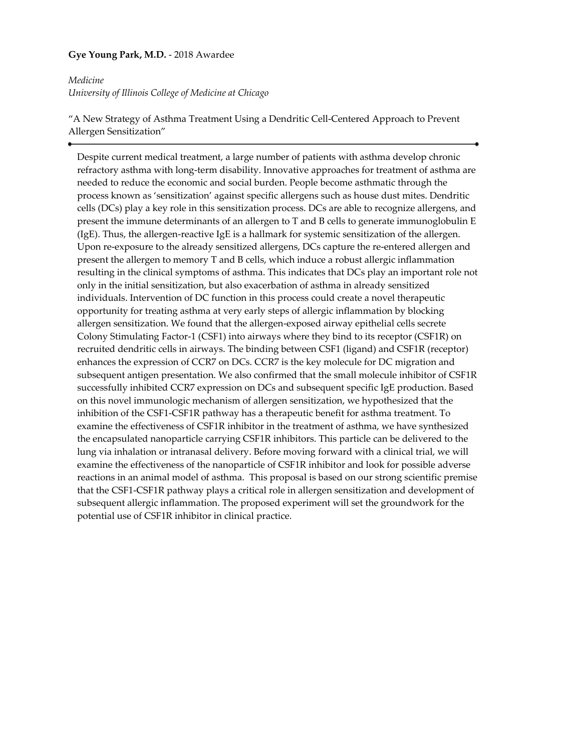# **Gye Young Park, M.D.** - 2018 Awardee

# *Medicine University of Illinois College of Medicine at Chicago*

"A New Strategy of Asthma Treatment Using a Dendritic Cell-Centered Approach to Prevent Allergen Sensitization"

Despite current medical treatment, a large number of patients with asthma develop chronic refractory asthma with long-term disability. Innovative approaches for treatment of asthma are needed to reduce the economic and social burden. People become asthmatic through the process known as 'sensitization' against specific allergens such as house dust mites. Dendritic cells (DCs) play a key role in this sensitization process. DCs are able to recognize allergens, and present the immune determinants of an allergen to T and B cells to generate immunoglobulin E (IgE). Thus, the allergen-reactive IgE is a hallmark for systemic sensitization of the allergen. Upon re-exposure to the already sensitized allergens, DCs capture the re-entered allergen and present the allergen to memory T and B cells, which induce a robust allergic inflammation resulting in the clinical symptoms of asthma. This indicates that DCs play an important role not only in the initial sensitization, but also exacerbation of asthma in already sensitized individuals. Intervention of DC function in this process could create a novel therapeutic opportunity for treating asthma at very early steps of allergic inflammation by blocking allergen sensitization. We found that the allergen-exposed airway epithelial cells secrete Colony Stimulating Factor-1 (CSF1) into airways where they bind to its receptor (CSF1R) on recruited dendritic cells in airways. The binding between CSF1 (ligand) and CSF1R (receptor) enhances the expression of CCR7 on DCs. CCR7 is the key molecule for DC migration and subsequent antigen presentation. We also confirmed that the small molecule inhibitor of CSF1R successfully inhibited CCR7 expression on DCs and subsequent specific IgE production. Based on this novel immunologic mechanism of allergen sensitization, we hypothesized that the inhibition of the CSF1-CSF1R pathway has a therapeutic benefit for asthma treatment. To examine the effectiveness of CSF1R inhibitor in the treatment of asthma, we have synthesized the encapsulated nanoparticle carrying CSF1R inhibitors. This particle can be delivered to the lung via inhalation or intranasal delivery. Before moving forward with a clinical trial, we will examine the effectiveness of the nanoparticle of CSF1R inhibitor and look for possible adverse reactions in an animal model of asthma. This proposal is based on our strong scientific premise that the CSF1-CSF1R pathway plays a critical role in allergen sensitization and development of subsequent allergic inflammation. The proposed experiment will set the groundwork for the potential use of CSF1R inhibitor in clinical practice.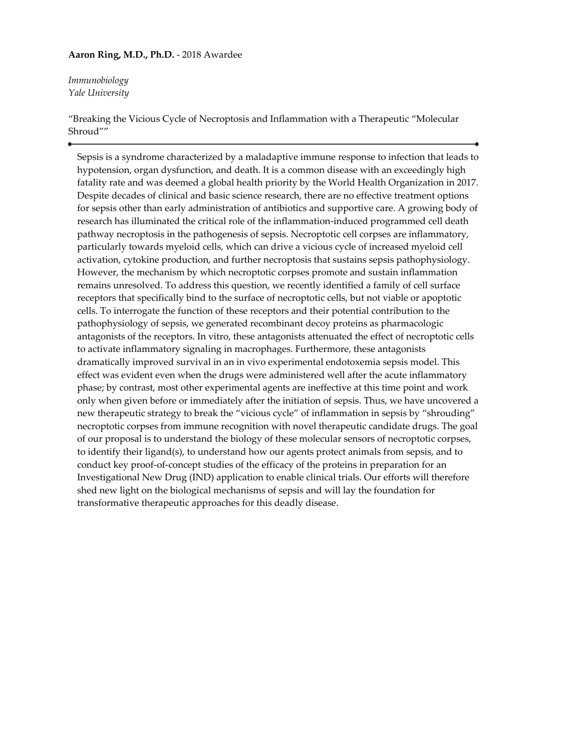### **Aaron Ring, M.D., Ph.D.** - 2018 Awardee

*Immunobiology Yale University*

"Breaking the Vicious Cycle of Necroptosis and Inflammation with a Therapeutic "Molecular Shroud""

Sepsis is a syndrome characterized by a maladaptive immune response to infection that leads to hypotension, organ dysfunction, and death. It is a common disease with an exceedingly high fatality rate and was deemed a global health priority by the World Health Organization in 2017. Despite decades of clinical and basic science research, there are no effective treatment options for sepsis other than early administration of antibiotics and supportive care. A growing body of research has illuminated the critical role of the inflammation-induced programmed cell death pathway necroptosis in the pathogenesis of sepsis. Necroptotic cell corpses are inflammatory, particularly towards myeloid cells, which can drive a vicious cycle of increased myeloid cell activation, cytokine production, and further necroptosis that sustains sepsis pathophysiology. However, the mechanism by which necroptotic corpses promote and sustain inflammation remains unresolved. To address this question, we recently identified a family of cell surface receptors that specifically bind to the surface of necroptotic cells, but not viable or apoptotic cells. To interrogate the function of these receptors and their potential contribution to the pathophysiology of sepsis, we generated recombinant decoy proteins as pharmacologic antagonists of the receptors. In vitro, these antagonists attenuated the effect of necroptotic cells to activate inflammatory signaling in macrophages. Furthermore, these antagonists dramatically improved survival in an in vivo experimental endotoxemia sepsis model. This effect was evident even when the drugs were administered well after the acute inflammatory phase; by contrast, most other experimental agents are ineffective at this time point and work only when given before or immediately after the initiation of sepsis. Thus, we have uncovered a new therapeutic strategy to break the "vicious cycle" of inflammation in sepsis by "shrouding" necroptotic corpses from immune recognition with novel therapeutic candidate drugs. The goal of our proposal is to understand the biology of these molecular sensors of necroptotic corpses, to identify their ligand(s), to understand how our agents protect animals from sepsis, and to conduct key proof-of-concept studies of the efficacy of the proteins in preparation for an Investigational New Drug (IND) application to enable clinical trials. Our efforts will therefore shed new light on the biological mechanisms of sepsis and will lay the foundation for transformative therapeutic approaches for this deadly disease.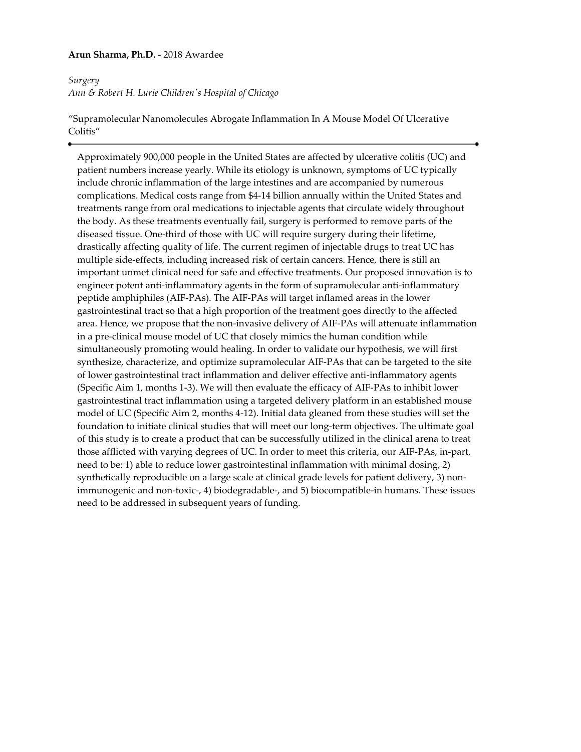### **Arun Sharma, Ph.D.** - 2018 Awardee

# *Surgery Ann & Robert H. Lurie Children's Hospital of Chicago*

"Supramolecular Nanomolecules Abrogate Inflammation In A Mouse Model Of Ulcerative Colitis"

Approximately 900,000 people in the United States are affected by ulcerative colitis (UC) and patient numbers increase yearly. While its etiology is unknown, symptoms of UC typically include chronic inflammation of the large intestines and are accompanied by numerous complications. Medical costs range from \$4-14 billion annually within the United States and treatments range from oral medications to injectable agents that circulate widely throughout the body. As these treatments eventually fail, surgery is performed to remove parts of the diseased tissue. One-third of those with UC will require surgery during their lifetime, drastically affecting quality of life. The current regimen of injectable drugs to treat UC has multiple side-effects, including increased risk of certain cancers. Hence, there is still an important unmet clinical need for safe and effective treatments. Our proposed innovation is to engineer potent anti-inflammatory agents in the form of supramolecular anti-inflammatory peptide amphiphiles (AIF-PAs). The AIF-PAs will target inflamed areas in the lower gastrointestinal tract so that a high proportion of the treatment goes directly to the affected area. Hence, we propose that the non-invasive delivery of AIF-PAs will attenuate inflammation in a pre-clinical mouse model of UC that closely mimics the human condition while simultaneously promoting would healing. In order to validate our hypothesis, we will first synthesize, characterize, and optimize supramolecular AIF-PAs that can be targeted to the site of lower gastrointestinal tract inflammation and deliver effective anti-inflammatory agents (Specific Aim 1, months 1-3). We will then evaluate the efficacy of AIF-PAs to inhibit lower gastrointestinal tract inflammation using a targeted delivery platform in an established mouse model of UC (Specific Aim 2, months 4-12). Initial data gleaned from these studies will set the foundation to initiate clinical studies that will meet our long-term objectives. The ultimate goal of this study is to create a product that can be successfully utilized in the clinical arena to treat those afflicted with varying degrees of UC. In order to meet this criteria, our AIF-PAs, in-part, need to be: 1) able to reduce lower gastrointestinal inflammation with minimal dosing, 2) synthetically reproducible on a large scale at clinical grade levels for patient delivery, 3) nonimmunogenic and non-toxic-, 4) biodegradable-, and 5) biocompatible-in humans. These issues need to be addressed in subsequent years of funding.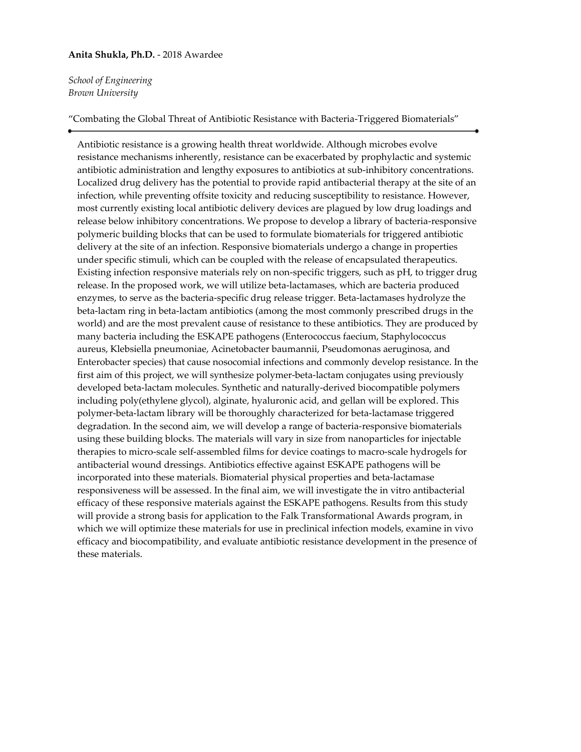#### **Anita Shukla, Ph.D.** - 2018 Awardee

*School of Engineering Brown University*

"Combating the Global Threat of Antibiotic Resistance with Bacteria-Triggered Biomaterials"

Antibiotic resistance is a growing health threat worldwide. Although microbes evolve resistance mechanisms inherently, resistance can be exacerbated by prophylactic and systemic antibiotic administration and lengthy exposures to antibiotics at sub-inhibitory concentrations. Localized drug delivery has the potential to provide rapid antibacterial therapy at the site of an infection, while preventing offsite toxicity and reducing susceptibility to resistance. However, most currently existing local antibiotic delivery devices are plagued by low drug loadings and release below inhibitory concentrations. We propose to develop a library of bacteria-responsive polymeric building blocks that can be used to formulate biomaterials for triggered antibiotic delivery at the site of an infection. Responsive biomaterials undergo a change in properties under specific stimuli, which can be coupled with the release of encapsulated therapeutics. Existing infection responsive materials rely on non-specific triggers, such as pH, to trigger drug release. In the proposed work, we will utilize beta-lactamases, which are bacteria produced enzymes, to serve as the bacteria-specific drug release trigger. Beta-lactamases hydrolyze the beta-lactam ring in beta-lactam antibiotics (among the most commonly prescribed drugs in the world) and are the most prevalent cause of resistance to these antibiotics. They are produced by many bacteria including the ESKAPE pathogens (Enterococcus faecium, Staphylococcus aureus, Klebsiella pneumoniae, Acinetobacter baumannii, Pseudomonas aeruginosa, and Enterobacter species) that cause nosocomial infections and commonly develop resistance. In the first aim of this project, we will synthesize polymer-beta-lactam conjugates using previously developed beta-lactam molecules. Synthetic and naturally-derived biocompatible polymers including poly(ethylene glycol), alginate, hyaluronic acid, and gellan will be explored. This polymer-beta-lactam library will be thoroughly characterized for beta-lactamase triggered degradation. In the second aim, we will develop a range of bacteria-responsive biomaterials using these building blocks. The materials will vary in size from nanoparticles for injectable therapies to micro-scale self-assembled films for device coatings to macro-scale hydrogels for antibacterial wound dressings. Antibiotics effective against ESKAPE pathogens will be incorporated into these materials. Biomaterial physical properties and beta-lactamase responsiveness will be assessed. In the final aim, we will investigate the in vitro antibacterial efficacy of these responsive materials against the ESKAPE pathogens. Results from this study will provide a strong basis for application to the Falk Transformational Awards program, in which we will optimize these materials for use in preclinical infection models, examine in vivo efficacy and biocompatibility, and evaluate antibiotic resistance development in the presence of these materials.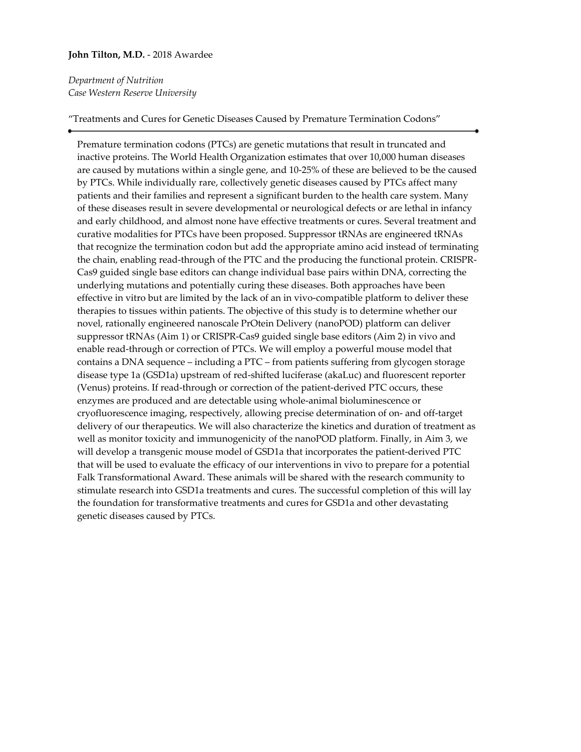### **John Tilton, M.D.** - 2018 Awardee

# *Department of Nutrition Case Western Reserve University*

#### "Treatments and Cures for Genetic Diseases Caused by Premature Termination Codons"

Premature termination codons (PTCs) are genetic mutations that result in truncated and inactive proteins. The World Health Organization estimates that over 10,000 human diseases are caused by mutations within a single gene, and 10-25% of these are believed to be the caused by PTCs. While individually rare, collectively genetic diseases caused by PTCs affect many patients and their families and represent a significant burden to the health care system. Many of these diseases result in severe developmental or neurological defects or are lethal in infancy and early childhood, and almost none have effective treatments or cures. Several treatment and curative modalities for PTCs have been proposed. Suppressor tRNAs are engineered tRNAs that recognize the termination codon but add the appropriate amino acid instead of terminating the chain, enabling read-through of the PTC and the producing the functional protein. CRISPR-Cas9 guided single base editors can change individual base pairs within DNA, correcting the underlying mutations and potentially curing these diseases. Both approaches have been effective in vitro but are limited by the lack of an in vivo-compatible platform to deliver these therapies to tissues within patients. The objective of this study is to determine whether our novel, rationally engineered nanoscale PrOtein Delivery (nanoPOD) platform can deliver suppressor tRNAs (Aim 1) or CRISPR-Cas9 guided single base editors (Aim 2) in vivo and enable read-through or correction of PTCs. We will employ a powerful mouse model that contains a DNA sequence – including a PTC – from patients suffering from glycogen storage disease type 1a (GSD1a) upstream of red-shifted luciferase (akaLuc) and fluorescent reporter (Venus) proteins. If read-through or correction of the patient-derived PTC occurs, these enzymes are produced and are detectable using whole-animal bioluminescence or cryofluorescence imaging, respectively, allowing precise determination of on- and off-target delivery of our therapeutics. We will also characterize the kinetics and duration of treatment as well as monitor toxicity and immunogenicity of the nanoPOD platform. Finally, in Aim 3, we will develop a transgenic mouse model of GSD1a that incorporates the patient-derived PTC that will be used to evaluate the efficacy of our interventions in vivo to prepare for a potential Falk Transformational Award. These animals will be shared with the research community to stimulate research into GSD1a treatments and cures. The successful completion of this will lay the foundation for transformative treatments and cures for GSD1a and other devastating genetic diseases caused by PTCs.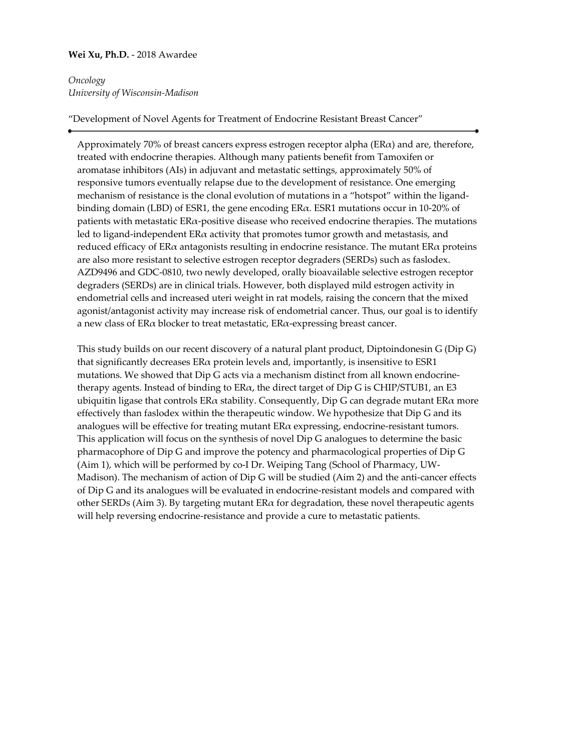### **Wei Xu, Ph.D.** - 2018 Awardee

# *Oncology University of Wisconsin-Madison*

#### "Development of Novel Agents for Treatment of Endocrine Resistant Breast Cancer"

Approximately 70% of breast cancers express estrogen receptor alpha  $(ER\alpha)$  and are, therefore, treated with endocrine therapies. Although many patients benefit from Tamoxifen or aromatase inhibitors (AIs) in adjuvant and metastatic settings, approximately 50% of responsive tumors eventually relapse due to the development of resistance. One emerging mechanism of resistance is the clonal evolution of mutations in a "hotspot" within the ligandbinding domain (LBD) of ESR1, the gene encoding  $ER\alpha$ . ESR1 mutations occur in 10-20% of patients with metastatic ERα-positive disease who received endocrine therapies. The mutations led to ligand-independent  $ER\alpha$  activity that promotes tumor growth and metastasis, and reduced efficacy of ER $\alpha$  antagonists resulting in endocrine resistance. The mutant ER $\alpha$  proteins are also more resistant to selective estrogen receptor degraders (SERDs) such as faslodex. AZD9496 and GDC-0810, two newly developed, orally bioavailable selective estrogen receptor degraders (SERDs) are in clinical trials. However, both displayed mild estrogen activity in endometrial cells and increased uteri weight in rat models, raising the concern that the mixed agonist/antagonist activity may increase risk of endometrial cancer. Thus, our goal is to identify a new class of  $ER\alpha$  blocker to treat metastatic,  $ER\alpha$ -expressing breast cancer.

This study builds on our recent discovery of a natural plant product, Diptoindonesin G (Dip G) that significantly decreases  $ER\alpha$  protein levels and, importantly, is insensitive to ESR1 mutations. We showed that Dip G acts via a mechanism distinct from all known endocrinetherapy agents. Instead of binding to  $ER\alpha$ , the direct target of Dip G is CHIP/STUB1, an E3 ubiquitin ligase that controls  $ER\alpha$  stability. Consequently, Dip G can degrade mutant  $ER\alpha$  more effectively than faslodex within the therapeutic window. We hypothesize that Dip G and its analogues will be effective for treating mutant  $ER\alpha$  expressing, endocrine-resistant tumors. This application will focus on the synthesis of novel Dip G analogues to determine the basic pharmacophore of Dip G and improve the potency and pharmacological properties of Dip G (Aim 1), which will be performed by co-I Dr. Weiping Tang (School of Pharmacy, UW-Madison). The mechanism of action of Dip G will be studied (Aim 2) and the anti-cancer effects of Dip G and its analogues will be evaluated in endocrine-resistant models and compared with other SERDs (Aim 3). By targeting mutant  $ER\alpha$  for degradation, these novel therapeutic agents will help reversing endocrine-resistance and provide a cure to metastatic patients.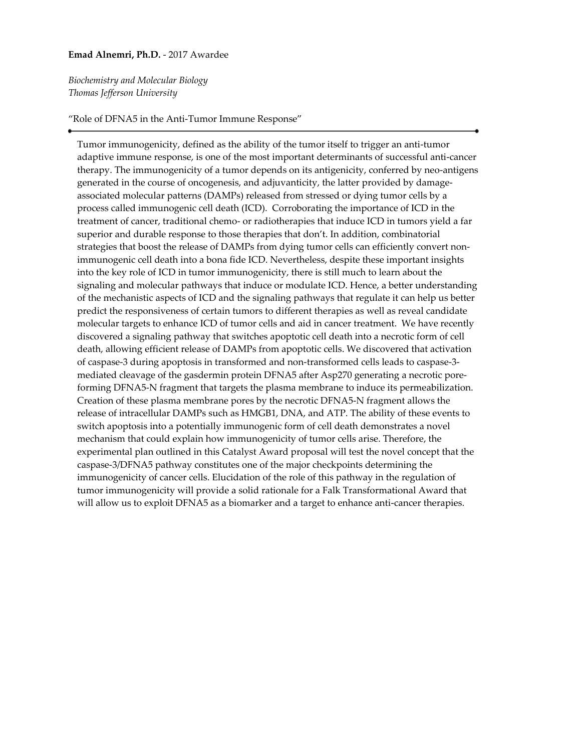#### **Emad Alnemri, Ph.D.** - 2017 Awardee

*Biochemistry and Molecular Biology Thomas Jefferson University*

#### "Role of DFNA5 in the Anti-Tumor Immune Response"

Tumor immunogenicity, defined as the ability of the tumor itself to trigger an anti-tumor adaptive immune response, is one of the most important determinants of successful anti-cancer therapy. The immunogenicity of a tumor depends on its antigenicity, conferred by neo-antigens generated in the course of oncogenesis, and adjuvanticity, the latter provided by damageassociated molecular patterns (DAMPs) released from stressed or dying tumor cells by a process called immunogenic cell death (ICD). Corroborating the importance of ICD in the treatment of cancer, traditional chemo- or radiotherapies that induce ICD in tumors yield a far superior and durable response to those therapies that don't. In addition, combinatorial strategies that boost the release of DAMPs from dying tumor cells can efficiently convert nonimmunogenic cell death into a bona fide ICD. Nevertheless, despite these important insights into the key role of ICD in tumor immunogenicity, there is still much to learn about the signaling and molecular pathways that induce or modulate ICD. Hence, a better understanding of the mechanistic aspects of ICD and the signaling pathways that regulate it can help us better predict the responsiveness of certain tumors to different therapies as well as reveal candidate molecular targets to enhance ICD of tumor cells and aid in cancer treatment. We have recently discovered a signaling pathway that switches apoptotic cell death into a necrotic form of cell death, allowing efficient release of DAMPs from apoptotic cells. We discovered that activation of caspase-3 during apoptosis in transformed and non-transformed cells leads to caspase-3 mediated cleavage of the gasdermin protein DFNA5 after Asp270 generating a necrotic poreforming DFNA5-N fragment that targets the plasma membrane to induce its permeabilization. Creation of these plasma membrane pores by the necrotic DFNA5-N fragment allows the release of intracellular DAMPs such as HMGB1, DNA, and ATP. The ability of these events to switch apoptosis into a potentially immunogenic form of cell death demonstrates a novel mechanism that could explain how immunogenicity of tumor cells arise. Therefore, the experimental plan outlined in this Catalyst Award proposal will test the novel concept that the caspase-3/DFNA5 pathway constitutes one of the major checkpoints determining the immunogenicity of cancer cells. Elucidation of the role of this pathway in the regulation of tumor immunogenicity will provide a solid rationale for a Falk Transformational Award that will allow us to exploit DFNA5 as a biomarker and a target to enhance anti-cancer therapies.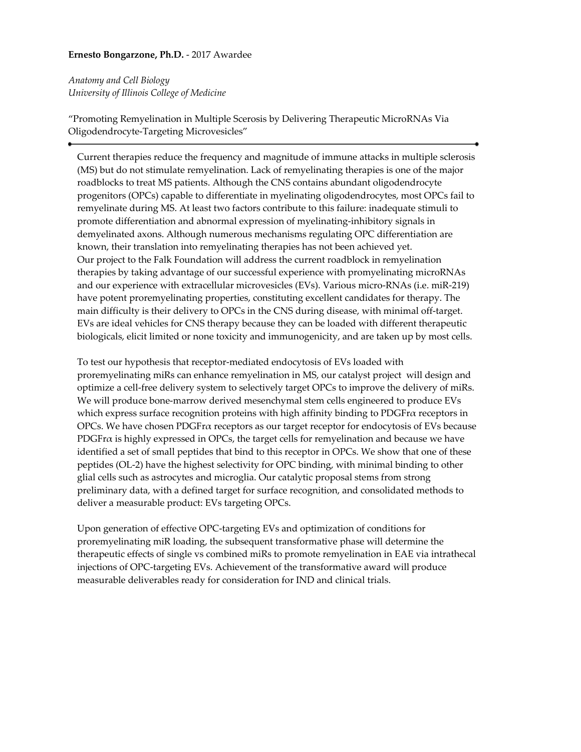# **Ernesto Bongarzone, Ph.D.** - 2017 Awardee

*Anatomy and Cell Biology University of Illinois College of Medicine*

"Promoting Remyelination in Multiple Scerosis by Delivering Therapeutic MicroRNAs Via Oligodendrocyte-Targeting Microvesicles"

Current therapies reduce the frequency and magnitude of immune attacks in multiple sclerosis (MS) but do not stimulate remyelination. Lack of remyelinating therapies is one of the major roadblocks to treat MS patients. Although the CNS contains abundant oligodendrocyte progenitors (OPCs) capable to differentiate in myelinating oligodendrocytes, most OPCs fail to remyelinate during MS. At least two factors contribute to this failure: inadequate stimuli to promote differentiation and abnormal expression of myelinating-inhibitory signals in demyelinated axons. Although numerous mechanisms regulating OPC differentiation are known, their translation into remyelinating therapies has not been achieved yet. Our project to the Falk Foundation will address the current roadblock in remyelination therapies by taking advantage of our successful experience with promyelinating microRNAs and our experience with extracellular microvesicles (EVs). Various micro-RNAs (i.e. miR-219) have potent proremyelinating properties, constituting excellent candidates for therapy. The main difficulty is their delivery to OPCs in the CNS during disease, with minimal off-target. EVs are ideal vehicles for CNS therapy because they can be loaded with different therapeutic biologicals, elicit limited or none toxicity and immunogenicity, and are taken up by most cells.

To test our hypothesis that receptor-mediated endocytosis of EVs loaded with proremyelinating miRs can enhance remyelination in MS, our catalyst project will design and optimize a cell-free delivery system to selectively target OPCs to improve the delivery of miRs. We will produce bone-marrow derived mesenchymal stem cells engineered to produce EVs which express surface recognition proteins with high affinity binding to PDGFrα receptors in OPCs. We have chosen PDGFrα receptors as our target receptor for endocytosis of EVs because PDGF $r\alpha$  is highly expressed in OPCs, the target cells for remyelination and because we have identified a set of small peptides that bind to this receptor in OPCs. We show that one of these peptides (OL-2) have the highest selectivity for OPC binding, with minimal binding to other glial cells such as astrocytes and microglia. Our catalytic proposal stems from strong preliminary data, with a defined target for surface recognition, and consolidated methods to deliver a measurable product: EVs targeting OPCs.

Upon generation of effective OPC-targeting EVs and optimization of conditions for proremyelinating miR loading, the subsequent transformative phase will determine the therapeutic effects of single vs combined miRs to promote remyelination in EAE via intrathecal injections of OPC-targeting EVs. Achievement of the transformative award will produce measurable deliverables ready for consideration for IND and clinical trials.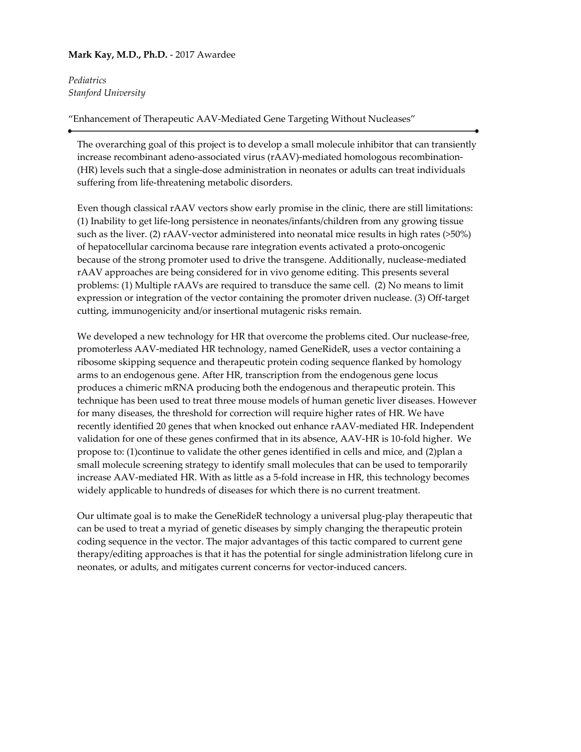# **Mark Kay, M.D., Ph.D.** - 2017 Awardee

*Pediatrics Stanford University*

"Enhancement of Therapeutic AAV-Mediated Gene Targeting Without Nucleases"

The overarching goal of this project is to develop a small molecule inhibitor that can transiently increase recombinant adeno-associated virus (rAAV)-mediated homologous recombination- (HR) levels such that a single-dose administration in neonates or adults can treat individuals suffering from life-threatening metabolic disorders.

Even though classical rAAV vectors show early promise in the clinic, there are still limitations: (1) Inability to get life-long persistence in neonates/infants/children from any growing tissue such as the liver. (2) rAAV-vector administered into neonatal mice results in high rates (>50%) of hepatocellular carcinoma because rare integration events activated a proto-oncogenic because of the strong promoter used to drive the transgene. Additionally, nuclease-mediated rAAV approaches are being considered for in vivo genome editing. This presents several problems: (1) Multiple rAAVs are required to transduce the same cell. (2) No means to limit expression or integration of the vector containing the promoter driven nuclease. (3) Off-target cutting, immunogenicity and/or insertional mutagenic risks remain.

We developed a new technology for HR that overcome the problems cited. Our nuclease-free, promoterless AAV-mediated HR technology, named GeneRideR, uses a vector containing a ribosome skipping sequence and therapeutic protein coding sequence flanked by homology arms to an endogenous gene. After HR, transcription from the endogenous gene locus produces a chimeric mRNA producing both the endogenous and therapeutic protein. This technique has been used to treat three mouse models of human genetic liver diseases. However for many diseases, the threshold for correction will require higher rates of HR. We have recently identified 20 genes that when knocked out enhance rAAV-mediated HR. Independent validation for one of these genes confirmed that in its absence, AAV-HR is 10-fold higher. We propose to: (1)continue to validate the other genes identified in cells and mice, and (2)plan a small molecule screening strategy to identify small molecules that can be used to temporarily increase AAV-mediated HR. With as little as a 5-fold increase in HR, this technology becomes widely applicable to hundreds of diseases for which there is no current treatment.

Our ultimate goal is to make the GeneRideR technology a universal plug-play therapeutic that can be used to treat a myriad of genetic diseases by simply changing the therapeutic protein coding sequence in the vector. The major advantages of this tactic compared to current gene therapy/editing approaches is that it has the potential for single administration lifelong cure in neonates, or adults, and mitigates current concerns for vector-induced cancers.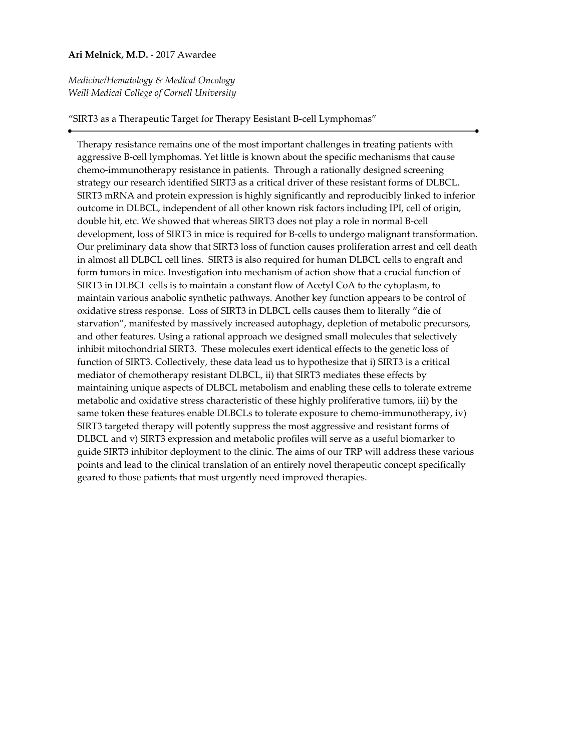### **Ari Melnick, M.D.** - 2017 Awardee

*Medicine/Hematology & Medical Oncology Weill Medical College of Cornell University*

#### "SIRT3 as a Therapeutic Target for Therapy Eesistant B-cell Lymphomas"

Therapy resistance remains one of the most important challenges in treating patients with aggressive B-cell lymphomas. Yet little is known about the specific mechanisms that cause chemo-immunotherapy resistance in patients. Through a rationally designed screening strategy our research identified SIRT3 as a critical driver of these resistant forms of DLBCL. SIRT3 mRNA and protein expression is highly significantly and reproducibly linked to inferior outcome in DLBCL, independent of all other known risk factors including IPI, cell of origin, double hit, etc. We showed that whereas SIRT3 does not play a role in normal B-cell development, loss of SIRT3 in mice is required for B-cells to undergo malignant transformation. Our preliminary data show that SIRT3 loss of function causes proliferation arrest and cell death in almost all DLBCL cell lines. SIRT3 is also required for human DLBCL cells to engraft and form tumors in mice. Investigation into mechanism of action show that a crucial function of SIRT3 in DLBCL cells is to maintain a constant flow of Acetyl CoA to the cytoplasm, to maintain various anabolic synthetic pathways. Another key function appears to be control of oxidative stress response. Loss of SIRT3 in DLBCL cells causes them to literally "die of starvation", manifested by massively increased autophagy, depletion of metabolic precursors, and other features. Using a rational approach we designed small molecules that selectively inhibit mitochondrial SIRT3. These molecules exert identical effects to the genetic loss of function of SIRT3. Collectively, these data lead us to hypothesize that i) SIRT3 is a critical mediator of chemotherapy resistant DLBCL, ii) that SIRT3 mediates these effects by maintaining unique aspects of DLBCL metabolism and enabling these cells to tolerate extreme metabolic and oxidative stress characteristic of these highly proliferative tumors, iii) by the same token these features enable DLBCLs to tolerate exposure to chemo-immunotherapy, iv) SIRT3 targeted therapy will potently suppress the most aggressive and resistant forms of DLBCL and v) SIRT3 expression and metabolic profiles will serve as a useful biomarker to guide SIRT3 inhibitor deployment to the clinic. The aims of our TRP will address these various points and lead to the clinical translation of an entirely novel therapeutic concept specifically geared to those patients that most urgently need improved therapies.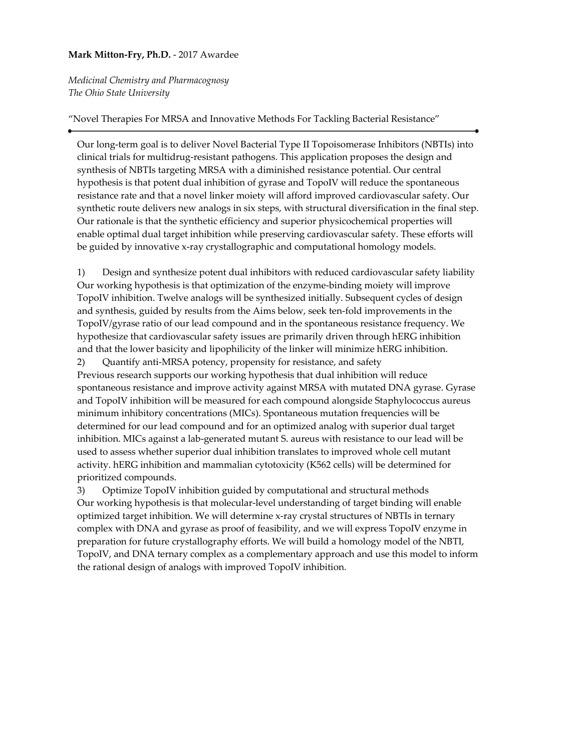# **Mark Mitton-Fry, Ph.D.** - 2017 Awardee

*Medicinal Chemistry and Pharmacognosy The Ohio State University*

"Novel Therapies For MRSA and Innovative Methods For Tackling Bacterial Resistance"

Our long-term goal is to deliver Novel Bacterial Type II Topoisomerase Inhibitors (NBTIs) into clinical trials for multidrug-resistant pathogens. This application proposes the design and synthesis of NBTIs targeting MRSA with a diminished resistance potential. Our central hypothesis is that potent dual inhibition of gyrase and TopoIV will reduce the spontaneous resistance rate and that a novel linker moiety will afford improved cardiovascular safety. Our synthetic route delivers new analogs in six steps, with structural diversification in the final step. Our rationale is that the synthetic efficiency and superior physicochemical properties will enable optimal dual target inhibition while preserving cardiovascular safety. These efforts will be guided by innovative x-ray crystallographic and computational homology models.

1) Design and synthesize potent dual inhibitors with reduced cardiovascular safety liability Our working hypothesis is that optimization of the enzyme-binding moiety will improve TopoIV inhibition. Twelve analogs will be synthesized initially. Subsequent cycles of design and synthesis, guided by results from the Aims below, seek ten-fold improvements in the TopoIV/gyrase ratio of our lead compound and in the spontaneous resistance frequency. We hypothesize that cardiovascular safety issues are primarily driven through hERG inhibition and that the lower basicity and lipophilicity of the linker will minimize hERG inhibition.

2) Quantify anti-MRSA potency, propensity for resistance, and safety Previous research supports our working hypothesis that dual inhibition will reduce spontaneous resistance and improve activity against MRSA with mutated DNA gyrase. Gyrase and TopoIV inhibition will be measured for each compound alongside Staphylococcus aureus minimum inhibitory concentrations (MICs). Spontaneous mutation frequencies will be determined for our lead compound and for an optimized analog with superior dual target inhibition. MICs against a lab-generated mutant S. aureus with resistance to our lead will be used to assess whether superior dual inhibition translates to improved whole cell mutant activity. hERG inhibition and mammalian cytotoxicity (K562 cells) will be determined for prioritized compounds.

3) Optimize TopoIV inhibition guided by computational and structural methods Our working hypothesis is that molecular-level understanding of target binding will enable optimized target inhibition. We will determine x-ray crystal structures of NBTIs in ternary complex with DNA and gyrase as proof of feasibility, and we will express TopoIV enzyme in preparation for future crystallography efforts. We will build a homology model of the NBTI, TopoIV, and DNA ternary complex as a complementary approach and use this model to inform the rational design of analogs with improved TopoIV inhibition.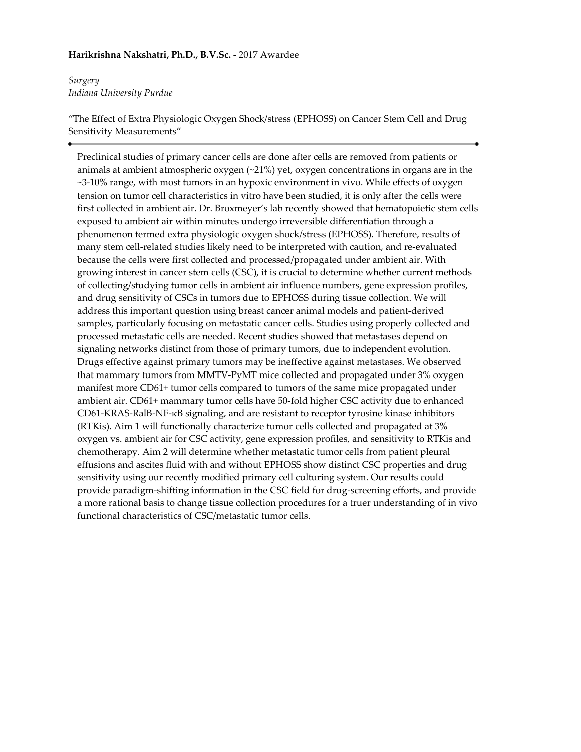# **Harikrishna Nakshatri, Ph.D., B.V.Sc.** - 2017 Awardee

# *Surgery Indiana University Purdue*

"The Effect of Extra Physiologic Oxygen Shock/stress (EPHOSS) on Cancer Stem Cell and Drug Sensitivity Measurements"

Preclinical studies of primary cancer cells are done after cells are removed from patients or animals at ambient atmospheric oxygen (~21%) yet, oxygen concentrations in organs are in the ~3-10% range, with most tumors in an hypoxic environment in vivo. While effects of oxygen tension on tumor cell characteristics in vitro have been studied, it is only after the cells were first collected in ambient air. Dr. Broxmeyer's lab recently showed that hematopoietic stem cells exposed to ambient air within minutes undergo irreversible differentiation through a phenomenon termed extra physiologic oxygen shock/stress (EPHOSS). Therefore, results of many stem cell-related studies likely need to be interpreted with caution, and re-evaluated because the cells were first collected and processed/propagated under ambient air. With growing interest in cancer stem cells (CSC), it is crucial to determine whether current methods of collecting/studying tumor cells in ambient air influence numbers, gene expression profiles, and drug sensitivity of CSCs in tumors due to EPHOSS during tissue collection. We will address this important question using breast cancer animal models and patient-derived samples, particularly focusing on metastatic cancer cells. Studies using properly collected and processed metastatic cells are needed. Recent studies showed that metastases depend on signaling networks distinct from those of primary tumors, due to independent evolution. Drugs effective against primary tumors may be ineffective against metastases. We observed that mammary tumors from MMTV-PyMT mice collected and propagated under 3% oxygen manifest more CD61+ tumor cells compared to tumors of the same mice propagated under ambient air. CD61+ mammary tumor cells have 50-fold higher CSC activity due to enhanced CD61-KRAS-RalB-NF-κB signaling, and are resistant to receptor tyrosine kinase inhibitors (RTKis). Aim 1 will functionally characterize tumor cells collected and propagated at 3% oxygen vs. ambient air for CSC activity, gene expression profiles, and sensitivity to RTKis and chemotherapy. Aim 2 will determine whether metastatic tumor cells from patient pleural effusions and ascites fluid with and without EPHOSS show distinct CSC properties and drug sensitivity using our recently modified primary cell culturing system. Our results could provide paradigm-shifting information in the CSC field for drug-screening efforts, and provide a more rational basis to change tissue collection procedures for a truer understanding of in vivo functional characteristics of CSC/metastatic tumor cells.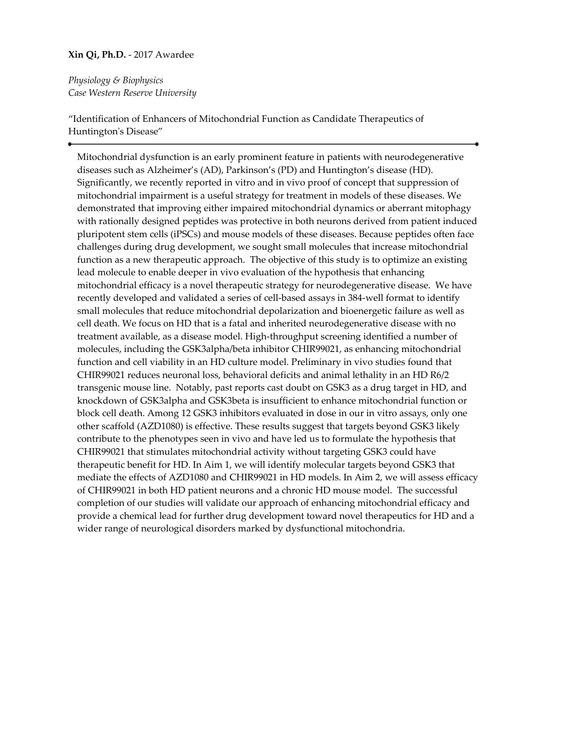### **Xin Qi, Ph.D.** - 2017 Awardee

*Physiology & Biophysics Case Western Reserve University*

"Identification of Enhancers of Mitochondrial Function as Candidate Therapeutics of Huntington's Disease"

Mitochondrial dysfunction is an early prominent feature in patients with neurodegenerative diseases such as Alzheimer's (AD), Parkinson's (PD) and Huntington's disease (HD). Significantly, we recently reported in vitro and in vivo proof of concept that suppression of mitochondrial impairment is a useful strategy for treatment in models of these diseases. We demonstrated that improving either impaired mitochondrial dynamics or aberrant mitophagy with rationally designed peptides was protective in both neurons derived from patient induced pluripotent stem cells (iPSCs) and mouse models of these diseases. Because peptides often face challenges during drug development, we sought small molecules that increase mitochondrial function as a new therapeutic approach. The objective of this study is to optimize an existing lead molecule to enable deeper in vivo evaluation of the hypothesis that enhancing mitochondrial efficacy is a novel therapeutic strategy for neurodegenerative disease. We have recently developed and validated a series of cell-based assays in 384-well format to identify small molecules that reduce mitochondrial depolarization and bioenergetic failure as well as cell death. We focus on HD that is a fatal and inherited neurodegenerative disease with no treatment available, as a disease model. High-throughput screening identified a number of molecules, including the GSK3alpha/beta inhibitor CHIR99021, as enhancing mitochondrial function and cell viability in an HD culture model. Preliminary in vivo studies found that CHIR99021 reduces neuronal loss, behavioral deficits and animal lethality in an HD R6/2 transgenic mouse line. Notably, past reports cast doubt on GSK3 as a drug target in HD, and knockdown of GSK3alpha and GSK3beta is insufficient to enhance mitochondrial function or block cell death. Among 12 GSK3 inhibitors evaluated in dose in our in vitro assays, only one other scaffold (AZD1080) is effective. These results suggest that targets beyond GSK3 likely contribute to the phenotypes seen in vivo and have led us to formulate the hypothesis that CHIR99021 that stimulates mitochondrial activity without targeting GSK3 could have therapeutic benefit for HD. In Aim 1, we will identify molecular targets beyond GSK3 that mediate the effects of AZD1080 and CHIR99021 in HD models. In Aim 2, we will assess efficacy of CHIR99021 in both HD patient neurons and a chronic HD mouse model. The successful completion of our studies will validate our approach of enhancing mitochondrial efficacy and provide a chemical lead for further drug development toward novel therapeutics for HD and a wider range of neurological disorders marked by dysfunctional mitochondria.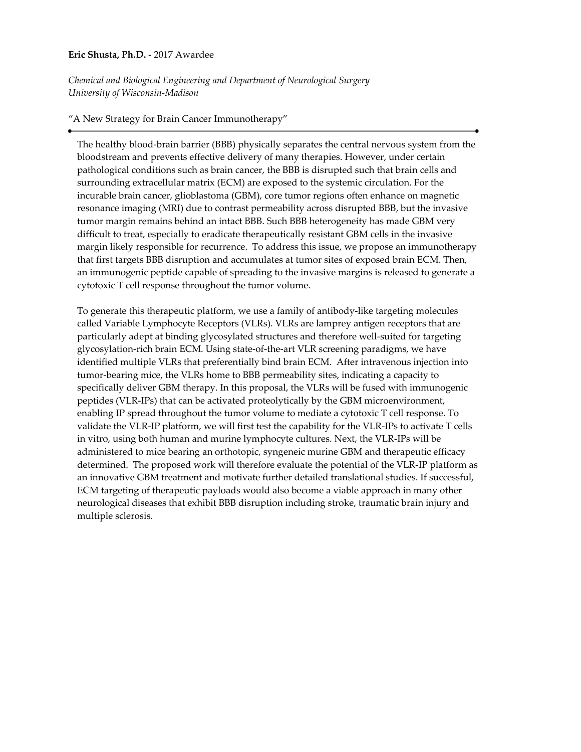### **Eric Shusta, Ph.D.** - 2017 Awardee

*Chemical and Biological Engineering and Department of Neurological Surgery University of Wisconsin-Madison*

# "A New Strategy for Brain Cancer Immunotherapy"

The healthy blood-brain barrier (BBB) physically separates the central nervous system from the bloodstream and prevents effective delivery of many therapies. However, under certain pathological conditions such as brain cancer, the BBB is disrupted such that brain cells and surrounding extracellular matrix (ECM) are exposed to the systemic circulation. For the incurable brain cancer, glioblastoma (GBM), core tumor regions often enhance on magnetic resonance imaging (MRI) due to contrast permeability across disrupted BBB, but the invasive tumor margin remains behind an intact BBB. Such BBB heterogeneity has made GBM very difficult to treat, especially to eradicate therapeutically resistant GBM cells in the invasive margin likely responsible for recurrence. To address this issue, we propose an immunotherapy that first targets BBB disruption and accumulates at tumor sites of exposed brain ECM. Then, an immunogenic peptide capable of spreading to the invasive margins is released to generate a cytotoxic T cell response throughout the tumor volume.

To generate this therapeutic platform, we use a family of antibody-like targeting molecules called Variable Lymphocyte Receptors (VLRs). VLRs are lamprey antigen receptors that are particularly adept at binding glycosylated structures and therefore well-suited for targeting glycosylation-rich brain ECM. Using state-of-the-art VLR screening paradigms, we have identified multiple VLRs that preferentially bind brain ECM. After intravenous injection into tumor-bearing mice, the VLRs home to BBB permeability sites, indicating a capacity to specifically deliver GBM therapy. In this proposal, the VLRs will be fused with immunogenic peptides (VLR-IPs) that can be activated proteolytically by the GBM microenvironment, enabling IP spread throughout the tumor volume to mediate a cytotoxic T cell response. To validate the VLR-IP platform, we will first test the capability for the VLR-IPs to activate T cells in vitro, using both human and murine lymphocyte cultures. Next, the VLR-IPs will be administered to mice bearing an orthotopic, syngeneic murine GBM and therapeutic efficacy determined. The proposed work will therefore evaluate the potential of the VLR-IP platform as an innovative GBM treatment and motivate further detailed translational studies. If successful, ECM targeting of therapeutic payloads would also become a viable approach in many other neurological diseases that exhibit BBB disruption including stroke, traumatic brain injury and multiple sclerosis.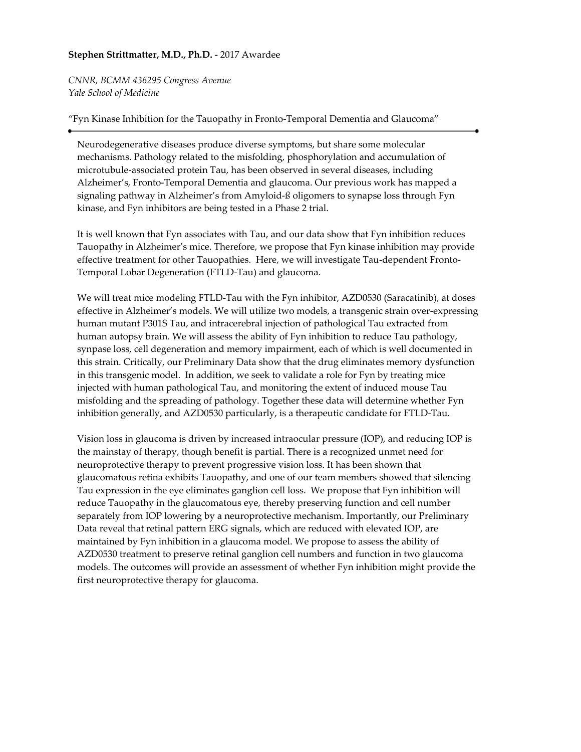# **Stephen Strittmatter, M.D., Ph.D.** - 2017 Awardee

*CNNR, BCMM 436295 Congress Avenue Yale School of Medicine*

## "Fyn Kinase Inhibition for the Tauopathy in Fronto-Temporal Dementia and Glaucoma"

Neurodegenerative diseases produce diverse symptoms, but share some molecular mechanisms. Pathology related to the misfolding, phosphorylation and accumulation of microtubule-associated protein Tau, has been observed in several diseases, including Alzheimer's, Fronto-Temporal Dementia and glaucoma. Our previous work has mapped a signaling pathway in Alzheimer's from Amyloid-ß oligomers to synapse loss through Fyn kinase, and Fyn inhibitors are being tested in a Phase 2 trial.

It is well known that Fyn associates with Tau, and our data show that Fyn inhibition reduces Tauopathy in Alzheimer's mice. Therefore, we propose that Fyn kinase inhibition may provide effective treatment for other Tauopathies. Here, we will investigate Tau-dependent Fronto-Temporal Lobar Degeneration (FTLD-Tau) and glaucoma.

We will treat mice modeling FTLD-Tau with the Fyn inhibitor, AZD0530 (Saracatinib), at doses effective in Alzheimer's models. We will utilize two models, a transgenic strain over-expressing human mutant P301S Tau, and intracerebral injection of pathological Tau extracted from human autopsy brain. We will assess the ability of Fyn inhibition to reduce Tau pathology, synpase loss, cell degeneration and memory impairment, each of which is well documented in this strain. Critically, our Preliminary Data show that the drug eliminates memory dysfunction in this transgenic model. In addition, we seek to validate a role for Fyn by treating mice injected with human pathological Tau, and monitoring the extent of induced mouse Tau misfolding and the spreading of pathology. Together these data will determine whether Fyn inhibition generally, and AZD0530 particularly, is a therapeutic candidate for FTLD-Tau.

Vision loss in glaucoma is driven by increased intraocular pressure (IOP), and reducing IOP is the mainstay of therapy, though benefit is partial. There is a recognized unmet need for neuroprotective therapy to prevent progressive vision loss. It has been shown that glaucomatous retina exhibits Tauopathy, and one of our team members showed that silencing Tau expression in the eye eliminates ganglion cell loss. We propose that Fyn inhibition will reduce Tauopathy in the glaucomatous eye, thereby preserving function and cell number separately from IOP lowering by a neuroprotective mechanism. Importantly, our Preliminary Data reveal that retinal pattern ERG signals, which are reduced with elevated IOP, are maintained by Fyn inhibition in a glaucoma model. We propose to assess the ability of AZD0530 treatment to preserve retinal ganglion cell numbers and function in two glaucoma models. The outcomes will provide an assessment of whether Fyn inhibition might provide the first neuroprotective therapy for glaucoma.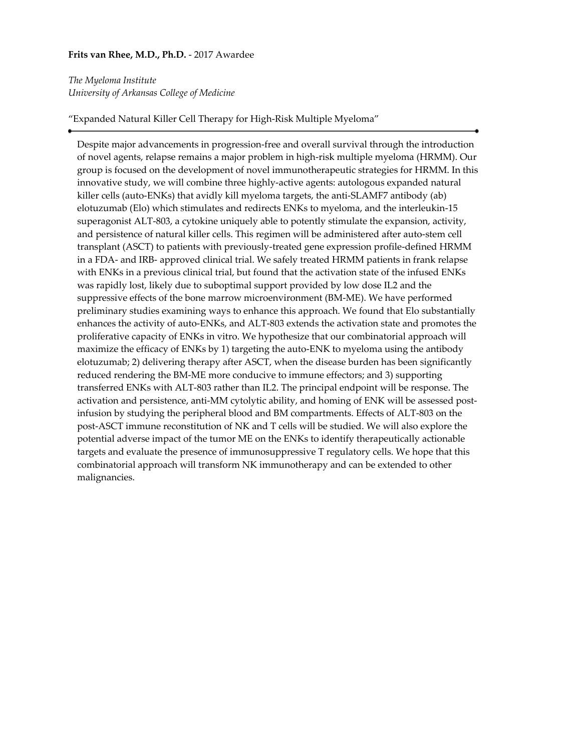## **Frits van Rhee, M.D., Ph.D.** - 2017 Awardee

*The Myeloma Institute University of Arkansas College of Medicine*

"Expanded Natural Killer Cell Therapy for High-Risk Multiple Myeloma"

Despite major advancements in progression-free and overall survival through the introduction of novel agents, relapse remains a major problem in high-risk multiple myeloma (HRMM). Our group is focused on the development of novel immunotherapeutic strategies for HRMM. In this innovative study, we will combine three highly-active agents: autologous expanded natural killer cells (auto-ENKs) that avidly kill myeloma targets, the anti-SLAMF7 antibody (ab) elotuzumab (Elo) which stimulates and redirects ENKs to myeloma, and the interleukin-15 superagonist ALT-803, a cytokine uniquely able to potently stimulate the expansion, activity, and persistence of natural killer cells. This regimen will be administered after auto-stem cell transplant (ASCT) to patients with previously-treated gene expression profile-defined HRMM in a FDA- and IRB- approved clinical trial. We safely treated HRMM patients in frank relapse with ENKs in a previous clinical trial, but found that the activation state of the infused ENKs was rapidly lost, likely due to suboptimal support provided by low dose IL2 and the suppressive effects of the bone marrow microenvironment (BM-ME). We have performed preliminary studies examining ways to enhance this approach. We found that Elo substantially enhances the activity of auto-ENKs, and ALT-803 extends the activation state and promotes the proliferative capacity of ENKs in vitro. We hypothesize that our combinatorial approach will maximize the efficacy of ENKs by 1) targeting the auto-ENK to myeloma using the antibody elotuzumab; 2) delivering therapy after ASCT, when the disease burden has been significantly reduced rendering the BM-ME more conducive to immune effectors; and 3) supporting transferred ENKs with ALT-803 rather than IL2. The principal endpoint will be response. The activation and persistence, anti-MM cytolytic ability, and homing of ENK will be assessed postinfusion by studying the peripheral blood and BM compartments. Effects of ALT-803 on the post-ASCT immune reconstitution of NK and T cells will be studied. We will also explore the potential adverse impact of the tumor ME on the ENKs to identify therapeutically actionable targets and evaluate the presence of immunosuppressive T regulatory cells. We hope that this combinatorial approach will transform NK immunotherapy and can be extended to other malignancies.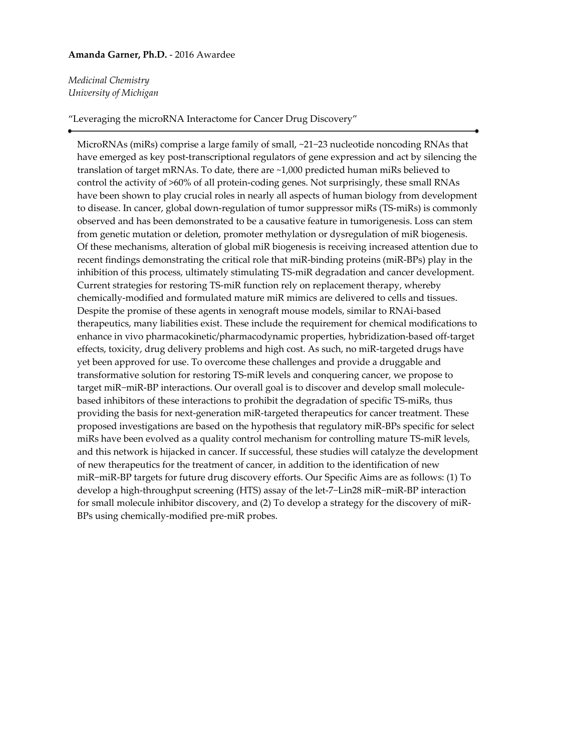### **Amanda Garner, Ph.D.** - 2016 Awardee

# *Medicinal Chemistry University of Michigan*

### "Leveraging the microRNA Interactome for Cancer Drug Discovery"

MicroRNAs (miRs) comprise a large family of small, ~21−23 nucleotide noncoding RNAs that have emerged as key post-transcriptional regulators of gene expression and act by silencing the translation of target mRNAs. To date, there are ~1,000 predicted human miRs believed to control the activity of >60% of all protein-coding genes. Not surprisingly, these small RNAs have been shown to play crucial roles in nearly all aspects of human biology from development to disease. In cancer, global down-regulation of tumor suppressor miRs (TS-miRs) is commonly observed and has been demonstrated to be a causative feature in tumorigenesis. Loss can stem from genetic mutation or deletion, promoter methylation or dysregulation of miR biogenesis. Of these mechanisms, alteration of global miR biogenesis is receiving increased attention due to recent findings demonstrating the critical role that miR-binding proteins (miR-BPs) play in the inhibition of this process, ultimately stimulating TS-miR degradation and cancer development. Current strategies for restoring TS-miR function rely on replacement therapy, whereby chemically-modified and formulated mature miR mimics are delivered to cells and tissues. Despite the promise of these agents in xenograft mouse models, similar to RNAi-based therapeutics, many liabilities exist. These include the requirement for chemical modifications to enhance in vivo pharmacokinetic/pharmacodynamic properties, hybridization-based off-target effects, toxicity, drug delivery problems and high cost. As such, no miR-targeted drugs have yet been approved for use. To overcome these challenges and provide a druggable and transformative solution for restoring TS-miR levels and conquering cancer, we propose to target miR−miR-BP interactions. Our overall goal is to discover and develop small moleculebased inhibitors of these interactions to prohibit the degradation of specific TS-miRs, thus providing the basis for next-generation miR-targeted therapeutics for cancer treatment. These proposed investigations are based on the hypothesis that regulatory miR-BPs specific for select miRs have been evolved as a quality control mechanism for controlling mature TS-miR levels, and this network is hijacked in cancer. If successful, these studies will catalyze the development of new therapeutics for the treatment of cancer, in addition to the identification of new miR−miR-BP targets for future drug discovery efforts. Our Specific Aims are as follows: (1) To develop a high-throughput screening (HTS) assay of the let-7−Lin28 miR−miR-BP interaction for small molecule inhibitor discovery, and (2) To develop a strategy for the discovery of miR-BPs using chemically-modified pre-miR probes.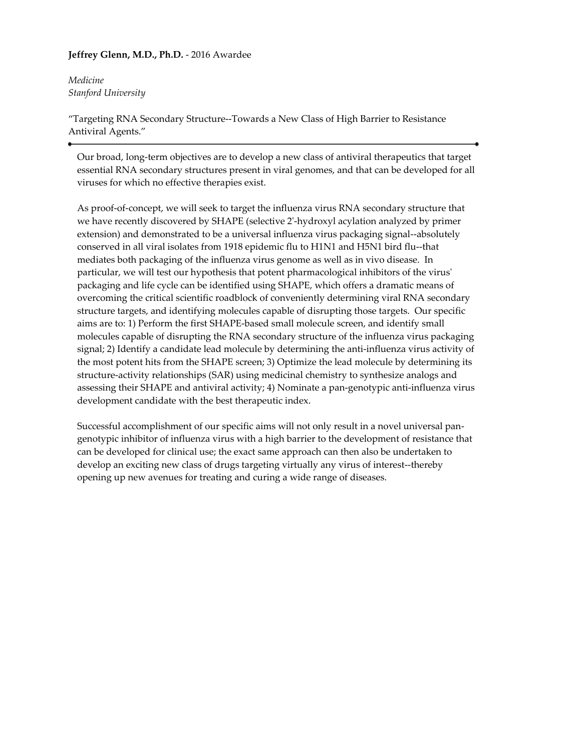# **Jeffrey Glenn, M.D., Ph.D.** - 2016 Awardee

*Medicine Stanford University*

"Targeting RNA Secondary Structure--Towards a New Class of High Barrier to Resistance Antiviral Agents."

Our broad, long-term objectives are to develop a new class of antiviral therapeutics that target essential RNA secondary structures present in viral genomes, and that can be developed for all viruses for which no effective therapies exist.

As proof-of-concept, we will seek to target the influenza virus RNA secondary structure that we have recently discovered by SHAPE (selective 2'-hydroxyl acylation analyzed by primer extension) and demonstrated to be a universal influenza virus packaging signal--absolutely conserved in all viral isolates from 1918 epidemic flu to H1N1 and H5N1 bird flu--that mediates both packaging of the influenza virus genome as well as in vivo disease. In particular, we will test our hypothesis that potent pharmacological inhibitors of the virus' packaging and life cycle can be identified using SHAPE, which offers a dramatic means of overcoming the critical scientific roadblock of conveniently determining viral RNA secondary structure targets, and identifying molecules capable of disrupting those targets. Our specific aims are to: 1) Perform the first SHAPE-based small molecule screen, and identify small molecules capable of disrupting the RNA secondary structure of the influenza virus packaging signal; 2) Identify a candidate lead molecule by determining the anti-influenza virus activity of the most potent hits from the SHAPE screen; 3) Optimize the lead molecule by determining its structure-activity relationships (SAR) using medicinal chemistry to synthesize analogs and assessing their SHAPE and antiviral activity; 4) Nominate a pan-genotypic anti-influenza virus development candidate with the best therapeutic index.

Successful accomplishment of our specific aims will not only result in a novel universal pangenotypic inhibitor of influenza virus with a high barrier to the development of resistance that can be developed for clinical use; the exact same approach can then also be undertaken to develop an exciting new class of drugs targeting virtually any virus of interest--thereby opening up new avenues for treating and curing a wide range of diseases.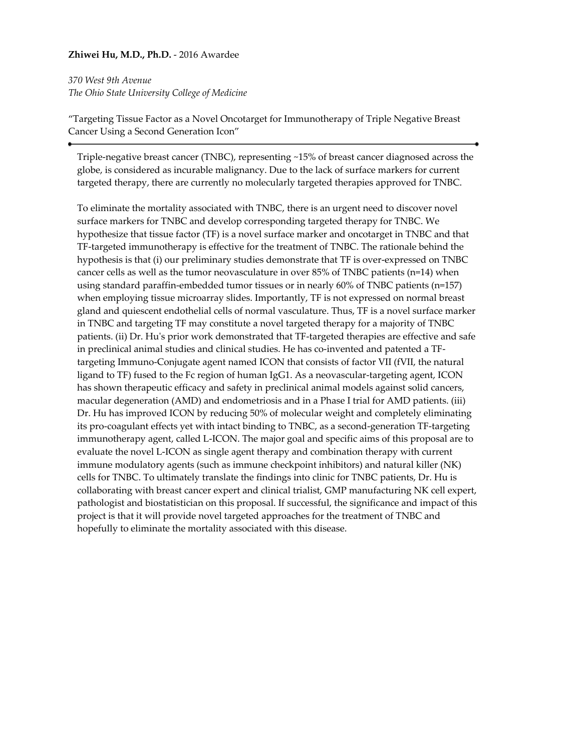### **Zhiwei Hu, M.D., Ph.D.** - 2016 Awardee

*370 West 9th Avenue The Ohio State University College of Medicine*

"Targeting Tissue Factor as a Novel Oncotarget for Immunotherapy of Triple Negative Breast Cancer Using a Second Generation Icon"

Triple-negative breast cancer (TNBC), representing ~15% of breast cancer diagnosed across the globe, is considered as incurable malignancy. Due to the lack of surface markers for current targeted therapy, there are currently no molecularly targeted therapies approved for TNBC.

To eliminate the mortality associated with TNBC, there is an urgent need to discover novel surface markers for TNBC and develop corresponding targeted therapy for TNBC. We hypothesize that tissue factor (TF) is a novel surface marker and oncotarget in TNBC and that TF-targeted immunotherapy is effective for the treatment of TNBC. The rationale behind the hypothesis is that (i) our preliminary studies demonstrate that TF is over-expressed on TNBC cancer cells as well as the tumor neovasculature in over 85% of TNBC patients (n=14) when using standard paraffin-embedded tumor tissues or in nearly 60% of TNBC patients (n=157) when employing tissue microarray slides. Importantly, TF is not expressed on normal breast gland and quiescent endothelial cells of normal vasculature. Thus, TF is a novel surface marker in TNBC and targeting TF may constitute a novel targeted therapy for a majority of TNBC patients. (ii) Dr. Hu's prior work demonstrated that TF-targeted therapies are effective and safe in preclinical animal studies and clinical studies. He has co-invented and patented a TFtargeting Immuno-Conjugate agent named ICON that consists of factor VII (fVII, the natural ligand to TF) fused to the Fc region of human IgG1. As a neovascular-targeting agent, ICON has shown therapeutic efficacy and safety in preclinical animal models against solid cancers, macular degeneration (AMD) and endometriosis and in a Phase I trial for AMD patients. (iii) Dr. Hu has improved ICON by reducing 50% of molecular weight and completely eliminating its pro-coagulant effects yet with intact binding to TNBC, as a second-generation TF-targeting immunotherapy agent, called L-ICON. The major goal and specific aims of this proposal are to evaluate the novel L-ICON as single agent therapy and combination therapy with current immune modulatory agents (such as immune checkpoint inhibitors) and natural killer (NK) cells for TNBC. To ultimately translate the findings into clinic for TNBC patients, Dr. Hu is collaborating with breast cancer expert and clinical trialist, GMP manufacturing NK cell expert, pathologist and biostatistician on this proposal. If successful, the significance and impact of this project is that it will provide novel targeted approaches for the treatment of TNBC and hopefully to eliminate the mortality associated with this disease.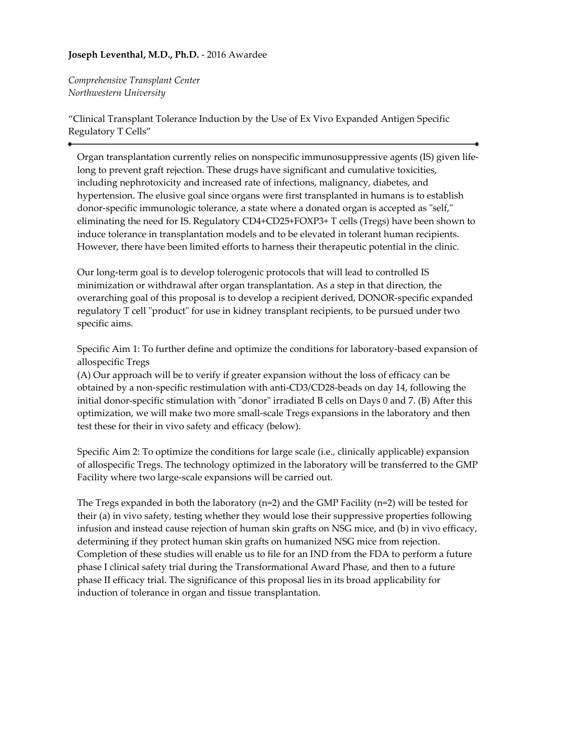# **Joseph Leventhal, M.D., Ph.D.** - 2016 Awardee

*Comprehensive Transplant Center Northwestern University*

"Clinical Transplant Tolerance Induction by the Use of Ex Vivo Expanded Antigen Specific Regulatory T Cells"

Organ transplantation currently relies on nonspecific immunosuppressive agents (IS) given lifelong to prevent graft rejection. These drugs have significant and cumulative toxicities, including nephrotoxicity and increased rate of infections, malignancy, diabetes, and hypertension. The elusive goal since organs were first transplanted in humans is to establish donor-specific immunologic tolerance, a state where a donated organ is accepted as "self," eliminating the need for IS. Regulatory CD4+CD25+FOXP3+ T cells (Tregs) have been shown to induce tolerance in transplantation models and to be elevated in tolerant human recipients. However, there have been limited efforts to harness their therapeutic potential in the clinic.

Our long-term goal is to develop tolerogenic protocols that will lead to controlled IS minimization or withdrawal after organ transplantation. As a step in that direction, the overarching goal of this proposal is to develop a recipient derived, DONOR-specific expanded regulatory T cell "product" for use in kidney transplant recipients, to be pursued under two specific aims.

Specific Aim 1: To further define and optimize the conditions for laboratory-based expansion of allospecific Tregs

(A) Our approach will be to verify if greater expansion without the loss of efficacy can be obtained by a non-specific restimulation with anti-CD3/CD28-beads on day 14, following the initial donor-specific stimulation with "donor" irradiated B cells on Days 0 and 7. (B) After this optimization, we will make two more small-scale Tregs expansions in the laboratory and then test these for their in vivo safety and efficacy (below).

Specific Aim 2: To optimize the conditions for large scale (i.e., clinically applicable) expansion of allospecific Tregs. The technology optimized in the laboratory will be transferred to the GMP Facility where two large-scale expansions will be carried out.

The Tregs expanded in both the laboratory ( $n=2$ ) and the GMP Facility ( $n=2$ ) will be tested for their (a) in vivo safety, testing whether they would lose their suppressive properties following infusion and instead cause rejection of human skin grafts on NSG mice, and (b) in vivo efficacy, determining if they protect human skin grafts on humanized NSG mice from rejection. Completion of these studies will enable us to file for an IND from the FDA to perform a future phase I clinical safety trial during the Transformational Award Phase, and then to a future phase II efficacy trial. The significance of this proposal lies in its broad applicability for induction of tolerance in organ and tissue transplantation.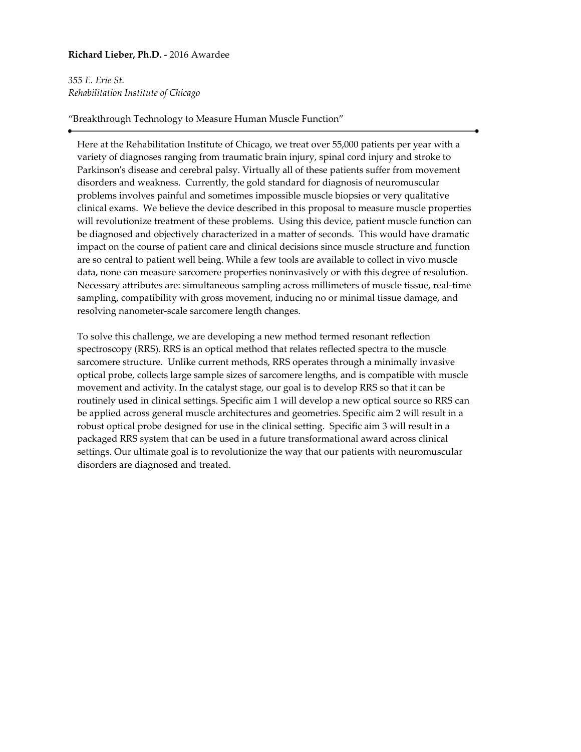# **Richard Lieber, Ph.D.** - 2016 Awardee

*355 E. Erie St. Rehabilitation Institute of Chicago*

# "Breakthrough Technology to Measure Human Muscle Function"

Here at the Rehabilitation Institute of Chicago, we treat over 55,000 patients per year with a variety of diagnoses ranging from traumatic brain injury, spinal cord injury and stroke to Parkinson's disease and cerebral palsy. Virtually all of these patients suffer from movement disorders and weakness. Currently, the gold standard for diagnosis of neuromuscular problems involves painful and sometimes impossible muscle biopsies or very qualitative clinical exams. We believe the device described in this proposal to measure muscle properties will revolutionize treatment of these problems. Using this device, patient muscle function can be diagnosed and objectively characterized in a matter of seconds. This would have dramatic impact on the course of patient care and clinical decisions since muscle structure and function are so central to patient well being. While a few tools are available to collect in vivo muscle data, none can measure sarcomere properties noninvasively or with this degree of resolution. Necessary attributes are: simultaneous sampling across millimeters of muscle tissue, real-time sampling, compatibility with gross movement, inducing no or minimal tissue damage, and resolving nanometer-scale sarcomere length changes.

To solve this challenge, we are developing a new method termed resonant reflection spectroscopy (RRS). RRS is an optical method that relates reflected spectra to the muscle sarcomere structure. Unlike current methods, RRS operates through a minimally invasive optical probe, collects large sample sizes of sarcomere lengths, and is compatible with muscle movement and activity. In the catalyst stage, our goal is to develop RRS so that it can be routinely used in clinical settings. Specific aim 1 will develop a new optical source so RRS can be applied across general muscle architectures and geometries. Specific aim 2 will result in a robust optical probe designed for use in the clinical setting. Specific aim 3 will result in a packaged RRS system that can be used in a future transformational award across clinical settings. Our ultimate goal is to revolutionize the way that our patients with neuromuscular disorders are diagnosed and treated.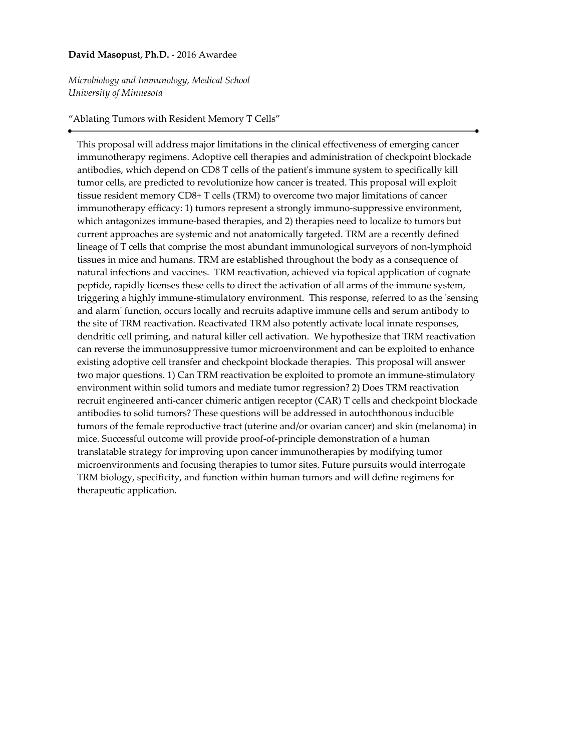### **David Masopust, Ph.D.** - 2016 Awardee

*Microbiology and Immunology, Medical School University of Minnesota*

#### "Ablating Tumors with Resident Memory T Cells"

This proposal will address major limitations in the clinical effectiveness of emerging cancer immunotherapy regimens. Adoptive cell therapies and administration of checkpoint blockade antibodies, which depend on CD8 T cells of the patient's immune system to specifically kill tumor cells, are predicted to revolutionize how cancer is treated. This proposal will exploit tissue resident memory CD8+ T cells (TRM) to overcome two major limitations of cancer immunotherapy efficacy: 1) tumors represent a strongly immuno-suppressive environment, which antagonizes immune-based therapies, and 2) therapies need to localize to tumors but current approaches are systemic and not anatomically targeted. TRM are a recently defined lineage of T cells that comprise the most abundant immunological surveyors of non-lymphoid tissues in mice and humans. TRM are established throughout the body as a consequence of natural infections and vaccines. TRM reactivation, achieved via topical application of cognate peptide, rapidly licenses these cells to direct the activation of all arms of the immune system, triggering a highly immune-stimulatory environment. This response, referred to as the 'sensing and alarm' function, occurs locally and recruits adaptive immune cells and serum antibody to the site of TRM reactivation. Reactivated TRM also potently activate local innate responses, dendritic cell priming, and natural killer cell activation. We hypothesize that TRM reactivation can reverse the immunosuppressive tumor microenvironment and can be exploited to enhance existing adoptive cell transfer and checkpoint blockade therapies. This proposal will answer two major questions. 1) Can TRM reactivation be exploited to promote an immune-stimulatory environment within solid tumors and mediate tumor regression? 2) Does TRM reactivation recruit engineered anti-cancer chimeric antigen receptor (CAR) T cells and checkpoint blockade antibodies to solid tumors? These questions will be addressed in autochthonous inducible tumors of the female reproductive tract (uterine and/or ovarian cancer) and skin (melanoma) in mice. Successful outcome will provide proof-of-principle demonstration of a human translatable strategy for improving upon cancer immunotherapies by modifying tumor microenvironments and focusing therapies to tumor sites. Future pursuits would interrogate TRM biology, specificity, and function within human tumors and will define regimens for therapeutic application.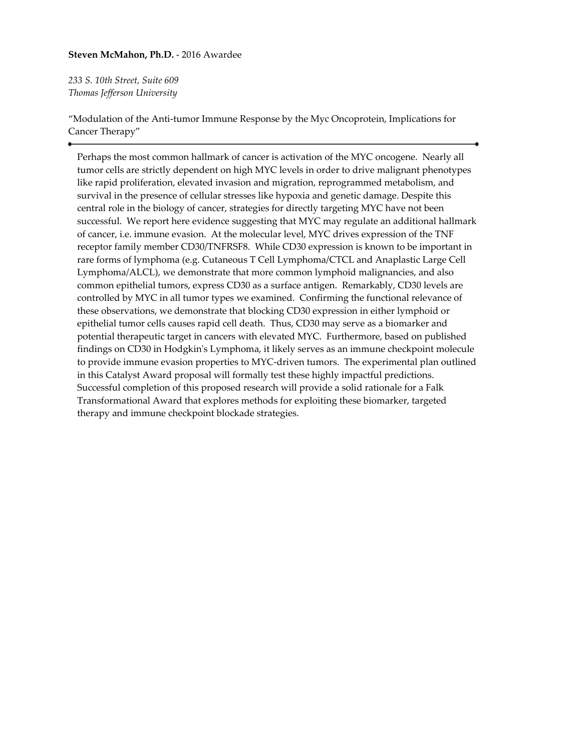### **Steven McMahon, Ph.D.** - 2016 Awardee

*233 S. 10th Street, Suite 609 Thomas Jefferson University*

"Modulation of the Anti-tumor Immune Response by the Myc Oncoprotein, Implications for Cancer Therapy"

Perhaps the most common hallmark of cancer is activation of the MYC oncogene. Nearly all tumor cells are strictly dependent on high MYC levels in order to drive malignant phenotypes like rapid proliferation, elevated invasion and migration, reprogrammed metabolism, and survival in the presence of cellular stresses like hypoxia and genetic damage. Despite this central role in the biology of cancer, strategies for directly targeting MYC have not been successful. We report here evidence suggesting that MYC may regulate an additional hallmark of cancer, i.e. immune evasion. At the molecular level, MYC drives expression of the TNF receptor family member CD30/TNFRSF8. While CD30 expression is known to be important in rare forms of lymphoma (e.g. Cutaneous T Cell Lymphoma/CTCL and Anaplastic Large Cell Lymphoma/ALCL), we demonstrate that more common lymphoid malignancies, and also common epithelial tumors, express CD30 as a surface antigen. Remarkably, CD30 levels are controlled by MYC in all tumor types we examined. Confirming the functional relevance of these observations, we demonstrate that blocking CD30 expression in either lymphoid or epithelial tumor cells causes rapid cell death. Thus, CD30 may serve as a biomarker and potential therapeutic target in cancers with elevated MYC. Furthermore, based on published findings on CD30 in Hodgkin's Lymphoma, it likely serves as an immune checkpoint molecule to provide immune evasion properties to MYC-driven tumors. The experimental plan outlined in this Catalyst Award proposal will formally test these highly impactful predictions. Successful completion of this proposed research will provide a solid rationale for a Falk Transformational Award that explores methods for exploiting these biomarker, targeted therapy and immune checkpoint blockade strategies.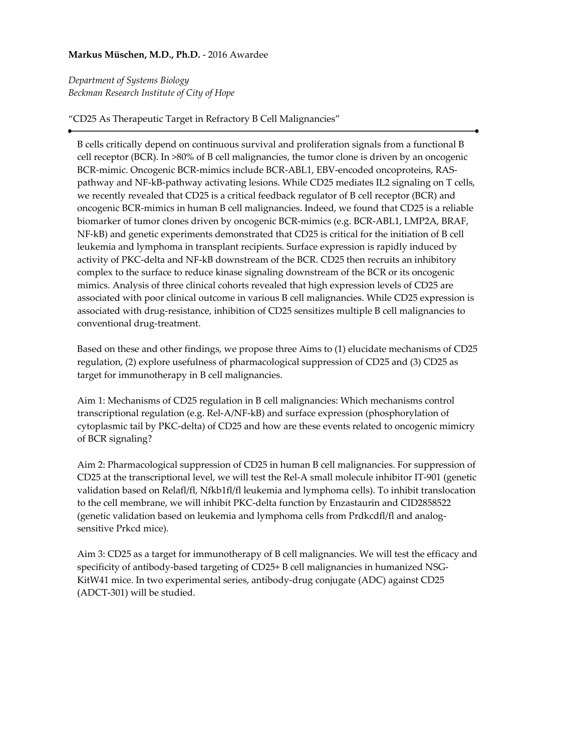# **Markus Müschen, M.D., Ph.D.** - 2016 Awardee

*Department of Systems Biology Beckman Research Institute of City of Hope*

"CD25 As Therapeutic Target in Refractory B Cell Malignancies"

B cells critically depend on continuous survival and proliferation signals from a functional B cell receptor (BCR). In >80% of B cell malignancies, the tumor clone is driven by an oncogenic BCR-mimic. Oncogenic BCR-mimics include BCR-ABL1, EBV-encoded oncoproteins, RASpathway and NF-kB-pathway activating lesions. While CD25 mediates IL2 signaling on T cells, we recently revealed that CD25 is a critical feedback regulator of B cell receptor (BCR) and oncogenic BCR-mimics in human B cell malignancies. Indeed, we found that CD25 is a reliable biomarker of tumor clones driven by oncogenic BCR-mimics (e.g. BCR-ABL1, LMP2A, BRAF, NF-kB) and genetic experiments demonstrated that CD25 is critical for the initiation of B cell leukemia and lymphoma in transplant recipients. Surface expression is rapidly induced by activity of PKC-delta and NF-kB downstream of the BCR. CD25 then recruits an inhibitory complex to the surface to reduce kinase signaling downstream of the BCR or its oncogenic mimics. Analysis of three clinical cohorts revealed that high expression levels of CD25 are associated with poor clinical outcome in various B cell malignancies. While CD25 expression is associated with drug-resistance, inhibition of CD25 sensitizes multiple B cell malignancies to conventional drug-treatment.

Based on these and other findings, we propose three Aims to (1) elucidate mechanisms of CD25 regulation, (2) explore usefulness of pharmacological suppression of CD25 and (3) CD25 as target for immunotherapy in B cell malignancies.

Aim 1: Mechanisms of CD25 regulation in B cell malignancies: Which mechanisms control transcriptional regulation (e.g. Rel-A/NF-kB) and surface expression (phosphorylation of cytoplasmic tail by PKC-delta) of CD25 and how are these events related to oncogenic mimicry of BCR signaling?

Aim 2: Pharmacological suppression of CD25 in human B cell malignancies. For suppression of CD25 at the transcriptional level, we will test the Rel-A small molecule inhibitor IT-901 (genetic validation based on Relafl/fl, Nfkb1fl/fl leukemia and lymphoma cells). To inhibit translocation to the cell membrane, we will inhibit PKC-delta function by Enzastaurin and CID2858522 (genetic validation based on leukemia and lymphoma cells from Prdkcdfl/fl and analogsensitive Prkcd mice).

Aim 3: CD25 as a target for immunotherapy of B cell malignancies. We will test the efficacy and specificity of antibody-based targeting of CD25+ B cell malignancies in humanized NSG-KitW41 mice. In two experimental series, antibody-drug conjugate (ADC) against CD25 (ADCT-301) will be studied.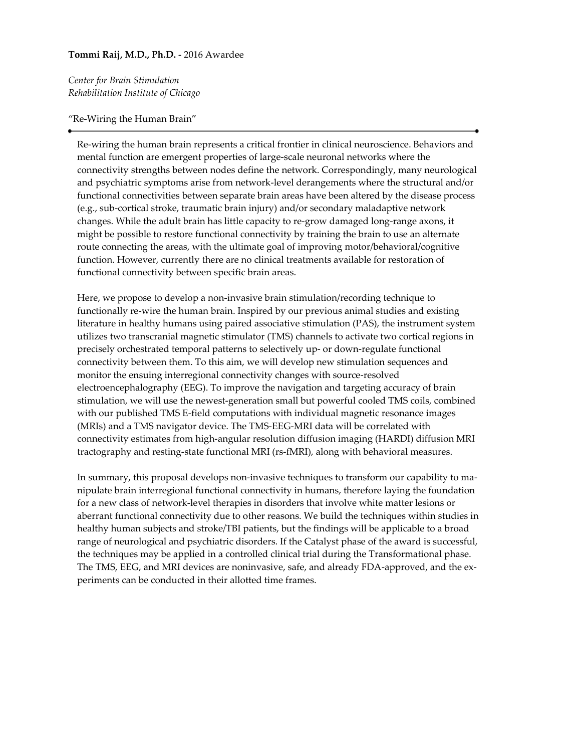## **Tommi Raij, M.D., Ph.D.** - 2016 Awardee

*Center for Brain Stimulation Rehabilitation Institute of Chicago*

"Re-Wiring the Human Brain"

Re-wiring the human brain represents a critical frontier in clinical neuroscience. Behaviors and mental function are emergent properties of large-scale neuronal networks where the connectivity strengths between nodes define the network. Correspondingly, many neurological and psychiatric symptoms arise from network-level derangements where the structural and/or functional connectivities between separate brain areas have been altered by the disease process (e.g., sub-cortical stroke, traumatic brain injury) and/or secondary maladaptive network changes. While the adult brain has little capacity to re-grow damaged long-range axons, it might be possible to restore functional connectivity by training the brain to use an alternate route connecting the areas, with the ultimate goal of improving motor/behavioral/cognitive function. However, currently there are no clinical treatments available for restoration of functional connectivity between specific brain areas.

Here, we propose to develop a non-invasive brain stimulation/recording technique to functionally re-wire the human brain. Inspired by our previous animal studies and existing literature in healthy humans using paired associative stimulation (PAS), the instrument system utilizes two transcranial magnetic stimulator (TMS) channels to activate two cortical regions in precisely orchestrated temporal patterns to selectively up- or down-regulate functional connectivity between them. To this aim, we will develop new stimulation sequences and monitor the ensuing interregional connectivity changes with source-resolved electroencephalography (EEG). To improve the navigation and targeting accuracy of brain stimulation, we will use the newest-generation small but powerful cooled TMS coils, combined with our published TMS E-field computations with individual magnetic resonance images (MRIs) and a TMS navigator device. The TMS-EEG-MRI data will be correlated with connectivity estimates from high-angular resolution diffusion imaging (HARDI) diffusion MRI tractography and resting-state functional MRI (rs-fMRI), along with behavioral measures.

In summary, this proposal develops non-invasive techniques to transform our capability to manipulate brain interregional functional connectivity in humans, therefore laying the foundation for a new class of network-level therapies in disorders that involve white matter lesions or aberrant functional connectivity due to other reasons. We build the techniques within studies in healthy human subjects and stroke/TBI patients, but the findings will be applicable to a broad range of neurological and psychiatric disorders. If the Catalyst phase of the award is successful, the techniques may be applied in a controlled clinical trial during the Transformational phase. The TMS, EEG, and MRI devices are noninvasive, safe, and already FDA-approved, and the experiments can be conducted in their allotted time frames.